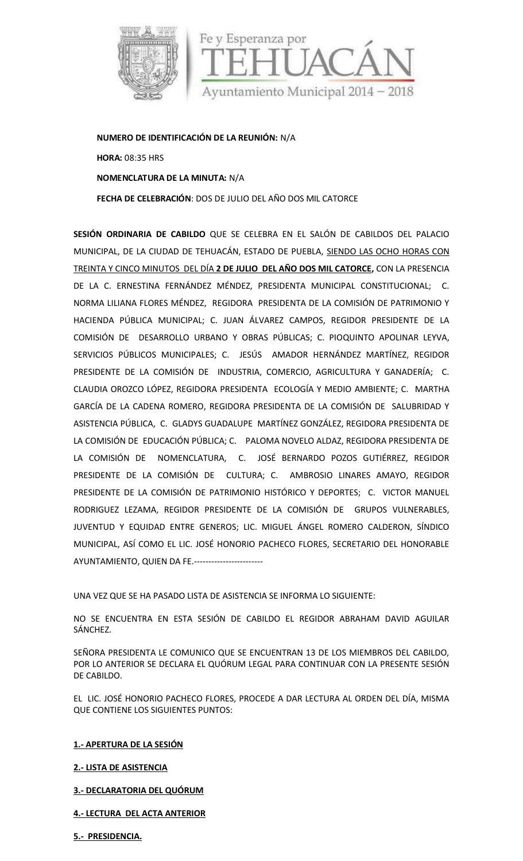

**NUMERO DE IDENTIFICACIÓN DE LA REUNIÓN:** N/A **HORA:** 08:35 HRS **NOMENCLATURA DE LA MINUTA:** N/A **FECHA DE CELEBRACIÓN**: DOS DE JULIO DELAÑO DOS MIL CATORCE

**SESIÓN ORDINARIA DE CABILDO** QUE SE CELEBRA EN EL SALÓN DE CABILDOS DEL PALACIO MUNICIPAL, DE LA CIUDAD DE TEHUACÁN, ESTADO DE PUEBLA, SIENDO LAS OCHO HORAS CON TREINTA Y CINCO MINUTOS DEL DÍA **2 DE JULIO DEL AÑO DOS MIL CATORCE,** CON LA PRESENCIA DE LA C. ERNESTINA FERNÁNDEZ MÉNDEZ, PRESIDENTA MUNICIPAL CONSTITUCIONAL; C. NORMA LILIANA FLORES MÉNDEZ, REGIDORA PRESIDENTA DE LA COMISIÓN DE PATRIMONIO Y HACIENDA PÚBLICA MUNICIPAL; C. JUAN ÁLVAREZ CAMPOS, REGIDOR PRESIDENTE DE LA COMISIÓN DE DESARROLLO URBANO Y OBRAS PÚBLICAS; C. PIOQUINTO APOLINAR LEYVA, SERVICIOS PÚBLICOS MUNICIPALES; C. JESÚS AMADOR HERNÁNDEZ MARTÍNEZ, REGIDOR PRESIDENTE DE LA COMISIÓN DE INDUSTRIA, COMERCIO, AGRICULTURA Y GANADERÍA; C. CLAUDIA OROZCO LÓPEZ, REGIDORA PRESIDENTA ECOLOGÍA Y MEDIO AMBIENTE; C. MARTHA GARCÍA DE LA CADENA ROMERO, REGIDORA PRESIDENTA DE LA COMISIÓN DE SALUBRIDAD Y ASISTENCIA PÚBLICA, C. GLADYS GUADALUPE MARTÍNEZ GONZÁLEZ, REGIDORA PRESIDENTA DE LA COMISIÓN DE EDUCACIÓN PÚBLICA; C. PALOMA NOVELO ALDAZ, REGIDORA PRESIDENTA DE LA COMISIÓN DE NOMENCLATURA, C. JOSÉ BERNARDO POZOS GUTIÉRREZ, REGIDOR PRESIDENTE DE LA COMISIÓN DE CULTURA; C. AMBROSIO LINARES AMAYO, REGIDOR PRESIDENTE DE LA COMISIÓN DE PATRIMONIO HISTÓRICO Y DEPORTES; C. VICTOR MANUEL RODRIGUEZ LEZAMA, REGIDOR PRESIDENTE DE LA COMISIÓN DE GRUPOS VULNERABLES, JUVENTUD Y EQUIDAD ENTRE GENEROS; LIC. MIGUEL ÁNGEL ROMERO CALDERON, SÍNDICO MUNICIPAL, ASÍ COMO EL LIC. JOSÉ HONORIO PACHECO FLORES, SECRETARIO DEL HONORABLE AYUNTAMIENTO, QUIEN DA FE.------------------------

UNA VEZ QUE SE HA PASADO LISTA DE ASISTENCIA SE INFORMA LO SIGUIENTE:

NO SE ENCUENTRA EN ESTA SESIÓN DE CABILDO EL REGIDOR ABRAHAM DAVID AGUILAR SÁNCHEZ.

SEÑORA PRESIDENTA LE COMUNICO QUE SE ENCUENTRAN 13 DE LOS MIEMBROS DEL CABILDO, POR LO ANTERIOR SE DECLARA EL QUÓRUM LEGAL PARA CONTINUAR CON LA PRESENTE SESIÓN DE CABILDO.

EL LIC. JOSÉ HONORIO PACHECO FLORES, PROCEDE A DAR LECTURA AL ORDEN DEL DÍA, MISMA QUE CONTIENE LOS SIGUIENTES PUNTOS:

# **1.- APERTURA DE LA SESIÓN**

**2.- LISTA DE ASISTENCIA**

**3.- DECLARATORIA DEL QUÓRUM**

# **4.- LECTURA DEL ACTA ANTERIOR**

**5.- PRESIDENCIA.**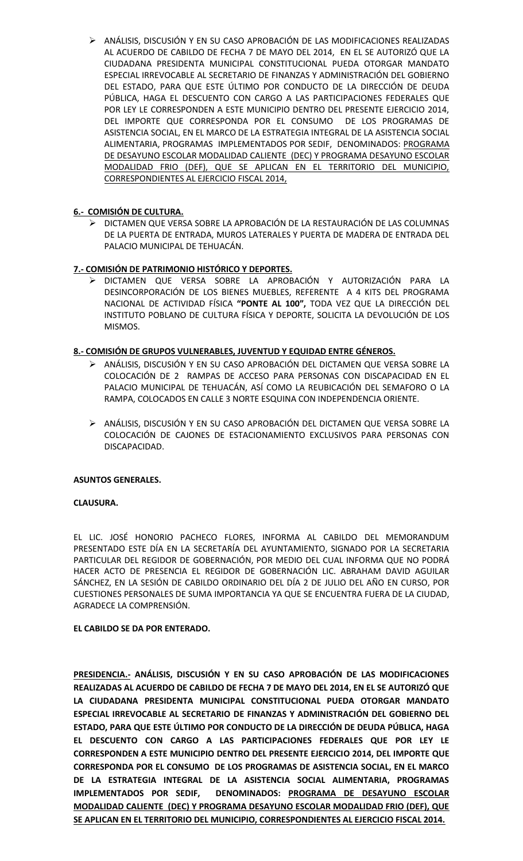ANÁLISIS, DISCUSIÓN Y EN SU CASO APROBACIÓN DE LAS MODIFICACIONES REALIZADAS AL ACUERDO DE CABILDO DE FECHA 7 DE MAYO DEL 2014, EN EL SE AUTORIZÓ QUE LA CIUDADANA PRESIDENTA MUNICIPAL CONSTITUCIONAL PUEDA OTORGAR MANDATO ESPECIAL IRREVOCABLE AL SECRETARIO DE FINANZAS Y ADMINISTRACIÓN DEL GOBIERNO DEL ESTADO, PARA QUE ESTE ÚLTIMO POR CONDUCTO DE LA DIRECCIÓN DE DEUDA PÚBLICA, HAGA EL DESCUENTO CON CARGO A LAS PARTICIPACIONES FEDERALES QUE POR LEY LE CORRESPONDEN A ESTE MUNICIPIO DENTRO DEL PRESENTE EJERCICIO 2014, DEL IMPORTE QUE CORRESPONDA POR EL CONSUMO DE LOS PROGRAMAS DE ASISTENCIA SOCIAL, EN EL MARCO DE LA ESTRATEGIA INTEGRAL DE LA ASISTENCIA SOCIAL ALIMENTARIA, PROGRAMAS IMPLEMENTADOS POR SEDIF, DENOMINADOS: PROGRAMA DE DESAYUNO ESCOLAR MODALIDAD CALIENTE (DEC) Y PROGRAMA DESAYUNO ESCOLAR MODALIDAD FRIO (DEF), QUE SE APLICAN EN EL TERRITORIO DEL MUNICIPIO, CORRESPONDIENTES AL EJERCICIO FISCAL 2014,

# **6.- COMISIÓN DE CULTURA.**

 DICTAMEN QUE VERSA SOBRE LA APROBACIÓN DE LA RESTAURACIÓN DE LAS COLUMNAS DE LA PUERTA DE ENTRADA, MUROS LATERALES Y PUERTA DE MADERA DE ENTRADA DEL PALACIO MUNICIPAL DE TEHUACÁN.

# **7.- COMISIÓN DE PATRIMONIO HISTÓRICO Y DEPORTES.**

 DICTAMEN QUE VERSA SOBRE LA APROBACIÓN Y AUTORIZACIÓN PARA LA DESINCORPORACIÓN DE LOS BIENES MUEBLES, REFERENTE A 4 KITS DEL PROGRAMA NACIONAL DE ACTIVIDAD FÍSICA **"PONTE AL 100",** TODA VEZ QUE LA DIRECCIÓN DEL INSTITUTO POBLANO DE CULTURA FÍSICA Y DEPORTE, SOLICITA LA DEVOLUCIÓN DE LOS MISMOS.

# **8.- COMISIÓN DE GRUPOS VULNERABLES, JUVENTUD Y EQUIDAD ENTRE GÉNEROS.**

- ANÁLISIS, DISCUSIÓN Y EN SU CASO APROBACIÓN DEL DICTAMEN QUE VERSA SOBRE LA COLOCACIÓN DE 2 RAMPAS DE ACCESO PARA PERSONAS CON DISCAPACIDAD EN EL PALACIO MUNICIPAL DE TEHUACÁN, ASÍ COMO LA REUBICACIÓN DEL SEMAFORO O LA RAMPA, COLOCADOS EN CALLE 3 NORTE ESQUINA CON INDEPENDENCIA ORIENTE.
- ANÁLISIS, DISCUSIÓN Y EN SU CASO APROBACIÓN DEL DICTAMEN QUE VERSA SOBRE LA COLOCACIÓN DE CAJONES DE ESTACIONAMIENTO EXCLUSIVOS PARA PERSONAS CON DISCAPACIDAD.

# **ASUNTOS GENERALES.**

# **CLAUSURA.**

EL LIC. JOSÉ HONORIO PACHECO FLORES, INFORMA AL CABILDO DEL MEMORANDUM PRESENTADO ESTE DÍA EN LA SECRETARÍA DEL AYUNTAMIENTO, SIGNADO POR LA SECRETARIA PARTICULAR DEL REGIDOR DE GOBERNACIÓN, POR MEDIO DEL CUAL INFORMA QUE NO PODRÁ HACER ACTO DE PRESENCIA EL REGIDOR DE GOBERNACIÓN LIC. ABRAHAM DAVID AGUILAR SÁNCHEZ, EN LA SESIÓN DE CABILDO ORDINARIO DEL DÍA 2 DE JULIO DEL AÑO EN CURSO, POR CUESTIONES PERSONALES DE SUMA IMPORTANCIA YA QUE SE ENCUENTRA FUERA DE LA CIUDAD, AGRADECE LA COMPRENSIÓN.

# **EL CABILDO SE DA POR ENTERADO.**

**PRESIDENCIA.- ANÁLISIS, DISCUSIÓN Y EN SU CASO APROBACIÓN DE LAS MODIFICACIONES REALIZADAS AL ACUERDO DE CABILDO DE FECHA 7 DE MAYO DEL 2014, EN EL SE AUTORIZÓ QUE LA CIUDADANA PRESIDENTA MUNICIPAL CONSTITUCIONAL PUEDA OTORGAR MANDATO ESPECIAL IRREVOCABLE AL SECRETARIO DE FINANZAS Y ADMINISTRACIÓN DEL GOBIERNO DEL ESTADO, PARA QUE ESTE ÚLTIMO POR CONDUCTO DE LA DIRECCIÓN DE DEUDA PÚBLICA, HAGA EL DESCUENTO CON CARGO A LAS PARTICIPACIONES FEDERALES QUE POR LEY LE CORRESPONDEN A ESTE MUNICIPIO DENTRO DEL PRESENTE EJERCICIO 2014, DEL IMPORTE QUE CORRESPONDA POR EL CONSUMO DE LOS PROGRAMAS DE ASISTENCIA SOCIAL, EN EL MARCO DE LA ESTRATEGIA INTEGRAL DE LA ASISTENCIA SOCIAL ALIMENTARIA, PROGRAMAS IMPLEMENTADOS POR SEDIF, DENOMINADOS: PROGRAMA DE DESAYUNO ESCOLAR MODALIDAD CALIENTE (DEC) Y PROGRAMA DESAYUNO ESCOLAR MODALIDAD FRIO (DEF), QUE SE APLICAN EN EL TERRITORIO DEL MUNICIPIO, CORRESPONDIENTES AL EJERCICIO FISCAL 2014.**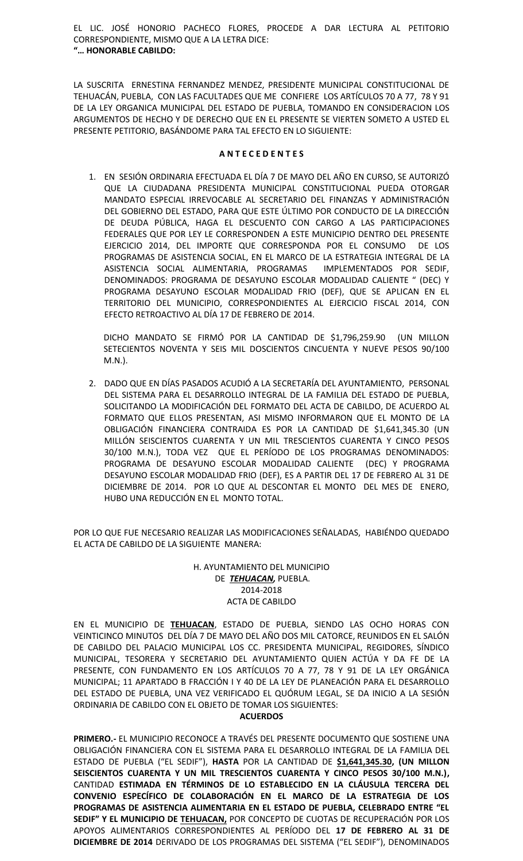EL LIC. JOSÉ HONORIO PACHECO FLORES, PROCEDE A DAR LECTURA AL PETITORIO CORRESPONDIENTE, MISMO QUE A LA LETRA DICE: **"… HONORABLE CABILDO:**

LA SUSCRITA ERNESTINA FERNANDEZ MENDEZ, PRESIDENTE MUNICIPAL CONSTITUCIONAL DE TEHUACÁN, PUEBLA, CON LAS FACULTADES QUE ME CONFIERE LOS ARTÍCULOS 70 A 77, 78 Y 91 DE LA LEY ORGANICA MUNICIPAL DEL ESTADO DE PUEBLA, TOMANDO EN CONSIDERACION LOS ARGUMENTOS DE HECHO Y DE DERECHO QUE EN EL PRESENTE SE VIERTEN SOMETO A USTED EL PRESENTE PETITORIO, BASÁNDOME PARA TAL EFECTO EN LO SIGUIENTE:

#### **A N T E C E D E N T E S**

1. EN SESIÓN ORDINARIA EFECTUADA EL DÍA 7 DE MAYO DEL AÑO EN CURSO, SE AUTORIZÓ QUE LA CIUDADANA PRESIDENTA MUNICIPAL CONSTITUCIONAL PUEDA OTORGAR MANDATO ESPECIAL IRREVOCABLE AL SECRETARIO DEL FINANZAS Y ADMINISTRACIÓN DEL GOBIERNO DEL ESTADO, PARA QUE ESTE ÚLTIMO POR CONDUCTO DE LA DIRECCIÓN DE DEUDA PÚBLICA, HAGA EL DESCUENTO CON CARGO A LAS PARTICIPACIONES FEDERALES QUE POR LEY LE CORRESPONDEN A ESTE MUNICIPIO DENTRO DEL PRESENTE EJERCICIO 2014, DEL IMPORTE QUE CORRESPONDA POR EL CONSUMO DE LOS PROGRAMAS DE ASISTENCIA SOCIAL, EN EL MARCO DE LA ESTRATEGIA INTEGRAL DE LA ASISTENCIA SOCIAL ALIMENTARIA, PROGRAMAS IMPLEMENTADOS POR SEDIF, DENOMINADOS: PROGRAMA DE DESAYUNO ESCOLAR MODALIDAD CALIENTE " (DEC) Y PROGRAMA DESAYUNO ESCOLAR MODALIDAD FRIO (DEF), QUE SE APLICAN EN EL TERRITORIO DEL MUNICIPIO, CORRESPONDIENTES AL EJERCICIO FISCAL 2014, CON EFECTO RETROACTIVO AL DÍA 17 DE FEBRERO DE 2014.

DICHO MANDATO SE FIRMÓ POR LA CANTIDAD DE \$1,796,259.90 (UN MILLON SETECIENTOS NOVENTA Y SEIS MIL DOSCIENTOS CINCUENTA Y NUEVE PESOS 90/100 M.N.).

2. DADO QUE EN DÍAS PASADOS ACUDIÓ A LA SECRETARÍA DEL AYUNTAMIENTO, PERSONAL DEL SISTEMA PARA EL DESARROLLO INTEGRAL DE LA FAMILIA DEL ESTADO DE PUEBLA, SOLICITANDO LA MODIFICACIÓN DEL FORMATO DEL ACTA DE CABILDO, DE ACUERDO AL FORMATO QUE ELLOS PRESENTAN, ASI MISMO INFORMARON QUE EL MONTO DE LA OBLIGACIÓN FINANCIERA CONTRAIDA ES POR LA CANTIDAD DE \$1,641,345.30 (UN MILLÓN SEISCIENTOS CUARENTA Y UN MIL TRESCIENTOS CUARENTA Y CINCO PESOS 30/100 M.N.), TODA VEZ QUE EL PERÍODO DE LOS PROGRAMAS DENOMINADOS: PROGRAMA DE DESAYUNO ESCOLAR MODALIDAD CALIENTE (DEC) Y PROGRAMA DESAYUNO ESCOLAR MODALIDAD FRIO (DEF), ES A PARTIR DEL 17 DE FEBRERO AL 31 DE DICIEMBRE DE 2014. POR LO QUE AL DESCONTAR EL MONTO DEL MES DE ENERO, HUBO UNA REDUCCIÓN EN EL MONTO TOTAL.

POR LO QUE FUE NECESARIO REALIZAR LAS MODIFICACIONES SEÑALADAS, HABIÉNDO QUEDADO EL ACTA DE CABILDO DE LA SIGUIENTE MANERA:

> H. AYUNTAMIENTO DEL MUNICIPIO DE *TEHUACAN,* PUEBLA. 2014-2018 ACTA DE CABILDO

EN EL MUNICIPIO DE **TEHUACAN**, ESTADO DE PUEBLA, SIENDO LAS OCHO HORAS CON VEINTICINCO MINUTOS DEL DÍA 7 DE MAYO DEL AÑO DOS MIL CATORCE, REUNIDOS EN EL SALÓN DE CABILDO DEL PALACIO MUNICIPAL LOS CC. PRESIDENTA MUNICIPAL, REGIDORES, SÍNDICO MUNICIPAL, TESORERA Y SECRETARIO DEL AYUNTAMIENTO QUIEN ACTÚA Y DA FE DE LA PRESENTE, CON FUNDAMENTO EN LOS ARTÍCULOS 70 A 77, 78 Y 91 DE LA LEY ORGÁNICA MUNICIPAL; 11 APARTADO B FRACCIÓN I Y 40 DE LA LEY DE PLANEACIÓN PARA EL DESARROLLO DEL ESTADO DE PUEBLA, UNA VEZ VERIFICADO EL QUÓRUM LEGAL, SE DA INICIO A LA SESIÓN ORDINARIA DE CABILDO CON EL OBJETO DE TOMAR LOS SIGUIENTES:

#### **ACUERDOS**

**PRIMERO.-** EL MUNICIPIO RECONOCE A TRAVÉS DEL PRESENTE DOCUMENTO QUE SOSTIENE UNA OBLIGACIÓN FINANCIERA CON EL SISTEMA PARA EL DESARROLLO INTEGRAL DE LA FAMILIA DEL ESTADO DE PUEBLA ("EL SEDIF"), **HASTA** POR LA CANTIDAD DE **\$1,641,345.30, (UN MILLON SEISCIENTOS CUARENTA Y UN MIL TRESCIENTOS CUARENTA Y CINCO PESOS 30/100 M.N.),** CANTIDAD **ESTIMADA EN TÉRMINOS DE LO ESTABLECIDO EN LA CLÁUSULA TERCERA DEL CONVENIO ESPECÍFICO DE COLABORACIÓN EN EL MARCO DE LA ESTRATEGIA DE LOS PROGRAMAS DE ASISTENCIA ALIMENTARIA EN EL ESTADO DE PUEBLA, CELEBRADO ENTRE "EL SEDIF" Y EL MUNICIPIO DE TEHUACAN,** POR CONCEPTO DE CUOTAS DE RECUPERACIÓN POR LOS APOYOS ALIMENTARIOS CORRESPONDIENTES AL PERÍODO DEL **17 DE FEBRERO AL 31 DE DICIEMBRE DE 2014** DERIVADO DE LOS PROGRAMAS DEL SISTEMA ("EL SEDIF"), DENOMINADOS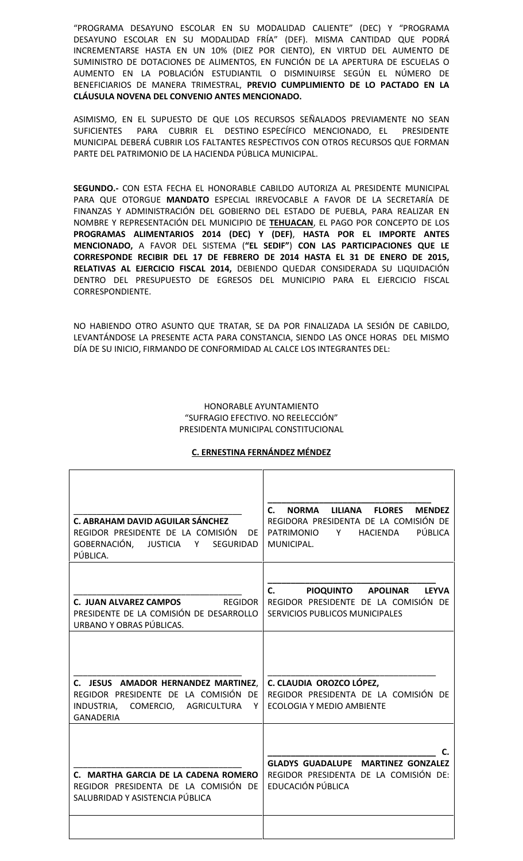"PROGRAMA DESAYUNO ESCOLAR EN SU MODALIDAD CALIENTE" (DEC) Y "PROGRAMA DESAYUNO ESCOLAR EN SU MODALIDAD FRÍA" (DEF). MISMA CANTIDAD QUE PODRÁ INCREMENTARSE HASTA EN UN 10% (DIEZ POR CIENTO), EN VIRTUD DEL AUMENTO DE SUMINISTRO DE DOTACIONES DE ALIMENTOS, EN FUNCIÓN DE LA APERTURA DE ESCUELAS O AUMENTO EN LA POBLACIÓN ESTUDIANTIL O DISMINUIRSE SEGÚN EL NÚMERO DE BENEFICIARIOS DE MANERA TRIMESTRAL, **PREVIO CUMPLIMIENTO DE LO PACTADO EN LA CLÁUSULA NOVENA DEL CONVENIO ANTES MENCIONADO.**

ASIMISMO, EN EL SUPUESTO DE QUE LOS RECURSOS SEÑALADOS PREVIAMENTE NO SEAN SUFICIENTES PARA CUBRIR EL DESTINO ESPECÍFICO MENCIONADO, EL PRESIDENTE MUNICIPAL DEBERÁ CUBRIR LOS FALTANTES RESPECTIVOS CON OTROS RECURSOS QUE FORMAN PARTE DEL PATRIMONIO DE LA HACIENDA PÚBLICA MUNICIPAL.

**SEGUNDO.-** CON ESTA FECHA EL HONORABLE CABILDO AUTORIZA AL PRESIDENTE MUNICIPAL PARA QUE OTORGUE **MANDATO** ESPECIAL IRREVOCABLE A FAVOR DE LA SECRETARÍA DE FINANZAS Y ADMINISTRACIÓN DEL GOBIERNO DEL ESTADO DE PUEBLA, PARA REALIZAR EN NOMBRE Y REPRESENTACIÓN DEL MUNICIPIO DE **TEHUACAN**, EL PAGO POR CONCEPTO DE LOS **PROGRAMAS ALIMENTARIOS 2014 (DEC) Y (DEF)**, **HASTA POR EL IMPORTE ANTES MENCIONADO,** A FAVOR DEL SISTEMA (**"EL SEDIF"**) **CON LAS PARTICIPACIONES QUE LE CORRESPONDE RECIBIR DEL 17 DE FEBRERO DE 2014 HASTA EL 31 DE ENERO DE 2015, RELATIVAS AL EJERCICIO FISCAL 2014,** DEBIENDO QUEDAR CONSIDERADA SU LIQUIDACIÓN DENTRO DEL PRESUPUESTO DE EGRESOS DEL MUNICIPIO PARA EL EJERCICIO FISCAL CORRESPONDIENTE.

NO HABIENDO OTRO ASUNTO QUE TRATAR, SE DA POR FINALIZADA LA SESIÓN DE CABILDO, LEVANTÁNDOSE LA PRESENTE ACTA PARA CONSTANCIA, SIENDO LAS ONCE HORAS DEL MISMO DÍA DE SU INICIO, FIRMANDO DE CONFORMIDAD AL CALCE LOS INTEGRANTES DEL:

### HONORABLE AYUNTAMIENTO "SUFRAGIO EFECTIVO. NO REELECCIÓN" PRESIDENTA MUNICIPAL CONSTITUCIONAL

#### **C. ERNESTINA FERNÁNDEZ MÉNDEZ**

| C. ABRAHAM DAVID AGUILAR SÁNCHEZ<br>REGIDOR PRESIDENTE DE LA COMISIÓN<br>DF.<br>GOBERNACIÓN,<br><b>JUSTICIA</b><br>Y -<br><b>SEGURIDAD</b><br>PÚBLICA. | <b>FLORES</b><br><b>NORMA</b><br><b>LILIANA</b><br>$\mathsf{C}$<br><b>MENDEZ</b><br>REGIDORA PRESIDENTA DE LA COMISIÓN DE<br>PÚBLICA<br><b>PATRIMONIO</b><br>Y -<br><b>HACIENDA</b><br>MUNICIPAL. |
|--------------------------------------------------------------------------------------------------------------------------------------------------------|---------------------------------------------------------------------------------------------------------------------------------------------------------------------------------------------------|
| <b>C. JUAN ALVAREZ CAMPOS</b><br><b>REGIDOR</b><br>PRESIDENTE DE LA COMISIÓN DE DESARROLLO<br>URBANO Y OBRAS PÚBLICAS.                                 | $\mathsf{C}$ .<br><b>PIOQUINTO</b><br><b>APOLINAR</b><br><b>LFYVA</b><br>REGIDOR PRESIDENTE DE LA COMISIÓN DE<br>SERVICIOS PUBLICOS MUNICIPALES                                                   |
| C. JESUS AMADOR HERNANDEZ MARTINEZ,<br>REGIDOR PRESIDENTE DE LA COMISIÓN DE<br>INDUSTRIA,<br>COMERCIO, AGRICULTURA<br>Y<br><b>GANADERIA</b>            | C. CLAUDIA OROZCO LÓPEZ,<br>REGIDOR PRESIDENTA DE LA COMISIÓN DE<br><b>ECOLOGIA Y MEDIO AMBIENTE</b>                                                                                              |
| C. MARTHA GARCIA DE LA CADENA ROMERO<br>REGIDOR PRESIDENTA DE LA COMISIÓN DE<br>SALUBRIDAD Y ASISTENCIA PÚBLICA                                        | <b>GLADYS GUADALUPE</b><br><b>MARTINEZ GONZALEZ</b><br>REGIDOR PRESIDENTA DE LA COMISIÓN DE:<br>EDUCACIÓN PÚBLICA                                                                                 |
|                                                                                                                                                        |                                                                                                                                                                                                   |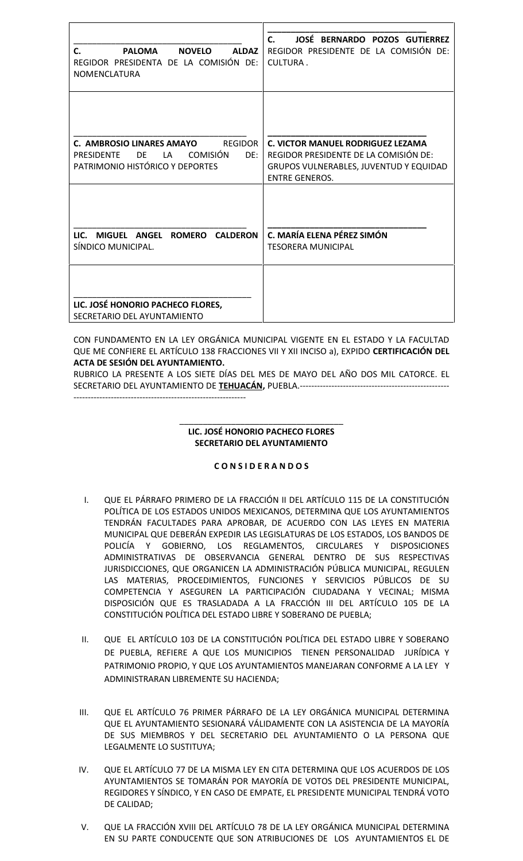| <b>ALDAZ</b><br>C.<br><b>PALOMA</b><br><b>NOVELO</b><br>REGIDOR PRESIDENTA DE LA COMISIÓN DE:<br><b>NOMENCLATURA</b>                               | JOSÉ BERNARDO POZOS GUTIERREZ<br>$\mathsf{C}$<br>REGIDOR PRESIDENTE DE LA COMISIÓN DE:<br>CULTURA.                                                   |
|----------------------------------------------------------------------------------------------------------------------------------------------------|------------------------------------------------------------------------------------------------------------------------------------------------------|
| <b>REGIDOR</b><br><b>C. AMBROSIO LINARES AMAYO</b><br><b>COMISIÓN</b><br>DF:<br><b>PRESIDENTE</b><br>DF -<br>LA<br>PATRIMONIO HISTÓRICO Y DEPORTES | <b>C. VICTOR MANUEL RODRIGUEZ LEZAMA</b><br>REGIDOR PRESIDENTE DE LA COMISIÓN DE:<br>GRUPOS VULNERABLES, JUVENTUD Y EQUIDAD<br><b>ENTRE GENEROS.</b> |
| LIC.<br><b>MIGUEL ANGEL</b><br><b>ROMERO</b><br><b>CALDERON</b><br>SÍNDICO MUNICIPAL.                                                              | C. MARÍA ELENA PÉREZ SIMÓN<br><b>TESORERA MUNICIPAL</b>                                                                                              |
| LIC. JOSÉ HONORIO PACHECO FLORES,<br>SECRETARIO DEL AYUNTAMIENTO                                                                                   |                                                                                                                                                      |

CON FUNDAMENTO EN LA LEY ORGÁNICA MUNICIPAL VIGENTE EN EL ESTADO Y LA FACULTAD QUE ME CONFIERE EL ARTÍCULO 138 FRACCIONES VII Y XII INCISO a), EXPIDO **CERTIFICACIÓN DEL ACTA DE SESIÓN DEL AYUNTAMIENTO.**

RUBRICO LA PRESENTE A LOS SIETE DÍAS DEL MES DE MAYO DEL AÑO DOS MIL CATORCE. EL SECRETARIO DEL AYUNTAMIENTO DE **TEHUACÁN,** PUEBLA.----------------------------------------------------

------------------------------------------------------------

#### \_\_\_\_\_\_\_\_\_\_\_\_\_\_\_\_\_\_\_\_\_\_\_\_\_\_\_\_\_\_\_\_\_\_\_ **LIC. JOSÉ HONORIO PACHECO FLORES SECRETARIO DEL AYUNTAMIENTO**

### **C O N S I D E R A N D O S**

- I. QUE EL PÁRRAFO PRIMERO DE LA FRACCIÓN II DEL ARTÍCULO 115 DE LA CONSTITUCIÓN POLÍTICA DE LOS ESTADOS UNIDOS MEXICANOS, DETERMINA QUE LOS AYUNTAMIENTOS TENDRÁN FACULTADES PARA APROBAR, DE ACUERDO CON LAS LEYES EN MATERIA MUNICIPAL QUE DEBERÁN EXPEDIR LAS LEGISLATURAS DE LOS ESTADOS, LOS BANDOS DE POLICÍA Y GOBIERNO, LOS REGLAMENTOS, CIRCULARES Y DISPOSICIONES ADMINISTRATIVAS DE OBSERVANCIA GENERAL DENTRO DE SUS RESPECTIVAS JURISDICCIONES, QUE ORGANICEN LA ADMINISTRACIÓN PÚBLICA MUNICIPAL, REGULEN LAS MATERIAS, PROCEDIMIENTOS, FUNCIONES Y SERVICIOS PÚBLICOS DE SU COMPETENCIA Y ASEGUREN LA PARTICIPACIÓN CIUDADANA Y VECINAL; MISMA DISPOSICIÓN QUE ES TRASLADADA A LA FRACCIÓN III DEL ARTÍCULO 105 DE LA CONSTITUCIÓN POLÍTICA DEL ESTADO LIBRE Y SOBERANO DE PUEBLA;
- II. QUE EL ARTÍCULO 103 DE LA CONSTITUCIÓN POLÍTICA DEL ESTADO LIBRE Y SOBERANO DE PUEBLA, REFIERE A QUE LOS MUNICIPIOS TIENEN PERSONALIDAD JURÍDICA Y PATRIMONIO PROPIO, Y QUE LOS AYUNTAMIENTOS MANEJARAN CONFORME A LA LEY Y ADMINISTRARAN LIBREMENTE SU HACIENDA;
- III. QUE EL ARTÍCULO 76 PRIMER PÁRRAFO DE LA LEY ORGÁNICA MUNICIPAL DETERMINA QUE EL AYUNTAMIENTO SESIONARÁ VÁLIDAMENTE CON LA ASISTENCIA DE LA MAYORÍA DE SUS MIEMBROS Y DEL SECRETARIO DEL AYUNTAMIENTO O LA PERSONA QUE LEGALMENTE LO SUSTITUYA;
- IV. QUE EL ARTÍCULO 77 DE LA MISMA LEY EN CITA DETERMINA QUE LOS ACUERDOS DE LOS AYUNTAMIENTOS SE TOMARÁN POR MAYORÍA DE VOTOS DEL PRESIDENTE MUNICIPAL, REGIDORES Y SÍNDICO, Y EN CASO DE EMPATE, EL PRESIDENTE MUNICIPAL TENDRÁ VOTO DE CALIDAD;
- V. QUE LA FRACCIÓN XVIII DEL ARTÍCULO 78 DE LA LEY ORGÁNICA MUNICIPAL DETERMINA EN SU PARTE CONDUCENTE QUE SON ATRIBUCIONES DE LOS AYUNTAMIENTOS EL DE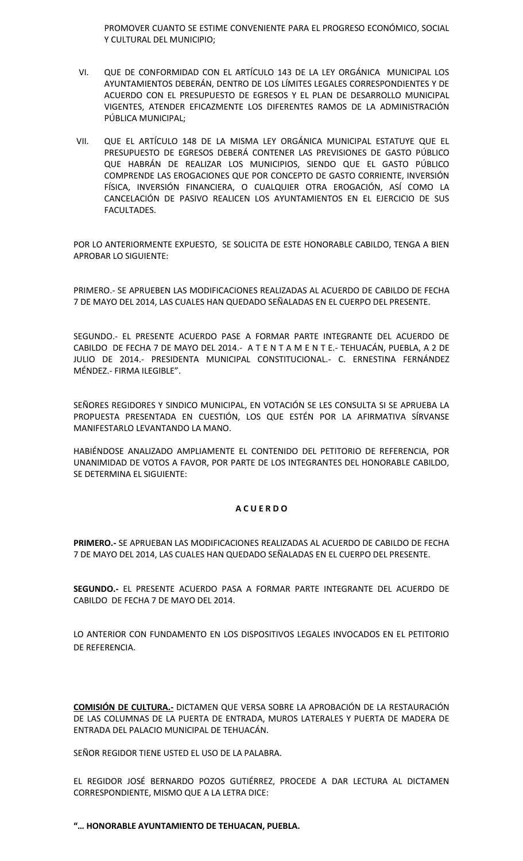PROMOVER CUANTO SE ESTIME CONVENIENTE PARA EL PROGRESO ECONÓMICO, SOCIAL Y CULTURAL DEL MUNICIPIO;

- VI. QUE DE CONFORMIDAD CON EL ARTÍCULO 143 DE LA LEY ORGÁNICA MUNICIPAL LOS AYUNTAMIENTOS DEBERÁN, DENTRO DE LOS LÍMITES LEGALES CORRESPONDIENTES Y DE ACUERDO CON EL PRESUPUESTO DE EGRESOS Y EL PLAN DE DESARROLLO MUNICIPAL VIGENTES, ATENDER EFICAZMENTE LOS DIFERENTES RAMOS DE LA ADMINISTRACIÓN PÚBLICA MUNICIPAL;
- VII. QUE EL ARTÍCULO 148 DE LA MISMA LEY ORGÁNICA MUNICIPAL ESTATUYE QUE EL PRESUPUESTO DE EGRESOS DEBERÁ CONTENER LAS PREVISIONES DE GASTO PÚBLICO QUE HABRÁN DE REALIZAR LOS MUNICIPIOS, SIENDO QUE EL GASTO PÚBLICO COMPRENDE LAS EROGACIONES QUE POR CONCEPTO DE GASTO CORRIENTE, INVERSIÓN FÍSICA, INVERSIÓN FINANCIERA, O CUALQUIER OTRA EROGACIÓN, ASÍ COMO LA CANCELACIÓN DE PASIVO REALICEN LOS AYUNTAMIENTOS EN EL EJERCICIO DE SUS FACULTADES.

POR LO ANTERIORMENTE EXPUESTO, SE SOLICITA DE ESTE HONORABLE CABILDO, TENGA A BIEN APROBAR LO SIGUIENTE:

PRIMERO.- SE APRUEBEN LAS MODIFICACIONES REALIZADAS AL ACUERDO DE CABILDO DE FECHA 7 DE MAYO DEL 2014, LAS CUALES HAN QUEDADO SEÑALADAS EN EL CUERPO DEL PRESENTE.

SEGUNDO.- EL PRESENTE ACUERDO PASE A FORMAR PARTE INTEGRANTE DEL ACUERDO DE CABILDO DE FECHA 7 DE MAYO DEL 2014.- A T E N T A M E N T E.- TEHUACÁN, PUEBLA, A 2 DE JULIO DE 2014.- PRESIDENTA MUNICIPAL CONSTITUCIONAL.- C. ERNESTINA FERNÁNDEZ MÉNDEZ.- FIRMA ILEGIBLE".

SEÑORES REGIDORES Y SINDICO MUNICIPAL, EN VOTACIÓN SE LES CONSULTA SI SE APRUEBA LA PROPUESTA PRESENTADA EN CUESTIÓN, LOS QUE ESTÉN POR LA AFIRMATIVA SÍRVANSE MANIFESTARLO LEVANTANDO LA MANO.

HABIÉNDOSE ANALIZADO AMPLIAMENTE EL CONTENIDO DEL PETITORIO DE REFERENCIA, POR UNANIMIDAD DE VOTOS A FAVOR, POR PARTE DE LOS INTEGRANTES DEL HONORABLE CABILDO, SE DETERMINA EL SIGUIENTE:

#### **A C U E R D O**

**PRIMERO.-** SE APRUEBAN LAS MODIFICACIONES REALIZADAS AL ACUERDO DE CABILDO DE FECHA 7 DE MAYO DEL 2014, LAS CUALES HAN QUEDADO SEÑALADAS EN EL CUERPO DEL PRESENTE.

**SEGUNDO.-** EL PRESENTE ACUERDO PASA A FORMAR PARTE INTEGRANTE DEL ACUERDO DE CABILDO DE FECHA 7 DE MAYO DEL 2014.

LO ANTERIOR CON FUNDAMENTO EN LOS DISPOSITIVOS LEGALES INVOCADOS EN EL PETITORIO DE REFERENCIA.

**COMISIÓN DE CULTURA.-** DICTAMEN QUE VERSA SOBRE LA APROBACIÓN DE LA RESTAURACIÓN DE LAS COLUMNAS DE LA PUERTA DE ENTRADA, MUROS LATERALES Y PUERTA DE MADERA DE ENTRADA DEL PALACIO MUNICIPAL DE TEHUACÁN.

SEÑOR REGIDOR TIENE USTED EL USO DE LA PALABRA.

EL REGIDOR JOSÉ BERNARDO POZOS GUTIÉRREZ, PROCEDE A DAR LECTURA AL DICTAMEN CORRESPONDIENTE, MISMO QUE A LA LETRA DICE:

**"… HONORABLE AYUNTAMIENTO DE TEHUACAN, PUEBLA.**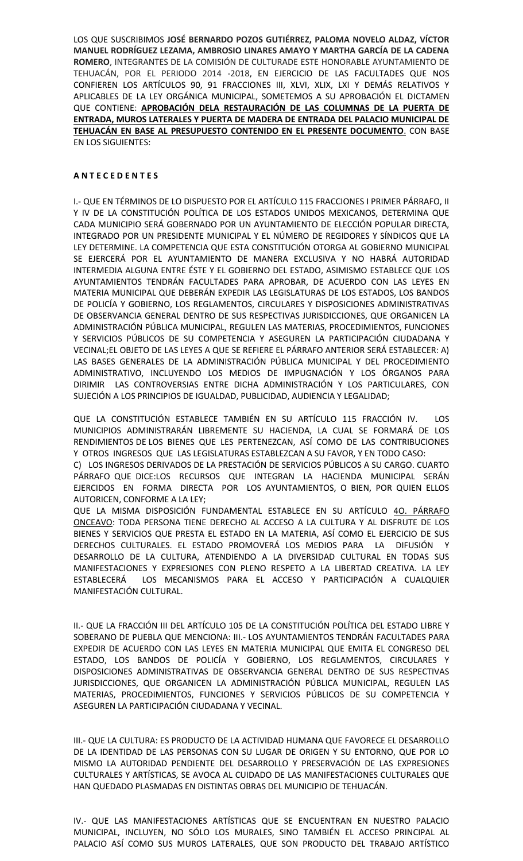LOS QUE SUSCRIBIMOS **JOSÉ BERNARDO POZOS GUTIÉRREZ, PALOMA NOVELO ALDAZ, VÍCTOR MANUEL RODRÍGUEZ LEZAMA, AMBROSIO LINARES AMAYO Y MARTHA GARCÍA DE LA CADENA ROMERO**, INTEGRANTES DE LA COMISIÓN DE CULTURADE ESTE HONORABLE AYUNTAMIENTO DE TEHUACÁN, POR EL PERIODO 2014 -2018, EN EJERCICIO DE LAS FACULTADES QUE NOS CONFIEREN LOS ARTÍCULOS 90, 91 FRACCIONES III, XLVI, XLIX, LXI Y DEMÁS RELATIVOS Y APLICABLES DE LA LEY ORGÁNICA MUNICIPAL, SOMETEMOS A SU APROBACIÓN EL DICTAMEN QUE CONTIENE: **APROBACIÓN DELA RESTAURACIÓN DE LAS COLUMNAS DE LA PUERTA DE ENTRADA, MUROS LATERALES Y PUERTA DE MADERA DE ENTRADA DEL PALACIO MUNICIPAL DE TEHUACÁN EN BASE AL PRESUPUESTO CONTENIDO EN EL PRESENTE DOCUMENTO**. CON BASE EN LOS SIGUIENTES:

#### **A N T E C E D E N T E S**

I.- QUE EN TÉRMINOS DE LO DISPUESTO POR EL ARTÍCULO 115 FRACCIONES I PRIMER PÁRRAFO, II Y IV DE LA CONSTITUCIÓN POLÍTICA DE LOS ESTADOS UNIDOS MEXICANOS, DETERMINA QUE CADA MUNICIPIO SERÁ GOBERNADO POR UN AYUNTAMIENTO DE ELECCIÓN POPULAR DIRECTA, INTEGRADO POR UN PRESIDENTE MUNICIPAL Y EL NÚMERO DE REGIDORES Y SÍNDICOS QUE LA LEY DETERMINE. LA COMPETENCIA QUE ESTA CONSTITUCIÓN OTORGA AL GOBIERNO MUNICIPAL SE EJERCERÁ POR EL AYUNTAMIENTO DE MANERA EXCLUSIVA Y NO HABRÁ AUTORIDAD INTERMEDIA ALGUNA ENTRE ÉSTE Y EL GOBIERNO DEL ESTADO, ASIMISMO ESTABLECE QUE LOS AYUNTAMIENTOS TENDRÁN FACULTADES PARA APROBAR, DE ACUERDO CON LAS LEYES EN MATERIA MUNICIPAL QUE DEBERÁN EXPEDIR LAS LEGISLATURAS DE LOS ESTADOS, LOS BANDOS DE POLICÍA Y GOBIERNO, LOS REGLAMENTOS, CIRCULARES Y DISPOSICIONES ADMINISTRATIVAS DE OBSERVANCIA GENERAL DENTRO DE SUS RESPECTIVAS JURISDICCIONES, QUE ORGANICEN LA ADMINISTRACIÓN PÚBLICA MUNICIPAL, REGULEN LAS MATERIAS, PROCEDIMIENTOS, FUNCIONES Y SERVICIOS PÚBLICOS DE SU COMPETENCIA Y ASEGUREN LA PARTICIPACIÓN CIUDADANA Y VECINAL;EL OBJETO DE LAS LEYES A QUE SE REFIERE EL PÁRRAFO ANTERIOR SERÁ ESTABLECER: A) LAS BASES GENERALES DE LA ADMINISTRACIÓN PÚBLICA MUNICIPAL Y DEL PROCEDIMIENTO ADMINISTRATIVO, INCLUYENDO LOS MEDIOS DE IMPUGNACIÓN Y LOS ÓRGANOS PARA DIRIMIR LAS CONTROVERSIAS ENTRE DICHA ADMINISTRACIÓN Y LOS PARTICULARES, CON SUJECIÓN A LOS PRINCIPIOS DE IGUALDAD, PUBLICIDAD, AUDIENCIA Y LEGALIDAD;

QUE LA CONSTITUCIÓN ESTABLECE TAMBIÉN EN SU ARTÍCULO 115 FRACCIÓN IV. LOS MUNICIPIOS ADMINISTRARÁN LIBREMENTE SU HACIENDA, LA CUAL SE FORMARÁ DE LOS RENDIMIENTOS DE LOS BIENES QUE LES PERTENEZCAN, ASÍ COMO DE LAS CONTRIBUCIONES Y OTROS INGRESOS QUE LAS LEGISLATURAS ESTABLEZCAN A SU FAVOR, Y EN TODO CASO:

C) LOS INGRESOS DERIVADOS DE LA PRESTACIÓN DE SERVICIOS PÚBLICOS A SU CARGO. CUARTO PÁRRAFO QUE DICE:LOS RECURSOS QUE INTEGRAN LA HACIENDA MUNICIPAL SERÁN EJERCIDOS EN FORMA DIRECTA POR LOS AYUNTAMIENTOS, O BIEN, POR QUIEN ELLOS AUTORICEN, CONFORME A LA LEY;

QUE LA MISMA DISPOSICIÓN FUNDAMENTAL ESTABLECE EN SU ARTÍCULO 4O. PÁRRAFO ONCEAVO: TODA PERSONA TIENE DERECHO AL ACCESO A LA CULTURA Y AL DISFRUTE DE LOS BIENES Y SERVICIOS QUE PRESTA EL ESTADO EN LA MATERIA, ASÍ COMO EL EJERCICIO DE SUS DERECHOS CULTURALES. EL ESTADO PROMOVERÁ LOS MEDIOS PARA LA DIFUSIÓN Y DESARROLLO DE LA CULTURA, ATENDIENDO A LA DIVERSIDAD CULTURAL EN TODAS SUS MANIFESTACIONES Y EXPRESIONES CON PLENO RESPETO A LA LIBERTAD CREATIVA. LA LEY ESTABLECERÁ LOS MECANISMOS PARA EL ACCESO Y PARTICIPACIÓN A CUALQUIER MANIFESTACIÓN CULTURAL.

II.- QUE LA FRACCIÓN III DEL ARTÍCULO 105 DE LA CONSTITUCIÓN POLÍTICA DEL ESTADO LIBRE Y SOBERANO DE PUEBLA QUE MENCIONA: III.- LOS AYUNTAMIENTOS TENDRÁN FACULTADES PARA EXPEDIR DE ACUERDO CON LAS LEYES EN MATERIA MUNICIPAL QUE EMITA EL CONGRESO DEL ESTADO, LOS BANDOS DE POLICÍA Y GOBIERNO, LOS REGLAMENTOS, CIRCULARES Y DISPOSICIONES ADMINISTRATIVAS DE OBSERVANCIA GENERAL DENTRO DE SUS RESPECTIVAS JURISDICCIONES, QUE ORGANICEN LA ADMINISTRACIÓN PÚBLICA MUNICIPAL, REGULEN LAS MATERIAS, PROCEDIMIENTOS, FUNCIONES Y SERVICIOS PÚBLICOS DE SU COMPETENCIA Y ASEGUREN LA PARTICIPACIÓN CIUDADANA Y VECINAL.

III.- QUE LA CULTURA: ES PRODUCTO DE LA ACTIVIDAD HUMANA QUE FAVORECE EL DESARROLLO DE LA IDENTIDAD DE LAS PERSONAS CON SU LUGAR DE ORIGEN Y SU ENTORNO, QUE POR LO MISMO LA AUTORIDAD PENDIENTE DEL DESARROLLO Y PRESERVACIÓN DE LAS EXPRESIONES CULTURALES Y ARTÍSTICAS, SE AVOCA AL CUIDADO DE LAS MANIFESTACIONES CULTURALES QUE HAN QUEDADO PLASMADAS EN DISTINTAS OBRAS DEL MUNICIPIO DE TEHUACÁN.

IV.- QUE LAS MANIFESTACIONES ARTÍSTICAS QUE SE ENCUENTRAN EN NUESTRO PALACIO MUNICIPAL, INCLUYEN, NO SÓLO LOS MURALES, SINO TAMBIÉN EL ACCESO PRINCIPAL AL PALACIO ASÍ COMO SUS MUROS LATERALES, QUE SON PRODUCTO DEL TRABAJO ARTÍSTICO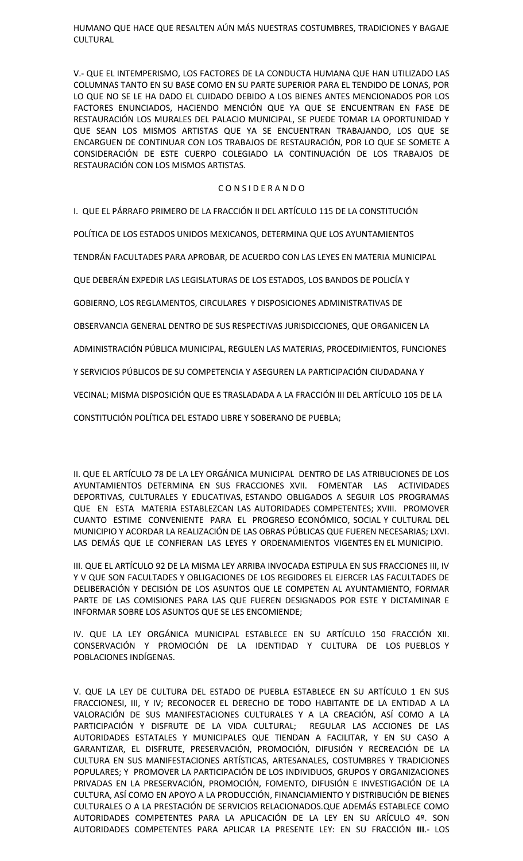HUMANO QUE HACE QUE RESALTEN AÚN MÁS NUESTRAS COSTUMBRES, TRADICIONES Y BAGAJE **CULTURAL** 

V.- QUE EL INTEMPERISMO, LOS FACTORES DE LA CONDUCTA HUMANA QUE HAN UTILIZADO LAS COLUMNAS TANTO EN SU BASE COMO EN SU PARTE SUPERIOR PARA EL TENDIDO DE LONAS, POR LO QUE NO SE LE HA DADO EL CUIDADO DEBIDO A LOS BIENES ANTES MENCIONADOS POR LOS FACTORES ENUNCIADOS, HACIENDO MENCIÓN QUE YA QUE SE ENCUENTRAN EN FASE DE RESTAURACIÓN LOS MURALES DEL PALACIO MUNICIPAL, SE PUEDE TOMAR LA OPORTUNIDAD Y QUE SEAN LOS MISMOS ARTISTAS QUE YA SE ENCUENTRAN TRABAJANDO, LOS QUE SE ENCARGUEN DE CONTINUAR CON LOS TRABAJOS DE RESTAURACIÓN, POR LO QUE SE SOMETE A CONSIDERACIÓN DE ESTE CUERPO COLEGIADO LA CONTINUACIÓN DE LOS TRABAJOS DE RESTAURACIÓN CON LOS MISMOS ARTISTAS.

### C O N S I D E R A N D O

I. QUE EL PÁRRAFO PRIMERO DE LA FRACCIÓN II DEL ARTÍCULO 115 DE LA CONSTITUCIÓN

POLÍTICA DE LOS ESTADOS UNIDOS MEXICANOS, DETERMINA QUE LOS AYUNTAMIENTOS

TENDRÁN FACULTADES PARA APROBAR, DE ACUERDO CON LAS LEYES EN MATERIA MUNICIPAL

QUE DEBERÁN EXPEDIR LAS LEGISLATURAS DE LOS ESTADOS, LOS BANDOS DE POLICÍA Y

GOBIERNO, LOS REGLAMENTOS, CIRCULARES Y DISPOSICIONES ADMINISTRATIVAS DE

OBSERVANCIA GENERAL DENTRO DE SUS RESPECTIVAS JURISDICCIONES, QUE ORGANICEN LA

ADMINISTRACIÓN PÚBLICA MUNICIPAL, REGULEN LAS MATERIAS, PROCEDIMIENTOS, FUNCIONES

Y SERVICIOS PÚBLICOS DE SU COMPETENCIA Y ASEGUREN LA PARTICIPACIÓN CIUDADANA Y

VECINAL; MISMA DISPOSICIÓN QUE ES TRASLADADA A LA FRACCIÓN III DEL ARTÍCULO 105 DE LA

CONSTITUCIÓN POLÍTICA DEL ESTADO LIBRE Y SOBERANO DE PUEBLA;

II. QUE EL ARTÍCULO 78 DE LA LEY ORGÁNICA MUNICIPAL DENTRO DE LAS ATRIBUCIONES DE LOS AYUNTAMIENTOS DETERMINA EN SUS FRACCIONES XVII. FOMENTAR LAS ACTIVIDADES DEPORTIVAS, CULTURALES Y EDUCATIVAS, ESTANDO OBLIGADOS A SEGUIR LOS PROGRAMAS QUE EN ESTA MATERIA ESTABLEZCAN LAS AUTORIDADES COMPETENTES; XVIII. PROMOVER CUANTO ESTIME CONVENIENTE PARA EL PROGRESO ECONÓMICO, SOCIAL Y CULTURAL DEL MUNICIPIO Y ACORDAR LA REALIZACIÓN DE LAS OBRAS PÚBLICAS QUE FUEREN NECESARIAS; LXVI. LAS DEMÁS QUE LE CONFIERAN LAS LEYES Y ORDENAMIENTOS VIGENTES EN EL MUNICIPIO.

III. QUE EL ARTÍCULO 92 DE LA MISMA LEY ARRIBA INVOCADA ESTIPULA EN SUS FRACCIONES III, IV Y V QUE SON FACULTADES Y OBLIGACIONES DE LOS REGIDORES EL EJERCER LAS FACULTADES DE DELIBERACIÓN Y DECISIÓN DE LOS ASUNTOS QUE LE COMPETEN AL AYUNTAMIENTO, FORMAR PARTE DE LAS COMISIONES PARA LAS QUE FUEREN DESIGNADOS POR ESTE Y DICTAMINAR E INFORMAR SOBRE LOS ASUNTOS QUE SE LES ENCOMIENDE;

IV. QUE LA LEY ORGÁNICA MUNICIPAL ESTABLECE EN SU ARTÍCULO 150 FRACCIÓN XII. CONSERVACIÓN Y PROMOCIÓN DE LA IDENTIDAD Y CULTURA DE LOS PUEBLOS Y POBLACIONES INDÍGENAS.

V. QUE LA LEY DE CULTURA DEL ESTADO DE PUEBLA ESTABLECE EN SU ARTÍCULO 1 EN SUS FRACCIONESI, III, Y IV; RECONOCER EL DERECHO DE TODO HABITANTE DE LA ENTIDAD A LA VALORACIÓN DE SUS MANIFESTACIONES CULTURALES Y A LA CREACIÓN, ASÍ COMO A LA PARTICIPACIÓN Y DISFRUTE DE LA VIDA CULTURAL; REGULAR LAS ACCIONES DE LAS AUTORIDADES ESTATALES Y MUNICIPALES QUE TIENDAN A FACILITAR, Y EN SU CASO A GARANTIZAR, EL DISFRUTE, PRESERVACIÓN, PROMOCIÓN, DIFUSIÓN Y RECREACIÓN DE LA CULTURA EN SUS MANIFESTACIONES ARTÍSTICAS, ARTESANALES, COSTUMBRES Y TRADICIONES POPULARES; Y PROMOVER LA PARTICIPACIÓN DE LOS INDIVIDUOS, GRUPOS Y ORGANIZACIONES PRIVADAS EN LA PRESERVACIÓN, PROMOCIÓN, FOMENTO, DIFUSIÓN E INVESTIGACIÓN DE LA CULTURA, ASÍ COMO EN APOYO A LA PRODUCCIÓN, FINANCIAMIENTO Y DISTRIBUCIÓN DE BIENES CULTURALES O A LA PRESTACIÓN DE SERVICIOS RELACIONADOS.QUE ADEMÁS ESTABLECE COMO AUTORIDADES COMPETENTES PARA LA APLICACIÓN DE LA LEY EN SU ARÍCULO 4º. SON AUTORIDADES COMPETENTES PARA APLICAR LA PRESENTE LEY: EN SU FRACCIÓN **III**.- LOS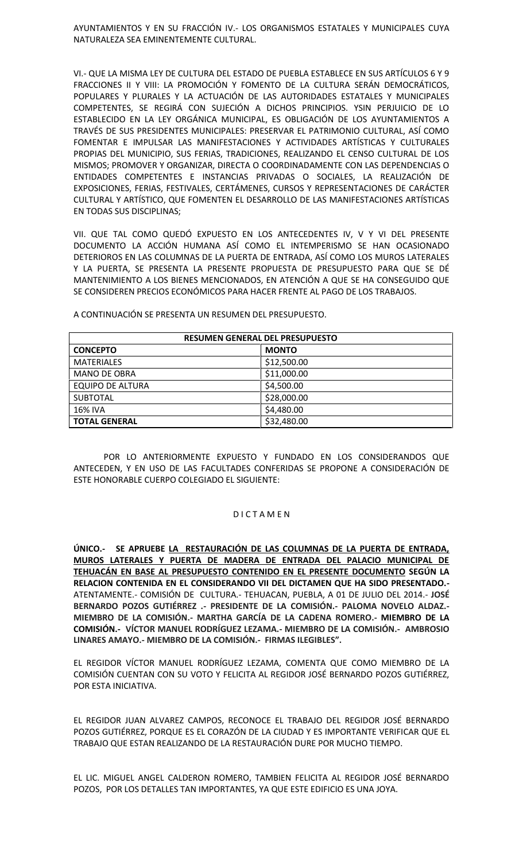AYUNTAMIENTOS Y EN SU FRACCIÓN IV.- LOS ORGANISMOS ESTATALES Y MUNICIPALES CUYA NATURALEZA SEA EMINENTEMENTE CULTURAL.

VI.- QUE LA MISMA LEY DE CULTURA DEL ESTADO DE PUEBLA ESTABLECE EN SUS ARTÍCULOS 6 Y 9 FRACCIONES II Y VIII: LA PROMOCIÓN Y FOMENTO DE LA CULTURA SERÁN DEMOCRÁTICOS, POPULARES Y PLURALES Y LA ACTUACIÓN DE LAS AUTORIDADES ESTATALES Y MUNICIPALES COMPETENTES, SE REGIRÁ CON SUJECIÓN A DICHOS PRINCIPIOS. YSIN PERJUICIO DE LO ESTABLECIDO EN LA LEY ORGÁNICA MUNICIPAL, ES OBLIGACIÓN DE LOS AYUNTAMIENTOS A TRAVÉS DE SUS PRESIDENTES MUNICIPALES: PRESERVAR EL PATRIMONIO CULTURAL, ASÍ COMO FOMENTAR E IMPULSAR LAS MANIFESTACIONES Y ACTIVIDADES ARTÍSTICAS Y CULTURALES PROPIAS DEL MUNICIPIO, SUS FERIAS, TRADICIONES, REALIZANDO EL CENSO CULTURAL DE LOS MISMOS; PROMOVER Y ORGANIZAR, DIRECTA O COORDINADAMENTE CON LAS DEPENDENCIAS O ENTIDADES COMPETENTES E INSTANCIAS PRIVADAS O SOCIALES, LA REALIZACIÓN DE EXPOSICIONES, FERIAS, FESTIVALES, CERTÁMENES, CURSOS Y REPRESENTACIONES DE CARÁCTER CULTURAL Y ARTÍSTICO, QUE FOMENTEN EL DESARROLLO DE LAS MANIFESTACIONES ARTÍSTICAS EN TODAS SUS DISCIPLINAS;

VII. QUE TAL COMO QUEDÓ EXPUESTO EN LOS ANTECEDENTES IV, V Y VI DEL PRESENTE DOCUMENTO LA ACCIÓN HUMANA ASÍ COMO EL INTEMPERISMO SE HAN OCASIONADO DETERIOROS EN LAS COLUMNAS DE LA PUERTA DE ENTRADA, ASÍ COMO LOS MUROS LATERALES Y LA PUERTA, SE PRESENTA LA PRESENTE PROPUESTA DE PRESUPUESTO PARA QUE SE DÉ MANTENIMIENTO A LOS BIENES MENCIONADOS, EN ATENCIÓN A QUE SE HA CONSEGUIDO QUE SE CONSIDEREN PRECIOS ECONÓMICOS PARA HACER FRENTE AL PAGO DE LOS TRABAJOS.

| <b>RESUMEN GENERAL DEL PRESUPUESTO</b> |              |  |
|----------------------------------------|--------------|--|
| <b>CONCEPTO</b>                        | <b>MONTO</b> |  |
| <b>MATERIALES</b>                      | \$12,500.00  |  |
| <b>MANO DE OBRA</b>                    | \$11,000.00  |  |
| EQUIPO DE ALTURA                       | \$4,500.00   |  |
| <b>SUBTOTAL</b>                        | \$28,000.00  |  |
| 16% IVA                                | \$4,480.00   |  |
| <b>TOTAL GENERAL</b>                   | \$32,480.00  |  |

A CONTINUACIÓN SE PRESENTA UN RESUMEN DEL PRESUPUESTO.

POR LO ANTERIORMENTE EXPUESTO Y FUNDADO EN LOS CONSIDERANDOS QUE ANTECEDEN, Y EN USO DE LAS FACULTADES CONFERIDAS SE PROPONE A CONSIDERACIÓN DE ESTE HONORABLE CUERPO COLEGIADO EL SIGUIENTE:

#### D I C T A M E N

**ÚNICO.- SE APRUEBE LA RESTAURACIÓN DE LAS COLUMNAS DE LA PUERTA DE ENTRADA, MUROS LATERALES Y PUERTA DE MADERA DE ENTRADA DEL PALACIO MUNICIPAL DE TEHUACÁN EN BASE AL PRESUPUESTO CONTENIDO EN EL PRESENTE DOCUMENTO SEGÚN LA RELACION CONTENIDA EN EL CONSIDERANDO VII DEL DICTAMEN QUE HA SIDO PRESENTADO.-** ATENTAMENTE.- COMISIÓN DE CULTURA.- TEHUACAN, PUEBLA, A 01 DE JULIO DEL 2014.- **JOSÉ BERNARDO POZOS GUTIÉRREZ .- PRESIDENTE DE LA COMISIÓN.- PALOMA NOVELO ALDAZ.- MIEMBRO DE LA COMISIÓN.- MARTHA GARCÍA DE LA CADENA ROMERO.- MIEMBRO DE LA COMISIÓN.- VÍCTOR MANUEL RODRÍGUEZ LEZAMA.- MIEMBRO DE LA COMISIÓN.- AMBROSIO LINARES AMAYO.- MIEMBRO DE LA COMISIÓN.- FIRMAS ILEGIBLES".**

EL REGIDOR VÍCTOR MANUEL RODRÍGUEZ LEZAMA, COMENTA QUE COMO MIEMBRO DE LA COMISIÓN CUENTAN CON SU VOTO Y FELICITA AL REGIDOR JOSÉ BERNARDO POZOS GUTIÉRREZ, POR ESTA INICIATIVA.

EL REGIDOR JUAN ALVAREZ CAMPOS, RECONOCE EL TRABAJO DEL REGIDOR JOSÉ BERNARDO POZOS GUTIÉRREZ, PORQUE ES EL CORAZÓN DE LA CIUDAD Y ES IMPORTANTE VERIFICAR QUE EL TRABAJO QUE ESTAN REALIZANDO DE LA RESTAURACIÓN DURE POR MUCHO TIEMPO.

EL LIC. MIGUEL ANGEL CALDERON ROMERO, TAMBIEN FELICITA AL REGIDOR JOSÉ BERNARDO POZOS, POR LOS DETALLES TAN IMPORTANTES, YA QUE ESTE EDIFICIO ES UNA JOYA.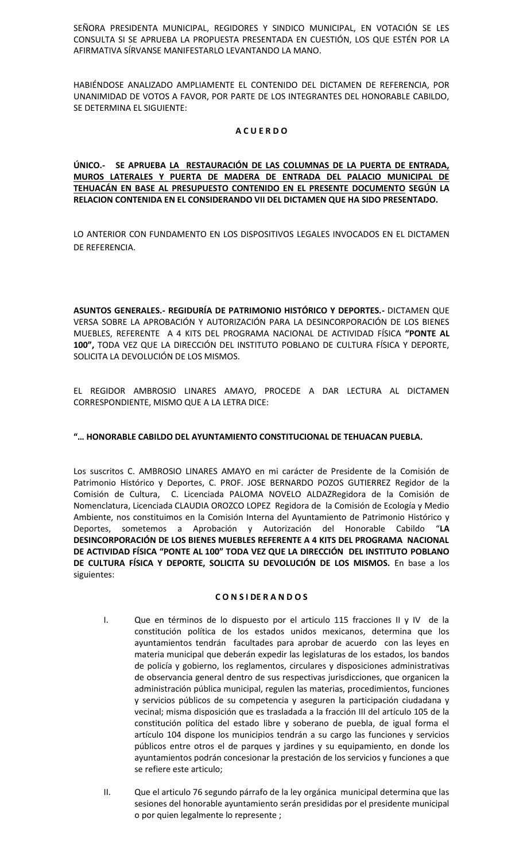SEÑORA PRESIDENTA MUNICIPAL, REGIDORES Y SINDICO MUNICIPAL, EN VOTACIÓN SE LES CONSULTA SI SE APRUEBA LA PROPUESTA PRESENTADA EN CUESTIÓN, LOS QUE ESTÉN POR LA AFIRMATIVA SÍRVANSE MANIFESTARLO LEVANTANDO LA MANO.

HABIÉNDOSE ANALIZADO AMPLIAMENTE EL CONTENIDO DEL DICTAMEN DE REFERENCIA, POR UNANIMIDAD DE VOTOS A FAVOR, POR PARTE DE LOS INTEGRANTES DEL HONORABLE CABILDO, SE DETERMINA EL SIGUIENTE:

#### **A C U E R D O**

### **ÚNICO.- SE APRUEBA LA RESTAURACIÓN DE LAS COLUMNAS DE LA PUERTA DE ENTRADA, MUROS LATERALES Y PUERTA DE MADERA DE ENTRADA DEL PALACIO MUNICIPAL DE TEHUACÁN EN BASE AL PRESUPUESTO CONTENIDO EN EL PRESENTE DOCUMENTO SEGÚN LA RELACION CONTENIDA EN EL CONSIDERANDO VII DEL DICTAMEN QUE HA SIDO PRESENTADO.**

LO ANTERIOR CON FUNDAMENTO EN LOS DISPOSITIVOS LEGALES INVOCADOS EN EL DICTAMEN DE REFERENCIA.

**ASUNTOS GENERALES.- REGIDURÍA DE PATRIMONIO HISTÓRICO Y DEPORTES.-** DICTAMEN QUE VERSA SOBRE LA APROBACIÓN Y AUTORIZACIÓN PARA LA DESINCORPORACIÓN DE LOS BIENES MUEBLES, REFERENTE A 4 KITS DEL PROGRAMA NACIONAL DE ACTIVIDAD FÍSICA **"PONTE AL 100",** TODA VEZ QUE LA DIRECCIÓN DEL INSTITUTO POBLANO DE CULTURA FÍSICA Y DEPORTE, SOLICITA LA DEVOLUCIÓN DE LOS MISMOS.

EL REGIDOR AMBROSIO LINARES AMAYO, PROCEDE A DAR LECTURA AL DICTAMEN CORRESPONDIENTE, MISMO QUE A LA LETRA DICE:

#### **"… HONORABLE CABILDO DEL AYUNTAMIENTO CONSTITUCIONAL DE TEHUACAN PUEBLA.**

Los suscritos C. AMBROSIO LINARES AMAYO en mi carácter de Presidente de la Comisión de Patrimonio Histórico y Deportes, C. PROF. JOSE BERNARDO POZOS GUTIERREZ Regidor de la Comisión de Cultura, C. Licenciada PALOMA NOVELO ALDAZRegidora de la Comisión de Nomenclatura, Licenciada CLAUDIA OROZCO LOPEZ Regidora de la Comisión de Ecología y Medio Ambiente, nos constituimos en la Comisión Interna del Ayuntamiento de Patrimonio Histórico y Deportes, sometemos a Aprobación y Autorización del Honorable Cabildo "**LA DESINCORPORACIÓN DE LOS BIENES MUEBLES REFERENTE A 4 KITS DEL PROGRAMA NACIONAL DE ACTIVIDAD FÍSICA "PONTE AL 100" TODA VEZ QUE LA DIRECCIÓN DEL INSTITUTO POBLANO DE CULTURA FÍSICA Y DEPORTE, SOLICITA SU DEVOLUCIÓN DE LOS MISMOS.** En base a los siguientes:

#### **C O N S I DE R A N D O S**

- I. Que en términos de lo dispuesto por el articulo 115 fracciones II y IV de la constitución política de los estados unidos mexicanos, determina que los ayuntamientos tendrán facultades para aprobar de acuerdo con las leyes en materia municipal que deberán expedir las legislaturas de los estados, los bandos de policía y gobierno, los reglamentos, circulares y disposiciones administrativas de observancia general dentro de sus respectivas jurisdicciones, que organicen la administración pública municipal, regulen las materias, procedimientos, funciones y servicios públicos de su competencia y aseguren la participación ciudadana y vecinal; misma disposición que es trasladada a la fracción III del artículo 105 de la constitución política del estado libre y soberano de puebla, de igual forma el artículo 104 dispone los municipios tendrán a su cargo las funciones y servicios públicos entre otros el de parques y jardines y su equipamiento, en donde los ayuntamientos podrán concesionar la prestación de los servicios y funciones a que se refiere este articulo;
- II. Que el articulo 76 segundo párrafo de la ley orgánica municipal determina que las sesiones del honorable ayuntamiento serán presididas por el presidente municipal o por quien legalmente lo represente ;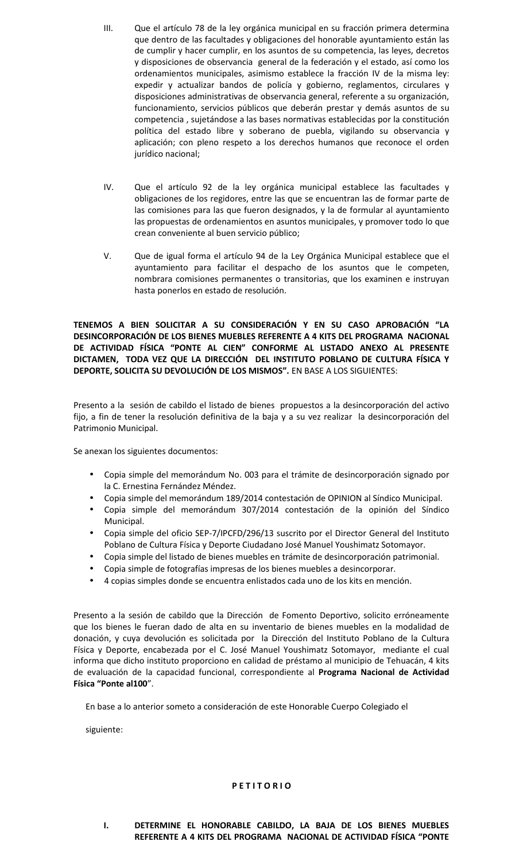- III. Que el artículo 78 de la ley orgánica municipal en su fracción primera determina que dentro de las facultades y obligaciones del honorable ayuntamiento están las de cumplir y hacer cumplir, en los asuntos de su competencia, las leyes, decretos y disposiciones de observancia general de la federación y el estado, así como los ordenamientos municipales, asimismo establece la fracción IV de la misma ley: expedir y actualizar bandos de policía y gobierno, reglamentos, circulares y disposiciones administrativas de observancia general, referente a su organización, funcionamiento, servicios públicos que deberán prestar y demás asuntos de su competencia , sujetándose a las bases normativas establecidas por la constitución política del estado libre y soberano de puebla, vigilando su observancia y aplicación; con pleno respeto a los derechos humanos que reconoce el orden jurídico nacional;
- IV. Que el artículo 92 de la ley orgánica municipal establece las facultades y obligaciones de los regidores, entre las que se encuentran las de formar parte de las comisiones para las que fueron designados, y la de formular al ayuntamiento las propuestas de ordenamientos en asuntos municipales, y promover todo lo que crean conveniente al buen servicio público;
- V. Que de igual forma el artículo 94 de la Ley Orgánica Municipal establece que el ayuntamiento para facilitar el despacho de los asuntos que le competen, nombrara comisiones permanentes o transitorias, que los examinen e instruyan hasta ponerlos en estado de resolución.

**TENEMOS A BIEN SOLICITAR A SU CONSIDERACIÓN Y EN SU CASO APROBACIÓN "LA DESINCORPORACIÓN DE LOS BIENES MUEBLES REFERENTE A 4 KITS DEL PROGRAMA NACIONAL DE ACTIVIDAD FÍSICA "PONTE AL CIEN" CONFORME AL LISTADO ANEXO AL PRESENTE DICTAMEN, TODA VEZ QUE LA DIRECCIÓN DEL INSTITUTO POBLANO DE CULTURA FÍSICA Y DEPORTE, SOLICITA SU DEVOLUCIÓN DE LOS MISMOS".** EN BASE A LOS SIGUIENTES:

Presento a la sesión de cabildo el listado de bienes propuestos a la desincorporación del activo fijo, a fin de tener la resolución definitiva de la baja y a su vez realizar la desincorporación del Patrimonio Municipal.

Se anexan los siguientes documentos:

- Copia simple del memorándum No. 003 para el trámite de desincorporación signado por la C. Ernestina Fernández Méndez.
- Copia simple del memorándum 189/2014 contestación de OPINION al Síndico Municipal.
- Copia simple del memorándum 307/2014 contestación de la opinión del Síndico Municipal.
- Copia simple del oficio SEP-7/IPCFD/296/13 suscrito por el Director General del Instituto Poblano de Cultura Física y Deporte Ciudadano José Manuel Youshimatz Sotomayor.
- Copia simple del listado de bienes muebles en trámite de desincorporación patrimonial.
- Copia simple de fotografías impresas de los bienes muebles a desincorporar.
- 4 copias simples donde se encuentra enlistados cada uno de los kits en mención.

Presento a la sesión de cabildo que la Dirección de Fomento Deportivo, solicito erróneamente que los bienes le fueran dado de alta en su inventario de bienes muebles en la modalidad de donación, y cuya devolución es solicitada por la Dirección del Instituto Poblano de la Cultura Física y Deporte, encabezada por el C. José Manuel Youshimatz Sotomayor, mediante el cual informa que dicho instituto proporciono en calidad de préstamo al municipio de Tehuacán, 4 kits de evaluación de la capacidad funcional, correspondiente al **Programa Nacional de Actividad Física "Ponte al100**".

En base a lo anterior someto a consideración de este Honorable Cuerpo Colegiado el

siguiente:

#### **P E T I T O R I O**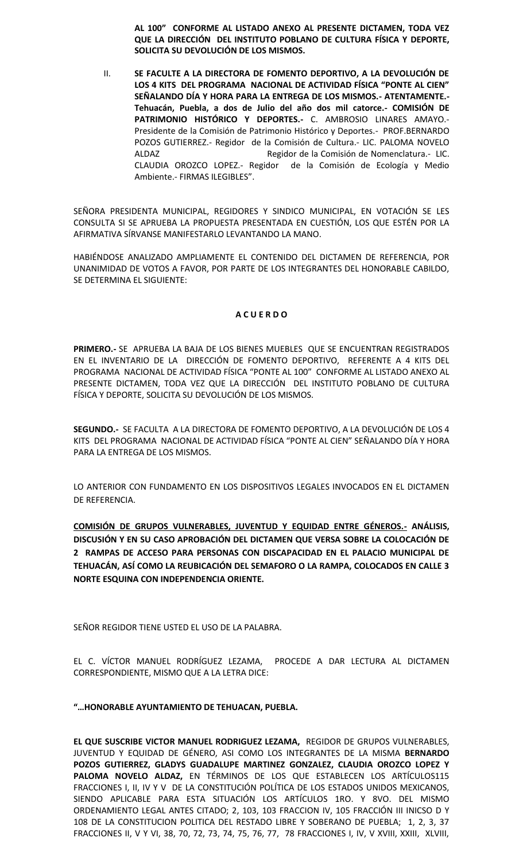**AL 100" CONFORME AL LISTADO ANEXO AL PRESENTE DICTAMEN, TODA VEZ QUE LA DIRECCIÓN DEL INSTITUTO POBLANO DE CULTURA FÍSICA Y DEPORTE, SOLICITA SU DEVOLUCIÓN DE LOS MISMOS.**

II. **SE FACULTE A LA DIRECTORA DE FOMENTO DEPORTIVO, A LA DEVOLUCIÓN DE LOS 4 KITS DEL PROGRAMA NACIONAL DE ACTIVIDAD FÍSICA "PONTE AL CIEN" SEÑALANDO DÍA Y HORA PARA LA ENTREGA DE LOS MISMOS.- ATENTAMENTE.- Tehuacán, Puebla, a dos de Julio del año dos mil catorce.- COMISIÓN DE PATRIMONIO HISTÓRICO Y DEPORTES.-** C. AMBROSIO LINARES AMAYO.- Presidente de la Comisión de Patrimonio Histórico y Deportes.- PROF.BERNARDO POZOS GUTIERREZ.- Regidor de la Comisión de Cultura.- LIC. PALOMA NOVELO ALDAZ Regidor de la Comisión de Nomenclatura.- LIC. CLAUDIA OROZCO LOPEZ.- Regidor de la Comisión de Ecología y Medio Ambiente.- FIRMAS ILEGIBLES".

SEÑORA PRESIDENTA MUNICIPAL, REGIDORES Y SINDICO MUNICIPAL, EN VOTACIÓN SE LES CONSULTA SI SE APRUEBA LA PROPUESTA PRESENTADA EN CUESTIÓN, LOS QUE ESTÉN POR LA AFIRMATIVA SÍRVANSE MANIFESTARLO LEVANTANDO LA MANO.

HABIÉNDOSE ANALIZADO AMPLIAMENTE EL CONTENIDO DEL DICTAMEN DE REFERENCIA, POR UNANIMIDAD DE VOTOS A FAVOR, POR PARTE DE LOS INTEGRANTES DEL HONORABLE CABILDO, SE DETERMINA EL SIGUIENTE:

#### **A C U E R D O**

**PRIMERO.-** SE APRUEBA LA BAJA DE LOS BIENES MUEBLES QUE SE ENCUENTRAN REGISTRADOS EN EL INVENTARIO DE LA DIRECCIÓN DE FOMENTO DEPORTIVO, REFERENTE A 4 KITS DEL PROGRAMA NACIONAL DE ACTIVIDAD FÍSICA "PONTE AL 100" CONFORME AL LISTADO ANEXO AL PRESENTE DICTAMEN, TODA VEZ QUE LA DIRECCIÓN DEL INSTITUTO POBLANO DE CULTURA FÍSICA Y DEPORTE, SOLICITA SU DEVOLUCIÓN DE LOS MISMOS.

**SEGUNDO.-** SE FACULTA A LA DIRECTORA DE FOMENTO DEPORTIVO, A LA DEVOLUCIÓN DE LOS 4 KITS DEL PROGRAMA NACIONAL DE ACTIVIDAD FÍSICA "PONTE AL CIEN" SEÑALANDO DÍA Y HORA PARA LA ENTREGA DE LOS MISMOS.

LO ANTERIOR CON FUNDAMENTO EN LOS DISPOSITIVOS LEGALES INVOCADOS EN EL DICTAMEN DE REFERENCIA.

**COMISIÓN DE GRUPOS VULNERABLES, JUVENTUD Y EQUIDAD ENTRE GÉNEROS.- ANÁLISIS, DISCUSIÓN Y EN SU CASO APROBACIÓN DEL DICTAMEN QUE VERSA SOBRE LA COLOCACIÓN DE 2 RAMPAS DE ACCESO PARA PERSONAS CON DISCAPACIDAD EN EL PALACIO MUNICIPAL DE TEHUACÁN, ASÍ COMO LA REUBICACIÓN DEL SEMAFORO O LA RAMPA, COLOCADOS EN CALLE 3 NORTE ESQUINA CON INDEPENDENCIA ORIENTE.**

SEÑOR REGIDOR TIENE USTED EL USO DE LA PALABRA.

EL C. VÍCTOR MANUEL RODRÍGUEZ LEZAMA, PROCEDE A DAR LECTURA AL DICTAMEN CORRESPONDIENTE, MISMO QUE A LA LETRA DICE:

#### **"…HONORABLE AYUNTAMIENTO DE TEHUACAN, PUEBLA.**

**EL QUE SUSCRIBE VICTOR MANUEL RODRIGUEZ LEZAMA,** REGIDOR DE GRUPOS VULNERABLES, JUVENTUD Y EQUIDAD DE GÉNERO, ASI COMO LOS INTEGRANTES DE LA MISMA **BERNARDO POZOS GUTIERREZ, GLADYS GUADALUPE MARTINEZ GONZALEZ, CLAUDIA OROZCO LOPEZ Y PALOMA NOVELO ALDAZ,** EN TÉRMINOS DE LOS QUE ESTABLECEN LOS ARTÍCULOS115 FRACCIONES I, II, IV Y V DE LA CONSTITUCIÓN POLÍTICA DE LOS ESTADOS UNIDOS MEXICANOS, SIENDO APLICABLE PARA ESTA SITUACIÓN LOS ARTÍCULOS 1RO. Y 8VO. DEL MISMO ORDENAMIENTO LEGAL ANTES CITADO; 2, 103, 103 FRACCION IV, 105 FRACCIÓN III INICSO D Y 108 DE LA CONSTITUCION POLITICA DEL RESTADO LIBRE Y SOBERANO DE PUEBLA; 1, 2, 3, 37 FRACCIONES II, V Y VI, 38, 70, 72, 73, 74, 75, 76, 77, 78 FRACCIONES I, IV, V XVIII, XXIII, XLVIII,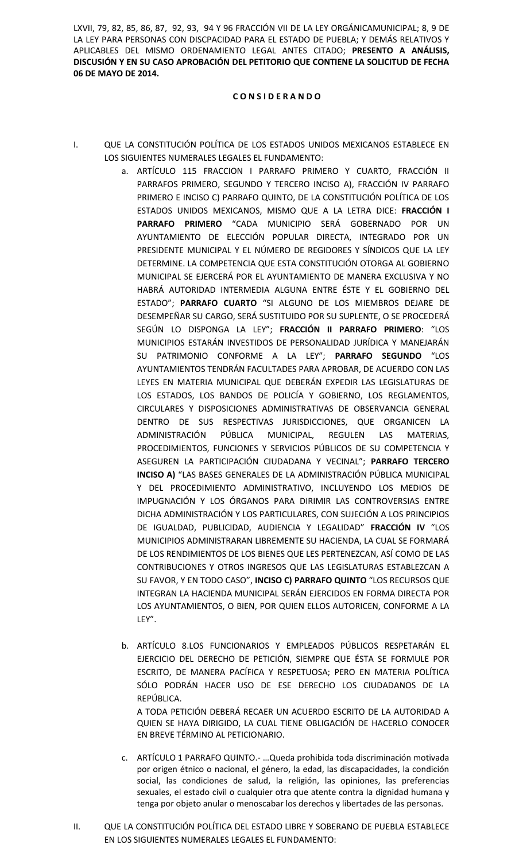LXVII, 79, 82, 85, 86, 87, 92, 93, 94 Y 96 FRACCIÓN VII DE LA LEY ORGÁNICAMUNICIPAL; 8, 9 DE LA LEY PARA PERSONAS CON DISCPACIDAD PARA EL ESTADO DE PUEBLA; Y DEMÁS RELATIVOS Y APLICABLES DEL MISMO ORDENAMIENTO LEGAL ANTES CITADO; **PRESENTO A ANÁLISIS, DISCUSIÓN Y EN SU CASO APROBACIÓN DEL PETITORIO QUE CONTIENE LA SOLICITUD DE FECHA 06 DE MAYO DE 2014.**

#### **C O N S I D E R A N D O**

- I. QUE LA CONSTITUCIÓN POLÍTICA DE LOS ESTADOS UNIDOS MEXICANOS ESTABLECE EN LOS SIGUIENTES NUMERALES LEGALES EL FUNDAMENTO:
	- a. ARTÍCULO 115 FRACCION I PARRAFO PRIMERO Y CUARTO, FRACCIÓN II PARRAFOS PRIMERO, SEGUNDO Y TERCERO INCISO A), FRACCIÓN IV PARRAFO PRIMERO E INCISO C) PARRAFO QUINTO, DE LA CONSTITUCIÓN POLÍTICA DE LOS ESTADOS UNIDOS MEXICANOS, MISMO QUE A LA LETRA DICE: **FRACCIÓN I PARRAFO PRIMERO** "CADA MUNICIPIO SERÁ GOBERNADO POR UN AYUNTAMIENTO DE ELECCIÓN POPULAR DIRECTA, INTEGRADO POR UN PRESIDENTE MUNICIPAL Y EL NÚMERO DE REGIDORES Y SÍNDICOS QUE LA LEY DETERMINE. LA COMPETENCIA QUE ESTA CONSTITUCIÓN OTORGA AL GOBIERNO MUNICIPAL SE EJERCERÁ POR EL AYUNTAMIENTO DE MANERA EXCLUSIVA Y NO HABRÁ AUTORIDAD INTERMEDIA ALGUNA ENTRE ÉSTE Y EL GOBIERNO DEL ESTADO"; **PARRAFO CUARTO** "SI ALGUNO DE LOS MIEMBROS DEJARE DE DESEMPEÑAR SU CARGO, SERÁ SUSTITUIDO POR SU SUPLENTE, O SE PROCEDERÁ SEGÚN LO DISPONGA LA LEY"; **FRACCIÓN II PARRAFO PRIMERO**: "LOS MUNICIPIOS ESTARÁN INVESTIDOS DE PERSONALIDAD JURÍDICA Y MANEJARÁN SU PATRIMONIO CONFORME A LA LEY"; **PARRAFO SEGUNDO** "LOS AYUNTAMIENTOS TENDRÁN FACULTADES PARA APROBAR, DE ACUERDO CON LAS LEYES EN MATERIA MUNICIPAL QUE DEBERÁN EXPEDIR LAS LEGISLATURAS DE LOS ESTADOS, LOS BANDOS DE POLICÍA Y GOBIERNO, LOS REGLAMENTOS, CIRCULARES Y DISPOSICIONES ADMINISTRATIVAS DE OBSERVANCIA GENERAL DENTRO DE SUS RESPECTIVAS JURISDICCIONES, QUE ORGANICEN LA ADMINISTRACIÓN PÚBLICA MUNICIPAL, REGULEN LAS MATERIAS, PROCEDIMIENTOS, FUNCIONES Y SERVICIOS PÚBLICOS DE SU COMPETENCIA Y ASEGUREN LA PARTICIPACIÓN CIUDADANA Y VECINAL"; **PARRAFO TERCERO INCISO A)** "LAS BASES GENERALES DE LA ADMINISTRACIÓN PÚBLICA MUNICIPAL Y DEL PROCEDIMIENTO ADMINISTRATIVO, INCLUYENDO LOS MEDIOS DE IMPUGNACIÓN Y LOS ÓRGANOS PARA DIRIMIR LAS CONTROVERSIAS ENTRE DICHA ADMINISTRACIÓN Y LOS PARTICULARES, CON SUJECIÓN A LOS PRINCIPIOS DE IGUALDAD, PUBLICIDAD, AUDIENCIA Y LEGALIDAD" **FRACCIÓN IV** "LOS MUNICIPIOS ADMINISTRARAN LIBREMENTE SU HACIENDA, LA CUAL SE FORMARÁ DE LOS RENDIMIENTOS DE LOS BIENES QUE LES PERTENEZCAN, ASÍ COMO DE LAS CONTRIBUCIONES Y OTROS INGRESOS QUE LAS LEGISLATURAS ESTABLEZCAN A SU FAVOR, Y EN TODO CASO", **INCISO C) PARRAFO QUINTO** "LOS RECURSOS QUE INTEGRAN LA HACIENDA MUNICIPAL SERÁN EJERCIDOS EN FORMA DIRECTA POR LOS AYUNTAMIENTOS, O BIEN, POR QUIEN ELLOS AUTORICEN, CONFORME A LA LEY".
	- b. ARTÍCULO 8.LOS FUNCIONARIOS Y EMPLEADOS PÚBLICOS RESPETARÁN EL EJERCICIO DEL DERECHO DE PETICIÓN, SIEMPRE QUE ÉSTA SE FORMULE POR ESCRITO, DE MANERA PACÍFICA Y RESPETUOSA; PERO EN MATERIA POLÍTICA SÓLO PODRÁN HACER USO DE ESE DERECHO LOS CIUDADANOS DE LA REPÚBLICA.

A TODA PETICIÓN DEBERÁ RECAER UN ACUERDO ESCRITO DE LA AUTORIDAD A QUIEN SE HAYA DIRIGIDO, LA CUAL TIENE OBLIGACIÓN DE HACERLO CONOCER EN BREVE TÉRMINO AL PETICIONARIO.

- c. ARTÍCULO 1 PARRAFO QUINTO.- …Queda prohibida toda discriminación motivada por origen étnico o nacional, el género, la edad, las discapacidades, la condición social, las condiciones de salud, la religión, las opiniones, las preferencias sexuales, el estado civil o cualquier otra que atente contra la dignidad humana y tenga por objeto anular o menoscabar los derechos y libertades de las personas.
- II. QUE LA CONSTITUCIÓN POLÍTICA DEL ESTADO LIBRE Y SOBERANO DE PUEBLA ESTABLECE EN LOS SIGUIENTES NUMERALES LEGALES EL FUNDAMENTO: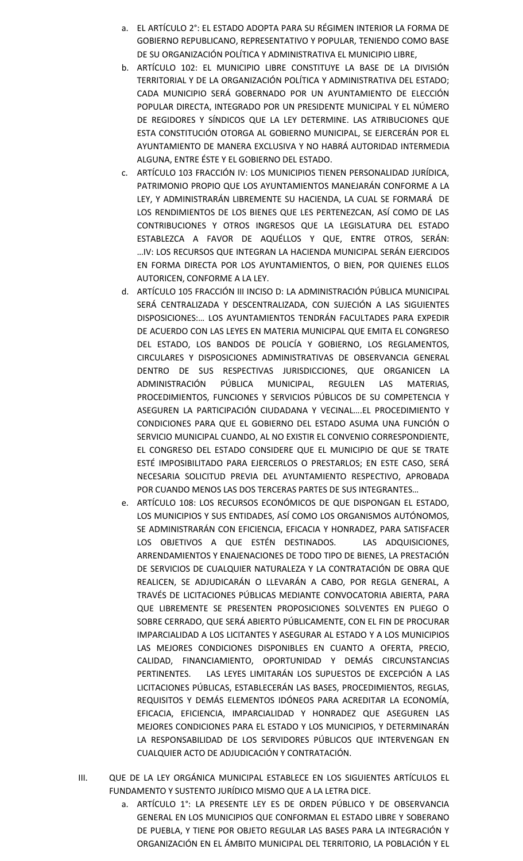- a. EL ARTÍCULO 2°: EL ESTADO ADOPTA PARA SU RÉGIMEN INTERIOR LA FORMA DE GOBIERNO REPUBLICANO, REPRESENTATIVO Y POPULAR, TENIENDO COMO BASE DE SU ORGANIZACIÓN POLÍTICA Y ADMINISTRATIVA EL MUNICIPIO LIBRE,
- b. ARTÍCULO 102: EL MUNICIPIO LIBRE CONSTITUYE LA BASE DE LA DIVISIÓN TERRITORIAL Y DE LA ORGANIZACIÓN POLÍTICA Y ADMINISTRATIVA DEL ESTADO; CADA MUNICIPIO SERÁ GOBERNADO POR UN AYUNTAMIENTO DE ELECCIÓN POPULAR DIRECTA, INTEGRADO POR UN PRESIDENTE MUNICIPAL Y EL NÚMERO DE REGIDORES Y SÍNDICOS QUE LA LEY DETERMINE. LAS ATRIBUCIONES QUE ESTA CONSTITUCIÓN OTORGA AL GOBIERNO MUNICIPAL, SE EJERCERÁN POR EL AYUNTAMIENTO DE MANERA EXCLUSIVA Y NO HABRÁ AUTORIDAD INTERMEDIA ALGUNA, ENTRE ÉSTE Y EL GOBIERNO DEL ESTADO.
- c. ARTÍCULO 103 FRACCIÓN IV: LOS MUNICIPIOS TIENEN PERSONALIDAD JURÍDICA, PATRIMONIO PROPIO QUE LOS AYUNTAMIENTOS MANEJARÁN CONFORME A LA LEY, Y ADMINISTRARÁN LIBREMENTE SU HACIENDA, LA CUAL SE FORMARÁ DE LOS RENDIMIENTOS DE LOS BIENES QUE LES PERTENEZCAN, ASÍ COMO DE LAS CONTRIBUCIONES Y OTROS INGRESOS QUE LA LEGISLATURA DEL ESTADO ESTABLEZCA A FAVOR DE AQUÉLLOS Y QUE, ENTRE OTROS, SERÁN: …IV: LOS RECURSOS QUE INTEGRAN LA HACIENDA MUNICIPAL SERÁN EJERCIDOS EN FORMA DIRECTA POR LOS AYUNTAMIENTOS, O BIEN, POR QUIENES ELLOS AUTORICEN, CONFORME A LA LEY.
- d. ARTÍCULO 105 FRACCIÓN III INCISO D: LA ADMINISTRACIÓN PÚBLICA MUNICIPAL SERÁ CENTRALIZADA Y DESCENTRALIZADA, CON SUJECIÓN A LAS SIGUIENTES DISPOSICIONES:… LOS AYUNTAMIENTOS TENDRÁN FACULTADES PARA EXPEDIR DE ACUERDO CON LAS LEYES EN MATERIA MUNICIPAL QUE EMITA EL CONGRESO DEL ESTADO, LOS BANDOS DE POLICÍA Y GOBIERNO, LOS REGLAMENTOS, CIRCULARES Y DISPOSICIONES ADMINISTRATIVAS DE OBSERVANCIA GENERAL DENTRO DE SUS RESPECTIVAS JURISDICCIONES, QUE ORGANICEN LA ADMINISTRACIÓN PÚBLICA MUNICIPAL, REGULEN LAS MATERIAS, PROCEDIMIENTOS, FUNCIONES Y SERVICIOS PÚBLICOS DE SU COMPETENCIA Y ASEGUREN LA PARTICIPACIÓN CIUDADANA Y VECINAL….EL PROCEDIMIENTO Y CONDICIONES PARA QUE EL GOBIERNO DEL ESTADO ASUMA UNA FUNCIÓN O SERVICIO MUNICIPAL CUANDO, AL NO EXISTIR EL CONVENIO CORRESPONDIENTE, EL CONGRESO DEL ESTADO CONSIDERE QUE EL MUNICIPIO DE QUE SE TRATE ESTÉ IMPOSIBILITADO PARA EJERCERLOS O PRESTARLOS; EN ESTE CASO, SERÁ NECESARIA SOLICITUD PREVIA DEL AYUNTAMIENTO RESPECTIVO, APROBADA POR CUANDO MENOS LAS DOS TERCERAS PARTES DE SUS INTEGRANTES…
- e. ARTÍCULO 108: LOS RECURSOS ECONÓMICOS DE QUE DISPONGAN EL ESTADO, LOS MUNICIPIOS Y SUS ENTIDADES, ASÍ COMO LOS ORGANISMOS AUTÓNOMOS, SE ADMINISTRARÁN CON EFICIENCIA, EFICACIA Y HONRADEZ, PARA SATISFACER LOS OBJETIVOS A QUE ESTÉN DESTINADOS. LAS ADQUISICIONES, ARRENDAMIENTOS Y ENAJENACIONES DE TODO TIPO DE BIENES, LA PRESTACIÓN DE SERVICIOS DE CUALQUIER NATURALEZA Y LA CONTRATACIÓN DE OBRA QUE REALICEN, SE ADJUDICARÁN O LLEVARÁN A CABO, POR REGLA GENERAL, A TRAVÉS DE LICITACIONES PÚBLICAS MEDIANTE CONVOCATORIA ABIERTA, PARA QUE LIBREMENTE SE PRESENTEN PROPOSICIONES SOLVENTES EN PLIEGO O SOBRE CERRADO, QUE SERÁ ABIERTO PÚBLICAMENTE, CON EL FIN DE PROCURAR IMPARCIALIDAD A LOS LICITANTES Y ASEGURAR AL ESTADO Y A LOS MUNICIPIOS LAS MEJORES CONDICIONES DISPONIBLES EN CUANTO A OFERTA, PRECIO, CALIDAD, FINANCIAMIENTO, OPORTUNIDAD Y DEMÁS CIRCUNSTANCIAS PERTINENTES. LAS LEYES LIMITARÁN LOS SUPUESTOS DE EXCEPCIÓN A LAS LICITACIONES PÚBLICAS, ESTABLECERÁN LAS BASES, PROCEDIMIENTOS, REGLAS, REQUISITOS Y DEMÁS ELEMENTOS IDÓNEOS PARA ACREDITAR LA ECONOMÍA, EFICACIA, EFICIENCIA, IMPARCIALIDAD Y HONRADEZ QUE ASEGUREN LAS MEJORES CONDICIONES PARA EL ESTADO Y LOS MUNICIPIOS, Y DETERMINARÁN LA RESPONSABILIDAD DE LOS SERVIDORES PÚBLICOS QUE INTERVENGAN EN CUALQUIER ACTO DE ADJUDICACIÓN Y CONTRATACIÓN.
- III. QUE DE LA LEY ORGÁNICA MUNICIPAL ESTABLECE EN LOS SIGUIENTES ARTÍCULOS EL FUNDAMENTO Y SUSTENTO JURÍDICO MISMO QUE A LA LETRA DICE.
	- a. ARTÍCULO 1°: LA PRESENTE LEY ES DE ORDEN PÚBLICO Y DE OBSERVANCIA GENERAL EN LOS MUNICIPIOS QUE CONFORMAN EL ESTADO LIBRE Y SOBERANO DE PUEBLA, Y TIENE POR OBJETO REGULAR LAS BASES PARA LA INTEGRACIÓN Y ORGANIZACIÓN EN EL ÁMBITO MUNICIPAL DEL TERRITORIO, LA POBLACIÓN Y EL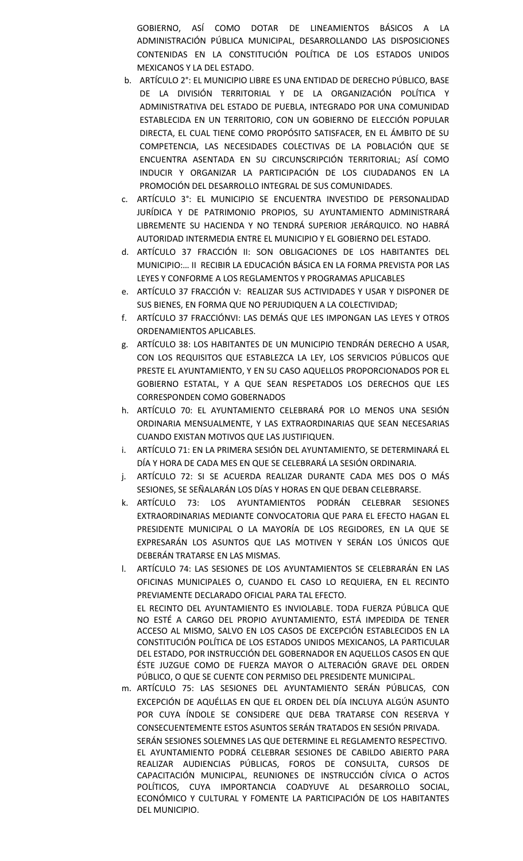GOBIERNO, ASÍ COMO DOTAR DE LINEAMIENTOS BÁSICOS A LA ADMINISTRACIÓN PÚBLICA MUNICIPAL, DESARROLLANDO LAS DISPOSICIONES CONTENIDAS EN LA CONSTITUCIÓN POLÍTICA DE LOS ESTADOS UNIDOS MEXICANOS Y LA DEL ESTADO.

- b. ARTÍCULO 2°: EL MUNICIPIO LIBRE ES UNA ENTIDAD DE DERECHO PÚBLICO, BASE DE LA DIVISIÓN TERRITORIAL Y DE LA ORGANIZACIÓN POLÍTICA Y ADMINISTRATIVA DEL ESTADO DE PUEBLA, INTEGRADO POR UNA COMUNIDAD ESTABLECIDA EN UN TERRITORIO, CON UN GOBIERNO DE ELECCIÓN POPULAR DIRECTA, EL CUAL TIENE COMO PROPÓSITO SATISFACER, EN EL ÁMBITO DE SU COMPETENCIA, LAS NECESIDADES COLECTIVAS DE LA POBLACIÓN QUE SE ENCUENTRA ASENTADA EN SU CIRCUNSCRIPCIÓN TERRITORIAL; ASÍ COMO INDUCIR Y ORGANIZAR LA PARTICIPACIÓN DE LOS CIUDADANOS EN LA PROMOCIÓN DEL DESARROLLO INTEGRAL DE SUS COMUNIDADES.
- c. ARTÍCULO 3°: EL MUNICIPIO SE ENCUENTRA INVESTIDO DE PERSONALIDAD JURÍDICA Y DE PATRIMONIO PROPIOS, SU AYUNTAMIENTO ADMINISTRARÁ LIBREMENTE SU HACIENDA Y NO TENDRÁ SUPERIOR JERÁRQUICO. NO HABRÁ AUTORIDAD INTERMEDIA ENTRE EL MUNICIPIO Y EL GOBIERNO DEL ESTADO.
- d. ARTÍCULO 37 FRACCIÓN II: SON OBLIGACIONES DE LOS HABITANTES DEL MUNICIPIO:… II RECIBIR LA EDUCACIÓN BÁSICA EN LA FORMA PREVISTA POR LAS LEYES Y CONFORME A LOS REGLAMENTOS Y PROGRAMAS APLICABLES
- e. ARTÍCULO 37 FRACCIÓN V: REALIZAR SUS ACTIVIDADES Y USAR Y DISPONER DE SUS BIENES, EN FORMA QUE NO PERJUDIQUEN A LA COLECTIVIDAD;
- f. ARTÍCULO 37 FRACCIÓNVI: LAS DEMÁS QUE LES IMPONGAN LAS LEYES Y OTROS ORDENAMIENTOS APLICABLES.
- g. ARTÍCULO 38: LOS HABITANTES DE UN MUNICIPIO TENDRÁN DERECHO A USAR, CON LOS REQUISITOS QUE ESTABLEZCA LA LEY, LOS SERVICIOS PÚBLICOS QUE PRESTE EL AYUNTAMIENTO, Y EN SU CASO AQUELLOS PROPORCIONADOS POR EL GOBIERNO ESTATAL, Y A QUE SEAN RESPETADOS LOS DERECHOS QUE LES CORRESPONDEN COMO GOBERNADOS
- h. ARTÍCULO 70: EL AYUNTAMIENTO CELEBRARÁ POR LO MENOS UNA SESIÓN ORDINARIA MENSUALMENTE, Y LAS EXTRAORDINARIAS QUE SEAN NECESARIAS CUANDO EXISTAN MOTIVOS QUE LAS JUSTIFIQUEN.
- i. ARTÍCULO 71: EN LA PRIMERA SESIÓN DEL AYUNTAMIENTO, SE DETERMINARÁ EL DÍA Y HORA DE CADA MES EN QUE SE CELEBRARÁ LA SESIÓN ORDINARIA.
- j. ARTÍCULO 72: SI SE ACUERDA REALIZAR DURANTE CADA MES DOS O MÁS SESIONES, SE SEÑALARÁN LOS DÍAS Y HORAS EN QUE DEBAN CELEBRARSE.
- k. ARTÍCULO 73: LOS AYUNTAMIENTOS PODRÁN CELEBRAR SESIONES EXTRAORDINARIAS MEDIANTE CONVOCATORIA QUE PARA EL EFECTO HAGAN EL PRESIDENTE MUNICIPAL O LA MAYORÍA DE LOS REGIDORES, EN LA QUE SE EXPRESARÁN LOS ASUNTOS QUE LAS MOTIVEN Y SERÁN LOS ÚNICOS QUE DEBERÁN TRATARSE EN LAS MISMAS.
- l. ARTÍCULO 74: LAS SESIONES DE LOS AYUNTAMIENTOS SE CELEBRARÁN EN LAS OFICINAS MUNICIPALES O, CUANDO EL CASO LO REQUIERA, EN EL RECINTO PREVIAMENTE DECLARADO OFICIAL PARA TAL EFECTO. EL RECINTO DEL AYUNTAMIENTO ES INVIOLABLE. TODA FUERZA PÚBLICA QUE NO ESTÉ A CARGO DEL PROPIO AYUNTAMIENTO, ESTÁ IMPEDIDA DE TENER ACCESO AL MISMO, SALVO EN LOS CASOS DE EXCEPCIÓN ESTABLECIDOS EN LA CONSTITUCIÓN POLÍTICA DE LOS ESTADOS UNIDOS MEXICANOS, LA PARTICULAR DEL ESTADO, POR INSTRUCCIÓN DEL GOBERNADOR EN AQUELLOS CASOS EN QUE ÉSTE JUZGUE COMO DE FUERZA MAYOR O ALTERACIÓN GRAVE DEL ORDEN PÚBLICO, O QUE SE CUENTE CON PERMISO DEL PRESIDENTE MUNICIPAL.
- m. ARTÍCULO 75: LAS SESIONES DEL AYUNTAMIENTO SERÁN PÚBLICAS, CON EXCEPCIÓN DE AQUÉLLAS EN QUE EL ORDEN DEL DÍA INCLUYA ALGÚN ASUNTO POR CUYA ÍNDOLE SE CONSIDERE QUE DEBA TRATARSE CON RESERVA Y CONSECUENTEMENTE ESTOS ASUNTOS SERÁN TRATADOS EN SESIÓN PRIVADA. SERÁN SESIONES SOLEMNES LAS QUE DETERMINE EL REGLAMENTO RESPECTIVO. EL AYUNTAMIENTO PODRÁ CELEBRAR SESIONES DE CABILDO ABIERTO PARA REALIZAR AUDIENCIAS PÚBLICAS, FOROS DE CONSULTA, CURSOS DE CAPACITACIÓN MUNICIPAL, REUNIONES DE INSTRUCCIÓN CÍVICA O ACTOS POLÍTICOS, CUYA IMPORTANCIA COADYUVE AL DESARROLLO SOCIAL, ECONÓMICO Y CULTURAL Y FOMENTE LA PARTICIPACIÓN DE LOS HABITANTES DEL MUNICIPIO.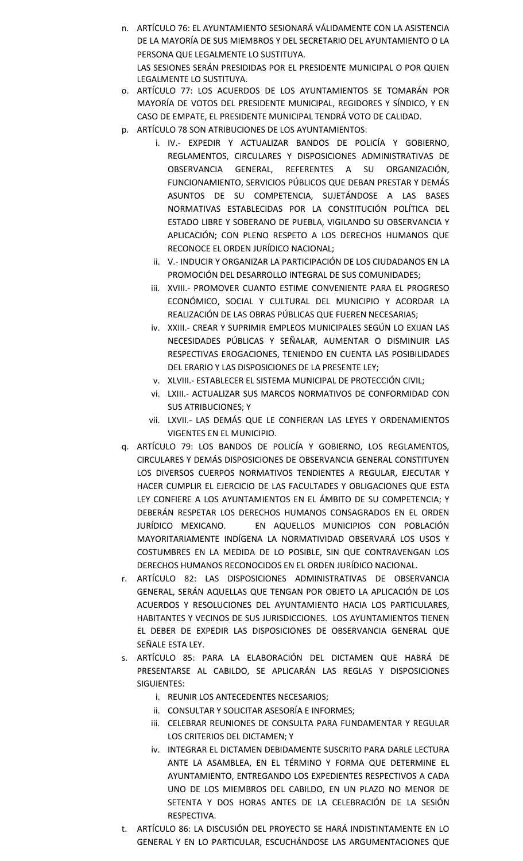- n. ARTÍCULO 76: EL AYUNTAMIENTO SESIONARÁ VÁLIDAMENTE CON LA ASISTENCIA DE LA MAYORÍA DE SUS MIEMBROS Y DEL SECRETARIO DEL AYUNTAMIENTO O LA PERSONA QUE LEGALMENTE LO SUSTITUYA. LAS SESIONES SERÁN PRESIDIDAS POR EL PRESIDENTE MUNICIPAL O POR QUIEN LEGALMENTE LO SUSTITUYA.
- o. ARTÍCULO 77: LOS ACUERDOS DE LOS AYUNTAMIENTOS SE TOMARÁN POR MAYORÍA DE VOTOS DEL PRESIDENTE MUNICIPAL, REGIDORES Y SÍNDICO, Y EN CASO DE EMPATE, EL PRESIDENTE MUNICIPAL TENDRÁ VOTO DE CALIDAD.
- p. ARTÍCULO 78 SON ATRIBUCIONES DE LOS AYUNTAMIENTOS:
	- i. IV.- EXPEDIR Y ACTUALIZAR BANDOS DE POLICÍA Y GOBIERNO, REGLAMENTOS, CIRCULARES Y DISPOSICIONES ADMINISTRATIVAS DE OBSERVANCIA GENERAL, REFERENTES A SU ORGANIZACIÓN, FUNCIONAMIENTO, SERVICIOS PÚBLICOS QUE DEBAN PRESTAR Y DEMÁS ASUNTOS DE SU COMPETENCIA, SUJETÁNDOSE A LAS BASES NORMATIVAS ESTABLECIDAS POR LA CONSTITUCIÓN POLÍTICA DEL ESTADO LIBRE Y SOBERANO DE PUEBLA, VIGILANDO SU OBSERVANCIA Y APLICACIÓN; CON PLENO RESPETO A LOS DERECHOS HUMANOS QUE RECONOCE EL ORDEN JURÍDICO NACIONAL;
	- ii. V.- INDUCIR Y ORGANIZAR LA PARTICIPACIÓN DE LOS CIUDADANOS EN LA PROMOCIÓN DEL DESARROLLO INTEGRAL DE SUS COMUNIDADES;
	- iii. XVIII.- PROMOVER CUANTO ESTIME CONVENIENTE PARA EL PROGRESO ECONÓMICO, SOCIAL Y CULTURAL DEL MUNICIPIO Y ACORDAR LA REALIZACIÓN DE LAS OBRAS PÚBLICAS QUE FUEREN NECESARIAS;
	- iv. XXIII.- CREAR Y SUPRIMIR EMPLEOS MUNICIPALES SEGÚN LO EXIJAN LAS NECESIDADES PÚBLICAS Y SEÑALAR, AUMENTAR O DISMINUIR LAS RESPECTIVAS EROGACIONES, TENIENDO EN CUENTA LAS POSIBILIDADES DEL ERARIO Y LAS DISPOSICIONES DE LA PRESENTE LEY;
	- v. XLVIII.- ESTABLECER EL SISTEMA MUNICIPAL DE PROTECCIÓN CIVIL;
	- vi. LXIII.- ACTUALIZAR SUS MARCOS NORMATIVOS DE CONFORMIDAD CON SUS ATRIBUCIONES; Y
	- vii. LXVII.- LAS DEMÁS QUE LE CONFIERAN LAS LEYES Y ORDENAMIENTOS VIGENTES EN EL MUNICIPIO.
- q. ARTÍCULO 79: LOS BANDOS DE POLICÍA Y GOBIERNO, LOS REGLAMENTOS, CIRCULARES Y DEMÁS DISPOSICIONES DE OBSERVANCIA GENERAL CONSTITUYEN LOS DIVERSOS CUERPOS NORMATIVOS TENDIENTES A REGULAR, EJECUTAR Y HACER CUMPLIR EL EJERCICIO DE LAS FACULTADES Y OBLIGACIONES QUE ESTA LEY CONFIERE A LOS AYUNTAMIENTOS EN EL ÁMBITO DE SU COMPETENCIA; Y DEBERÁN RESPETAR LOS DERECHOS HUMANOS CONSAGRADOS EN EL ORDEN JURÍDICO MEXICANO. EN AQUELLOS MUNICIPIOS CON POBLACIÓN MAYORITARIAMENTE INDÍGENA LA NORMATIVIDAD OBSERVARÁ LOS USOS Y COSTUMBRES EN LA MEDIDA DE LO POSIBLE, SIN QUE CONTRAVENGAN LOS DERECHOS HUMANOS RECONOCIDOS EN EL ORDEN JURÍDICO NACIONAL.
- r. ARTÍCULO 82: LAS DISPOSICIONES ADMINISTRATIVAS DE OBSERVANCIA GENERAL, SERÁN AQUELLAS QUE TENGAN POR OBJETO LA APLICACIÓN DE LOS ACUERDOS Y RESOLUCIONES DEL AYUNTAMIENTO HACIA LOS PARTICULARES, HABITANTES Y VECINOS DE SUS JURISDICCIONES. LOS AYUNTAMIENTOS TIENEN EL DEBER DE EXPEDIR LAS DISPOSICIONES DE OBSERVANCIA GENERAL QUE SEÑALE ESTA LEY.
- s. ARTÍCULO 85: PARA LA ELABORACIÓN DEL DICTAMEN QUE HABRÁ DE PRESENTARSE AL CABILDO, SE APLICARÁN LAS REGLAS Y DISPOSICIONES SIGUIENTES:
	- i. REUNIR LOS ANTECEDENTES NECESARIOS;
	- ii. CONSULTAR Y SOLICITAR ASESORÍA E INFORMES;
	- iii. CELEBRAR REUNIONES DE CONSULTA PARA FUNDAMENTAR Y REGULAR LOS CRITERIOS DEL DICTAMEN; Y
	- iv. INTEGRAR EL DICTAMEN DEBIDAMENTE SUSCRITO PARA DARLE LECTURA ANTE LA ASAMBLEA, EN EL TÉRMINO Y FORMA QUE DETERMINE EL AYUNTAMIENTO, ENTREGANDO LOS EXPEDIENTES RESPECTIVOS A CADA UNO DE LOS MIEMBROS DEL CABILDO, EN UN PLAZO NO MENOR DE SETENTA Y DOS HORAS ANTES DE LA CELEBRACIÓN DE LA SESIÓN RESPECTIVA.
- t. ARTÍCULO 86: LA DISCUSIÓN DEL PROYECTO SE HARÁ INDISTINTAMENTE EN LO GENERAL Y EN LO PARTICULAR, ESCUCHÁNDOSE LAS ARGUMENTACIONES QUE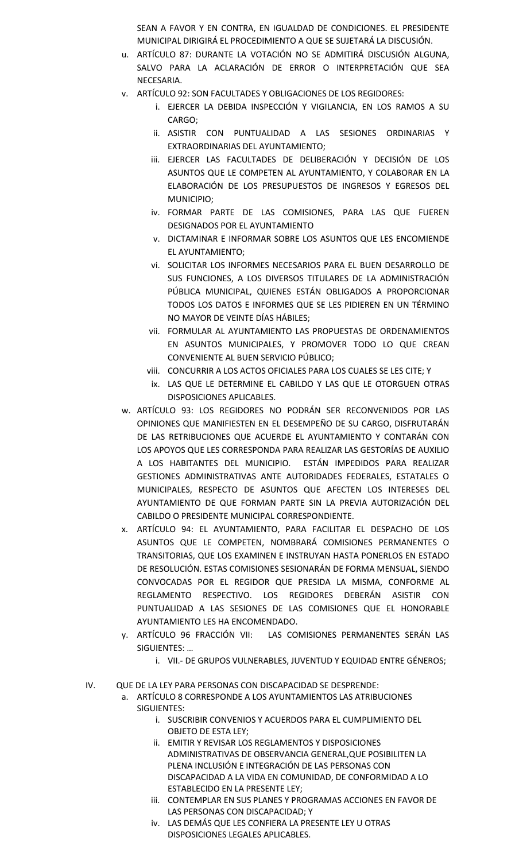SEAN A FAVOR Y EN CONTRA, EN IGUALDAD DE CONDICIONES. EL PRESIDENTE MUNICIPAL DIRIGIRÁ EL PROCEDIMIENTO A QUE SE SUJETARÁ LA DISCUSIÓN.

- u. ARTÍCULO 87: DURANTE LA VOTACIÓN NO SE ADMITIRÁ DISCUSIÓN ALGUNA, SALVO PARA LA ACLARACIÓN DE ERROR O INTERPRETACIÓN QUE SEA NECESARIA.
- v. ARTÍCULO 92: SON FACULTADES Y OBLIGACIONES DE LOS REGIDORES:
	- i. EJERCER LA DEBIDA INSPECCIÓN Y VIGILANCIA, EN LOS RAMOS A SU CARGO;
	- ii. ASISTIR CON PUNTUALIDAD A LAS SESIONES ORDINARIAS Y EXTRAORDINARIAS DEL AYUNTAMIENTO;
	- iii. EJERCER LAS FACULTADES DE DELIBERACIÓN Y DECISIÓN DE LOS ASUNTOS QUE LE COMPETEN AL AYUNTAMIENTO, Y COLABORAR EN LA ELABORACIÓN DE LOS PRESUPUESTOS DE INGRESOS Y EGRESOS DEL MUNICIPIO;
	- iv. FORMAR PARTE DE LAS COMISIONES, PARA LAS QUE FUEREN DESIGNADOS POR EL AYUNTAMIENTO
	- v. DICTAMINAR E INFORMAR SOBRE LOS ASUNTOS QUE LES ENCOMIENDE EL AYUNTAMIENTO;
	- vi. SOLICITAR LOS INFORMES NECESARIOS PARA EL BUEN DESARROLLO DE SUS FUNCIONES, A LOS DIVERSOS TITULARES DE LA ADMINISTRACIÓN PÚBLICA MUNICIPAL, QUIENES ESTÁN OBLIGADOS A PROPORCIONAR TODOS LOS DATOS E INFORMES QUE SE LES PIDIEREN EN UN TÉRMINO NO MAYOR DE VEINTE DÍAS HÁBILES;
	- vii. FORMULAR AL AYUNTAMIENTO LAS PROPUESTAS DE ORDENAMIENTOS EN ASUNTOS MUNICIPALES, Y PROMOVER TODO LO QUE CREAN CONVENIENTE AL BUEN SERVICIO PÚBLICO;
	- viii. CONCURRIR A LOS ACTOS OFICIALES PARA LOS CUALES SE LES CITE; Y
		- ix. LAS QUE LE DETERMINE EL CABILDO Y LAS QUE LE OTORGUEN OTRAS DISPOSICIONES APLICABLES.
- w. ARTÍCULO 93: LOS REGIDORES NO PODRÁN SER RECONVENIDOS POR LAS OPINIONES QUE MANIFIESTEN EN EL DESEMPEÑO DE SU CARGO, DISFRUTARÁN DE LAS RETRIBUCIONES QUE ACUERDE EL AYUNTAMIENTO Y CONTARÁN CON LOS APOYOS QUE LES CORRESPONDA PARA REALIZAR LAS GESTORÍAS DE AUXILIO A LOS HABITANTES DEL MUNICIPIO. ESTÁN IMPEDIDOS PARA REALIZAR GESTIONES ADMINISTRATIVAS ANTE AUTORIDADES FEDERALES, ESTATALES O MUNICIPALES, RESPECTO DE ASUNTOS QUE AFECTEN LOS INTERESES DEL AYUNTAMIENTO DE QUE FORMAN PARTE SIN LA PREVIA AUTORIZACIÓN DEL CABILDO O PRESIDENTE MUNICIPAL CORRESPONDIENTE.
- x. ARTÍCULO 94: EL AYUNTAMIENTO, PARA FACILITAR EL DESPACHO DE LOS ASUNTOS QUE LE COMPETEN, NOMBRARÁ COMISIONES PERMANENTES O TRANSITORIAS, QUE LOS EXAMINEN E INSTRUYAN HASTA PONERLOS EN ESTADO DE RESOLUCIÓN. ESTAS COMISIONES SESIONARÁN DE FORMA MENSUAL, SIENDO CONVOCADAS POR EL REGIDOR QUE PRESIDA LA MISMA, CONFORME AL REGLAMENTO RESPECTIVO. LOS REGIDORES DEBERÁN ASISTIR CON PUNTUALIDAD A LAS SESIONES DE LAS COMISIONES QUE EL HONORABLE AYUNTAMIENTO LES HA ENCOMENDADO.
- y. ARTÍCULO 96 FRACCIÓN VII: LAS COMISIONES PERMANENTES SERÁN LAS SIGUIENTES: …
	- i. VII.- DE GRUPOS VULNERABLES, JUVENTUD Y EQUIDAD ENTRE GÉNEROS;
- IV. QUE DE LA LEY PARA PERSONAS CON DISCAPACIDAD SE DESPRENDE:
	- a. ARTÍCULO 8 CORRESPONDE A LOS AYUNTAMIENTOS LAS ATRIBUCIONES SIGUIENTES:
		- i. SUSCRIBIR CONVENIOS Y ACUERDOS PARA EL CUMPLIMIENTO DEL OBJETO DE ESTA LEY;
		- ii. EMITIR Y REVISAR LOS REGLAMENTOS Y DISPOSICIONES ADMINISTRATIVAS DE OBSERVANCIA GENERAL,QUE POSIBILITEN LA PLENA INCLUSIÓN E INTEGRACIÓN DE LAS PERSONAS CON DISCAPACIDAD A LA VIDA EN COMUNIDAD, DE CONFORMIDAD A LO ESTABLECIDO EN LA PRESENTE LEY;
		- iii. CONTEMPLAR EN SUS PLANES Y PROGRAMAS ACCIONES EN FAVOR DE LAS PERSONAS CON DISCAPACIDAD; Y
		- iv. LAS DEMÁS QUE LES CONFIERA LA PRESENTE LEY U OTRAS DISPOSICIONES LEGALES APLICABLES.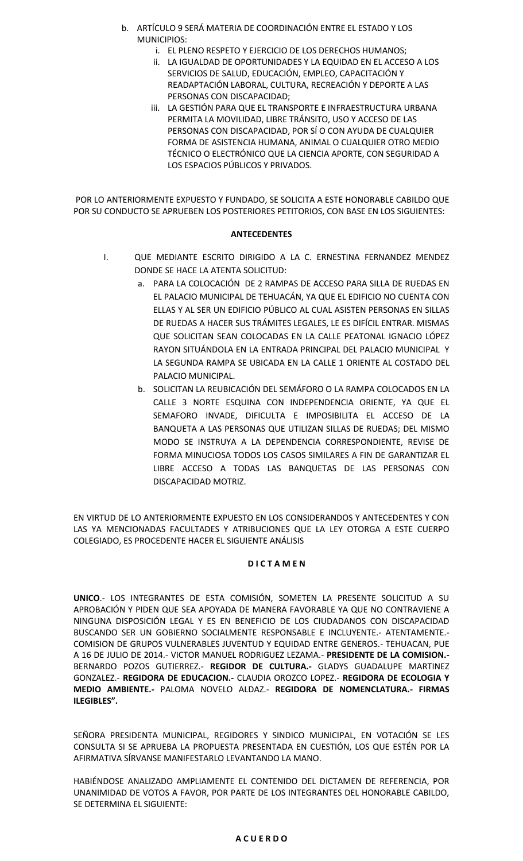- b. ARTÍCULO 9 SERÁ MATERIA DE COORDINACIÓN ENTRE EL ESTADO Y LOS MUNICIPIOS:
	- i. EL PLENO RESPETO Y EJERCICIO DE LOS DERECHOS HUMANOS;
	- ii. LA IGUALDAD DE OPORTUNIDADES Y LA EQUIDAD EN EL ACCESO A LOS SERVICIOS DE SALUD, EDUCACIÓN, EMPLEO, CAPACITACIÓN Y READAPTACIÓN LABORAL, CULTURA, RECREACIÓN Y DEPORTE A LAS PERSONAS CON DISCAPACIDAD;
	- iii. LA GESTIÓN PARA QUE EL TRANSPORTE E INFRAESTRUCTURA URBANA PERMITA LA MOVILIDAD, LIBRE TRÁNSITO, USO Y ACCESO DE LAS PERSONAS CON DISCAPACIDAD, POR SÍ O CON AYUDA DE CUALQUIER FORMA DE ASISTENCIA HUMANA, ANIMAL O CUALQUIER OTRO MEDIO TÉCNICO O ELECTRÓNICO QUE LA CIENCIA APORTE, CON SEGURIDAD A LOS ESPACIOS PÚBLICOS Y PRIVADOS.

POR LO ANTERIORMENTE EXPUESTO Y FUNDADO, SE SOLICITA A ESTE HONORABLE CABILDO QUE POR SU CONDUCTO SE APRUEBEN LOS POSTERIORES PETITORIOS, CON BASE EN LOS SIGUIENTES:

### **ANTECEDENTES**

- I. QUE MEDIANTE ESCRITO DIRIGIDO A LA C. ERNESTINA FERNANDEZ MENDEZ DONDE SE HACE LA ATENTA SOLICITUD:
	- a. PARA LA COLOCACIÓN DE 2 RAMPAS DE ACCESO PARA SILLA DE RUEDAS EN EL PALACIO MUNICIPAL DE TEHUACÁN, YA QUE EL EDIFICIO NO CUENTA CON ELLAS Y AL SER UN EDIFICIO PÚBLICO AL CUAL ASISTEN PERSONAS EN SILLAS DE RUEDAS A HACER SUS TRÁMITES LEGALES, LE ES DIFÍCIL ENTRAR. MISMAS QUE SOLICITAN SEAN COLOCADAS EN LA CALLE PEATONAL IGNACIO LÓPEZ RAYON SITUÁNDOLA EN LA ENTRADA PRINCIPAL DEL PALACIO MUNICIPAL Y LA SEGUNDA RAMPA SE UBICADA EN LA CALLE 1 ORIENTE AL COSTADO DEL PALACIO MUNICIPAL.
	- b. SOLICITAN LA REUBICACIÓN DEL SEMÁFORO O LA RAMPA COLOCADOS EN LA CALLE 3 NORTE ESQUINA CON INDEPENDENCIA ORIENTE, YA QUE EL SEMAFORO INVADE, DIFICULTA E IMPOSIBILITA EL ACCESO DE LA BANQUETA A LAS PERSONAS QUE UTILIZAN SILLAS DE RUEDAS; DEL MISMO MODO SE INSTRUYA A LA DEPENDENCIA CORRESPONDIENTE, REVISE DE FORMA MINUCIOSA TODOS LOS CASOS SIMILARES A FIN DE GARANTIZAR EL LIBRE ACCESO A TODAS LAS BANQUETAS DE LAS PERSONAS CON DISCAPACIDAD MOTRIZ.

EN VIRTUD DE LO ANTERIORMENTE EXPUESTO EN LOS CONSIDERANDOS Y ANTECEDENTES Y CON LAS YA MENCIONADAS FACULTADES Y ATRIBUCIONES QUE LA LEY OTORGA A ESTE CUERPO COLEGIADO, ES PROCEDENTE HACER EL SIGUIENTE ANÁLISIS

# **D I C T A M E N**

**UNICO**.- LOS INTEGRANTES DE ESTA COMISIÓN, SOMETEN LA PRESENTE SOLICITUD A SU APROBACIÓN Y PIDEN QUE SEA APOYADA DE MANERA FAVORABLE YA QUE NO CONTRAVIENE A NINGUNA DISPOSICIÓN LEGAL Y ES EN BENEFICIO DE LOS CIUDADANOS CON DISCAPACIDAD BUSCANDO SER UN GOBIERNO SOCIALMENTE RESPONSABLE E INCLUYENTE.- ATENTAMENTE.- COMISION DE GRUPOS VULNERABLES JUVENTUD Y EQUIDAD ENTRE GENEROS.- TEHUACAN, PUE A 16 DE JULIO DE 2014.- VICTOR MANUEL RODRIGUEZ LEZAMA.- **PRESIDENTE DE LA COMISION.-** BERNARDO POZOS GUTIERREZ.- **REGIDOR DE CULTURA.-** GLADYS GUADALUPE MARTINEZ GONZALEZ.- **REGIDORA DE EDUCACION.-** CLAUDIA OROZCO LOPEZ.- **REGIDORA DE ECOLOGIA Y MEDIO AMBIENTE.-** PALOMA NOVELO ALDAZ.- **REGIDORA DE NOMENCLATURA.- FIRMAS ILEGIBLES".**

SEÑORA PRESIDENTA MUNICIPAL, REGIDORES Y SINDICO MUNICIPAL, EN VOTACIÓN SE LES CONSULTA SI SE APRUEBA LA PROPUESTA PRESENTADA EN CUESTIÓN, LOS QUE ESTÉN POR LA AFIRMATIVA SÍRVANSE MANIFESTARLO LEVANTANDO LA MANO.

HABIÉNDOSE ANALIZADO AMPLIAMENTE EL CONTENIDO DEL DICTAMEN DE REFERENCIA, POR UNANIMIDAD DE VOTOS A FAVOR, POR PARTE DE LOS INTEGRANTES DEL HONORABLE CABILDO, SE DETERMINA EL SIGUIENTE:

### **A C U E R D O**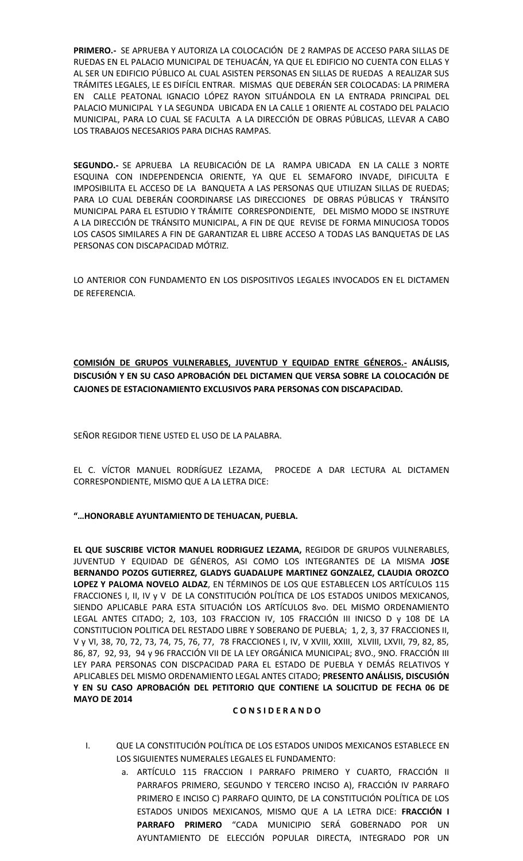**PRIMERO.-** SE APRUEBA Y AUTORIZA LA COLOCACIÓN DE 2 RAMPAS DE ACCESO PARA SILLAS DE RUEDAS EN EL PALACIO MUNICIPAL DE TEHUACÁN, YA QUE EL EDIFICIO NO CUENTA CON ELLAS Y AL SER UN EDIFICIO PÚBLICO AL CUAL ASISTEN PERSONAS EN SILLAS DE RUEDAS A REALIZAR SUS TRÁMITES LEGALES, LE ES DIFÍCIL ENTRAR. MISMAS QUE DEBERÁN SER COLOCADAS: LA PRIMERA EN CALLE PEATONAL IGNACIO LÓPEZ RAYON SITUÁNDOLA EN LA ENTRADA PRINCIPAL DEL PALACIO MUNICIPAL Y LA SEGUNDA UBICADA EN LA CALLE 1 ORIENTE AL COSTADO DEL PALACIO MUNICIPAL, PARA LO CUAL SE FACULTA A LA DIRECCIÓN DE OBRAS PÚBLICAS, LLEVAR A CABO LOS TRABAJOS NECESARIOS PARA DICHAS RAMPAS.

**SEGUNDO.-** SE APRUEBA LA REUBICACIÓN DE LA RAMPA UBICADA EN LA CALLE 3 NORTE ESQUINA CON INDEPENDENCIA ORIENTE, YA QUE EL SEMAFORO INVADE, DIFICULTA E IMPOSIBILITA EL ACCESO DE LA BANQUETA A LAS PERSONAS QUE UTILIZAN SILLAS DE RUEDAS; PARA LO CUAL DEBERÁN COORDINARSE LAS DIRECCIONES DE OBRAS PÚBLICAS Y TRÁNSITO MUNICIPAL PARA EL ESTUDIO Y TRÁMITE CORRESPONDIENTE, DEL MISMO MODO SE INSTRUYE A LA DIRECCIÓN DE TRÁNSITO MUNICIPAL, A FIN DE QUE REVISE DE FORMA MINUCIOSA TODOS LOS CASOS SIMILARES A FIN DE GARANTIZAR EL LIBRE ACCESO A TODAS LAS BANQUETAS DE LAS PERSONAS CON DISCAPACIDAD MÓTRIZ.

LO ANTERIOR CON FUNDAMENTO EN LOS DISPOSITIVOS LEGALES INVOCADOS EN EL DICTAMEN DE REFERENCIA.

**COMISIÓN DE GRUPOS VULNERABLES, JUVENTUD Y EQUIDAD ENTRE GÉNEROS.- ANÁLISIS, DISCUSIÓN Y EN SU CASO APROBACIÓN DEL DICTAMEN QUE VERSA SOBRE LA COLOCACIÓN DE CAJONES DE ESTACIONAMIENTO EXCLUSIVOS PARA PERSONAS CON DISCAPACIDAD.**

SEÑOR REGIDOR TIENE USTED EL USO DE LA PALABRA.

EL C. VÍCTOR MANUEL RODRÍGUEZ LEZAMA, PROCEDE A DAR LECTURA AL DICTAMEN CORRESPONDIENTE, MISMO QUE A LA LETRA DICE:

**"…HONORABLE AYUNTAMIENTO DE TEHUACAN, PUEBLA.**

**EL QUE SUSCRIBE VICTOR MANUEL RODRIGUEZ LEZAMA,** REGIDOR DE GRUPOS VULNERABLES, JUVENTUD Y EQUIDAD DE GÉNEROS, ASI COMO LOS INTEGRANTES DE LA MISMA **JOSE BERNANDO POZOS GUTIERREZ, GLADYS GUADALUPE MARTINEZ GONZALEZ, CLAUDIA OROZCO LOPEZ Y PALOMA NOVELO ALDAZ**, EN TÉRMINOS DE LOS QUE ESTABLECEN LOS ARTÍCULOS 115 FRACCIONES I, II, IV y V DE LA CONSTITUCIÓN POLÍTICA DE LOS ESTADOS UNIDOS MEXICANOS, SIENDO APLICABLE PARA ESTA SITUACIÓN LOS ARTÍCULOS 8vo. DEL MISMO ORDENAMIENTO LEGAL ANTES CITADO; 2, 103, 103 FRACCION IV, 105 FRACCIÓN III INICSO D y 108 DE LA CONSTITUCION POLITICA DEL RESTADO LIBRE Y SOBERANO DE PUEBLA; 1, 2, 3, 37 FRACCIONES II, V y VI, 38, 70, 72, 73, 74, 75, 76, 77, 78 FRACCIONES I, IV, V XVIII, XXIII, XLVIII, LXVII, 79, 82, 85, 86, 87, 92, 93, 94 y 96 FRACCIÓN VII DE LA LEY ORGÁNICA MUNICIPAL; 8VO., 9NO. FRACCIÓN III LEY PARA PERSONAS CON DISCPACIDAD PARA EL ESTADO DE PUEBLA Y DEMÁS RELATIVOS Y APLICABLES DEL MISMO ORDENAMIENTO LEGAL ANTES CITADO; **PRESENTO ANÁLISIS, DISCUSIÓN Y EN SU CASO APROBACIÓN DEL PETITORIO QUE CONTIENE LA SOLICITUD DE FECHA 06 DE MAYO DE 2014**

#### **C O N S I D E R A N D O**

- I. QUE LA CONSTITUCIÓN POLÍTICA DE LOS ESTADOS UNIDOS MEXICANOS ESTABLECE EN LOS SIGUIENTES NUMERALES LEGALES EL FUNDAMENTO:
	- a. ARTÍCULO 115 FRACCION I PARRAFO PRIMERO Y CUARTO, FRACCIÓN II PARRAFOS PRIMERO, SEGUNDO Y TERCERO INCISO A), FRACCIÓN IV PARRAFO PRIMERO E INCISO C) PARRAFO QUINTO, DE LA CONSTITUCIÓN POLÍTICA DE LOS ESTADOS UNIDOS MEXICANOS, MISMO QUE A LA LETRA DICE: **FRACCIÓN I PARRAFO PRIMERO** "CADA MUNICIPIO SERÁ GOBERNADO POR UN AYUNTAMIENTO DE ELECCIÓN POPULAR DIRECTA, INTEGRADO POR UN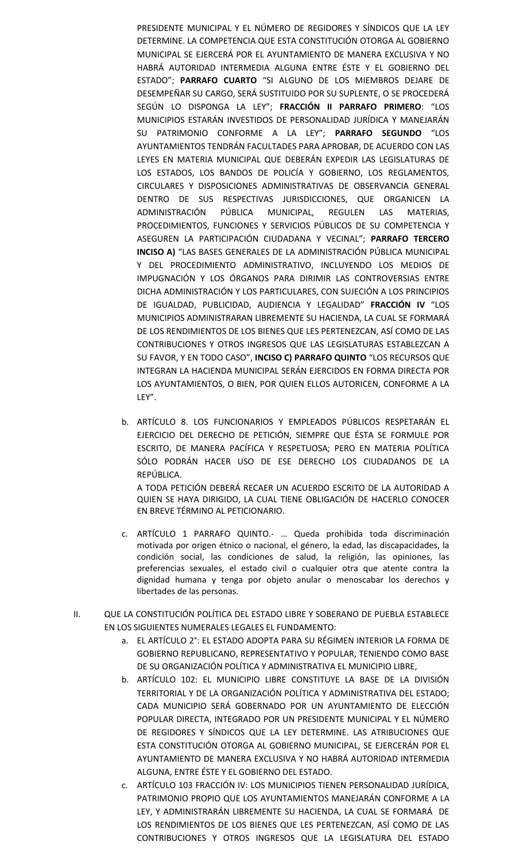PRESIDENTE MUNICIPAL Y EL NÚMERO DE REGIDORES Y SÍNDICOS QUE LA LEY DETERMINE. LA COMPETENCIA QUE ESTA CONSTITUCIÓN OTORGA AL GOBIERNO MUNICIPAL SE EJERCERÁ POR EL AYUNTAMIENTO DE MANERA EXCLUSIVA Y NO HABRÁ AUTORIDAD INTERMEDIA ALGUNA ENTRE ÉSTE Y EL GOBIERNO DEL ESTADO"; **PARRAFO CUARTO** "SI ALGUNO DE LOS MIEMBROS DEJARE DE DESEMPEÑAR SU CARGO, SERÁ SUSTITUIDO POR SU SUPLENTE, O SE PROCEDERÁ SEGÚN LO DISPONGA LA LEY"; **FRACCIÓN II PARRAFO PRIMERO**: "LOS MUNICIPIOS ESTARÁN INVESTIDOS DE PERSONALIDAD JURÍDICA Y MANEJARÁN SU PATRIMONIO CONFORME A LA LEY"; **PARRAFO SEGUNDO** "LOS AYUNTAMIENTOS TENDRÁN FACULTADES PARA APROBAR, DE ACUERDO CON LAS LEYES EN MATERIA MUNICIPAL QUE DEBERÁN EXPEDIR LAS LEGISLATURAS DE LOS ESTADOS, LOS BANDOS DE POLICÍA Y GOBIERNO, LOS REGLAMENTOS, CIRCULARES Y DISPOSICIONES ADMINISTRATIVAS DE OBSERVANCIA GENERAL DENTRO DE SUS RESPECTIVAS JURISDICCIONES, QUE ORGANICEN LA ADMINISTRACIÓN PÚBLICA MUNICIPAL, REGULEN LAS MATERIAS, PROCEDIMIENTOS, FUNCIONES Y SERVICIOS PÚBLICOS DE SU COMPETENCIA Y ASEGUREN LA PARTICIPACIÓN CIUDADANA Y VECINAL"; **PARRAFO TERCERO INCISO A)** "LAS BASES GENERALES DE LA ADMINISTRACIÓN PÚBLICA MUNICIPAL Y DEL PROCEDIMIENTO ADMINISTRATIVO, INCLUYENDO LOS MEDIOS DE IMPUGNACIÓN Y LOS ÓRGANOS PARA DIRIMIR LAS CONTROVERSIAS ENTRE DICHA ADMINISTRACIÓN Y LOS PARTICULARES, CON SUJECIÓN A LOS PRINCIPIOS DE IGUALDAD, PUBLICIDAD, AUDIENCIA Y LEGALIDAD" **FRACCIÓN IV** "LOS MUNICIPIOS ADMINISTRARAN LIBREMENTE SU HACIENDA, LA CUAL SE FORMARÁ DE LOS RENDIMIENTOS DE LOS BIENES QUE LES PERTENEZCAN, ASÍ COMO DE LAS CONTRIBUCIONES Y OTROS INGRESOS QUE LAS LEGISLATURAS ESTABLEZCAN A SU FAVOR, Y EN TODO CASO", **INCISO C) PARRAFO QUINTO** "LOS RECURSOS QUE INTEGRAN LA HACIENDA MUNICIPAL SERÁN EJERCIDOS EN FORMA DIRECTA POR LOS AYUNTAMIENTOS, O BIEN, POR QUIEN ELLOS AUTORICEN, CONFORME A LA LEY".

b. ARTÍCULO 8. LOS FUNCIONARIOS Y EMPLEADOS PÚBLICOS RESPETARÁN EL EJERCICIO DEL DERECHO DE PETICIÓN, SIEMPRE QUE ÉSTA SE FORMULE POR ESCRITO, DE MANERA PACÍFICA Y RESPETUOSA; PERO EN MATERIA POLÍTICA SÓLO PODRÁN HACER USO DE ESE DERECHO LOS CIUDADANOS DE LA REPÚBLICA.

A TODA PETICIÓN DEBERÁ RECAER UN ACUERDO ESCRITO DE LA AUTORIDAD A QUIEN SE HAYA DIRIGIDO, LA CUAL TIENE OBLIGACIÓN DE HACERLO CONOCER EN BREVE TÉRMINO AL PETICIONARIO.

- c. ARTÍCULO 1 PARRAFO QUINTO.- … Queda prohibida toda discriminación motivada por origen étnico o nacional, el género, la edad, las discapacidades, la condición social, las condiciones de salud, la religión, las opiniones, las preferencias sexuales, el estado civil o cualquier otra que atente contra la dignidad humana y tenga por objeto anular o menoscabar los derechos y libertades de las personas.
- II. QUE LA CONSTITUCIÓN POLÍTICA DEL ESTADO LIBRE Y SOBERANO DE PUEBLA ESTABLECE EN LOS SIGUIENTES NUMERALES LEGALES EL FUNDAMENTO:
	- a. EL ARTÍCULO 2°: EL ESTADO ADOPTA PARA SU RÉGIMEN INTERIOR LA FORMA DE GOBIERNO REPUBLICANO, REPRESENTATIVO Y POPULAR, TENIENDO COMO BASE DE SU ORGANIZACIÓN POLÍTICA Y ADMINISTRATIVA EL MUNICIPIO LIBRE,
	- b. ARTÍCULO 102: EL MUNICIPIO LIBRE CONSTITUYE LA BASE DE LA DIVISIÓN TERRITORIAL Y DE LA ORGANIZACIÓN POLÍTICA Y ADMINISTRATIVA DEL ESTADO; CADA MUNICIPIO SERÁ GOBERNADO POR UN AYUNTAMIENTO DE ELECCIÓN POPULAR DIRECTA, INTEGRADO POR UN PRESIDENTE MUNICIPAL Y EL NÚMERO DE REGIDORES Y SÍNDICOS QUE LA LEY DETERMINE. LAS ATRIBUCIONES QUE ESTA CONSTITUCIÓN OTORGA AL GOBIERNO MUNICIPAL, SE EJERCERÁN POR EL AYUNTAMIENTO DE MANERA EXCLUSIVA Y NO HABRÁ AUTORIDAD INTERMEDIA ALGUNA, ENTRE ÉSTE Y EL GOBIERNO DEL ESTADO.
	- c. ARTÍCULO 103 FRACCIÓN IV: LOS MUNICIPIOS TIENEN PERSONALIDAD JURÍDICA, PATRIMONIO PROPIO QUE LOS AYUNTAMIENTOS MANEJARÁN CONFORME A LA LEY, Y ADMINISTRARÁN LIBREMENTE SU HACIENDA, LA CUAL SE FORMARÁ DE LOS RENDIMIENTOS DE LOS BIENES QUE LES PERTENEZCAN, ASÍ COMO DE LAS CONTRIBUCIONES Y OTROS INGRESOS QUE LA LEGISLATURA DEL ESTADO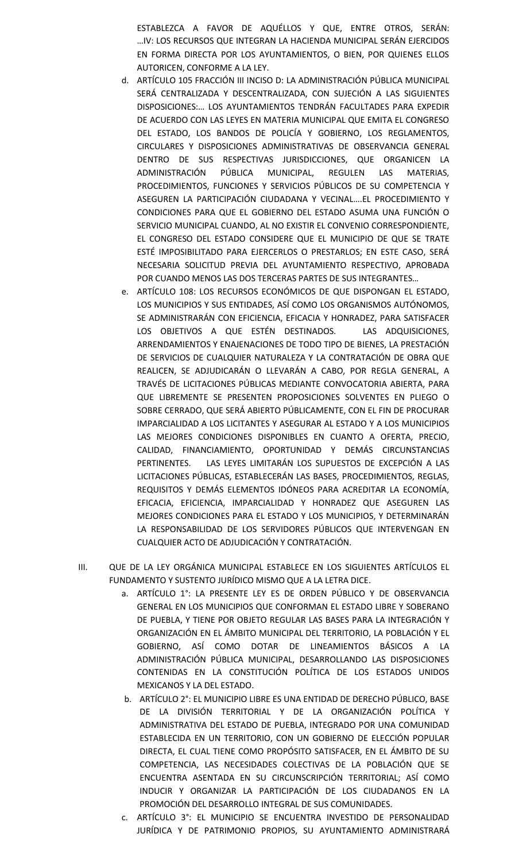ESTABLEZCA A FAVOR DE AQUÉLLOS Y QUE, ENTRE OTROS, SERÁN: …IV: LOS RECURSOS QUE INTEGRAN LA HACIENDA MUNICIPAL SERÁN EJERCIDOS EN FORMA DIRECTA POR LOS AYUNTAMIENTOS, O BIEN, POR QUIENES ELLOS AUTORICEN, CONFORME A LA LEY.

- d. ARTÍCULO 105 FRACCIÓN III INCISO D: LA ADMINISTRACIÓN PÚBLICA MUNICIPAL SERÁ CENTRALIZADA Y DESCENTRALIZADA, CON SUJECIÓN A LAS SIGUIENTES DISPOSICIONES:… LOS AYUNTAMIENTOS TENDRÁN FACULTADES PARA EXPEDIR DE ACUERDO CON LAS LEYES EN MATERIA MUNICIPAL QUE EMITA EL CONGRESO DEL ESTADO, LOS BANDOS DE POLICÍA Y GOBIERNO, LOS REGLAMENTOS, CIRCULARES Y DISPOSICIONES ADMINISTRATIVAS DE OBSERVANCIA GENERAL DENTRO DE SUS RESPECTIVAS JURISDICCIONES, QUE ORGANICEN LA ADMINISTRACIÓN PÚBLICA MUNICIPAL, REGULEN LAS MATERIAS, PROCEDIMIENTOS, FUNCIONES Y SERVICIOS PÚBLICOS DE SU COMPETENCIA Y ASEGUREN LA PARTICIPACIÓN CIUDADANA Y VECINAL….EL PROCEDIMIENTO Y CONDICIONES PARA QUE EL GOBIERNO DEL ESTADO ASUMA UNA FUNCIÓN O SERVICIO MUNICIPAL CUANDO, AL NO EXISTIR EL CONVENIO CORRESPONDIENTE, EL CONGRESO DEL ESTADO CONSIDERE QUE EL MUNICIPIO DE QUE SE TRATE ESTÉ IMPOSIBILITADO PARA EJERCERLOS O PRESTARLOS; EN ESTE CASO, SERÁ NECESARIA SOLICITUD PREVIA DEL AYUNTAMIENTO RESPECTIVO, APROBADA POR CUANDO MENOS LAS DOS TERCERAS PARTES DE SUS INTEGRANTES…
- e. ARTÍCULO 108: LOS RECURSOS ECONÓMICOS DE QUE DISPONGAN EL ESTADO, LOS MUNICIPIOS Y SUS ENTIDADES, ASÍ COMO LOS ORGANISMOS AUTÓNOMOS, SE ADMINISTRARÁN CON EFICIENCIA, EFICACIA Y HONRADEZ, PARA SATISFACER LOS OBJETIVOS A QUE ESTÉN DESTINADOS. LAS ADQUISICIONES, ARRENDAMIENTOS Y ENAJENACIONES DE TODO TIPO DE BIENES, LA PRESTACIÓN DE SERVICIOS DE CUALQUIER NATURALEZA Y LA CONTRATACIÓN DE OBRA QUE REALICEN, SE ADJUDICARÁN O LLEVARÁN A CABO, POR REGLA GENERAL, A TRAVÉS DE LICITACIONES PÚBLICAS MEDIANTE CONVOCATORIA ABIERTA, PARA QUE LIBREMENTE SE PRESENTEN PROPOSICIONES SOLVENTES EN PLIEGO O SOBRE CERRADO, QUE SERÁ ABIERTO PÚBLICAMENTE, CON EL FIN DE PROCURAR IMPARCIALIDAD A LOS LICITANTES Y ASEGURAR AL ESTADO Y A LOS MUNICIPIOS LAS MEJORES CONDICIONES DISPONIBLES EN CUANTO A OFERTA, PRECIO, CALIDAD, FINANCIAMIENTO, OPORTUNIDAD Y DEMÁS CIRCUNSTANCIAS PERTINENTES. LAS LEYES LIMITARÁN LOS SUPUESTOS DE EXCEPCIÓN A LAS LICITACIONES PÚBLICAS, ESTABLECERÁN LAS BASES, PROCEDIMIENTOS, REGLAS, REQUISITOS Y DEMÁS ELEMENTOS IDÓNEOS PARA ACREDITAR LA ECONOMÍA, EFICACIA, EFICIENCIA, IMPARCIALIDAD Y HONRADEZ QUE ASEGUREN LAS MEJORES CONDICIONES PARA EL ESTADO Y LOS MUNICIPIOS, Y DETERMINARÁN LA RESPONSABILIDAD DE LOS SERVIDORES PÚBLICOS QUE INTERVENGAN EN CUALQUIER ACTO DE ADJUDICACIÓN Y CONTRATACIÓN.
- III. QUE DE LA LEY ORGÁNICA MUNICIPAL ESTABLECE EN LOS SIGUIENTES ARTÍCULOS EL FUNDAMENTO Y SUSTENTO JURÍDICO MISMO QUE A LA LETRA DICE.
	- a. ARTÍCULO 1°: LA PRESENTE LEY ES DE ORDEN PÚBLICO Y DE OBSERVANCIA GENERAL EN LOS MUNICIPIOS QUE CONFORMAN EL ESTADO LIBRE Y SOBERANO DE PUEBLA, Y TIENE POR OBJETO REGULAR LAS BASES PARA LA INTEGRACIÓN Y ORGANIZACIÓN EN EL ÁMBITO MUNICIPAL DEL TERRITORIO, LA POBLACIÓN Y EL GOBIERNO, ASÍ COMO DOTAR DE LINEAMIENTOS BÁSICOS A LA ADMINISTRACIÓN PÚBLICA MUNICIPAL, DESARROLLANDO LAS DISPOSICIONES CONTENIDAS EN LA CONSTITUCIÓN POLÍTICA DE LOS ESTADOS UNIDOS MEXICANOS Y LA DEL ESTADO.
	- b. ARTÍCULO 2°: EL MUNICIPIO LIBRE ES UNA ENTIDAD DE DERECHO PÚBLICO, BASE DE LA DIVISIÓN TERRITORIAL Y DE LA ORGANIZACIÓN POLÍTICA Y ADMINISTRATIVA DEL ESTADO DE PUEBLA, INTEGRADO POR UNA COMUNIDAD ESTABLECIDA EN UN TERRITORIO, CON UN GOBIERNO DE ELECCIÓN POPULAR DIRECTA, EL CUAL TIENE COMO PROPÓSITO SATISFACER, EN EL ÁMBITO DE SU COMPETENCIA, LAS NECESIDADES COLECTIVAS DE LA POBLACIÓN QUE SE ENCUENTRA ASENTADA EN SU CIRCUNSCRIPCIÓN TERRITORIAL; ASÍ COMO INDUCIR Y ORGANIZAR LA PARTICIPACIÓN DE LOS CIUDADANOS EN LA PROMOCIÓN DEL DESARROLLO INTEGRAL DE SUS COMUNIDADES.
	- c. ARTÍCULO 3°: EL MUNICIPIO SE ENCUENTRA INVESTIDO DE PERSONALIDAD JURÍDICA Y DE PATRIMONIO PROPIOS, SU AYUNTAMIENTO ADMINISTRARÁ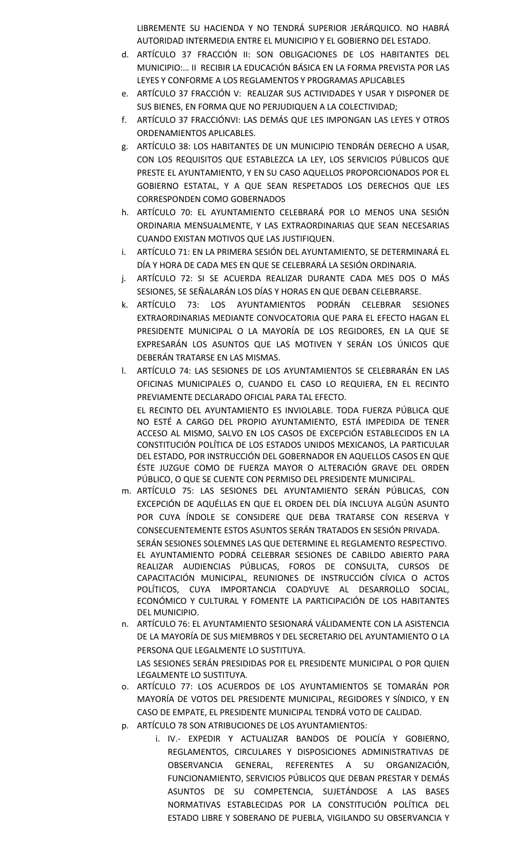LIBREMENTE SU HACIENDA Y NO TENDRÁ SUPERIOR JERÁRQUICO. NO HABRÁ AUTORIDAD INTERMEDIA ENTRE EL MUNICIPIO Y EL GOBIERNO DEL ESTADO.

- d. ARTÍCULO 37 FRACCIÓN II: SON OBLIGACIONES DE LOS HABITANTES DEL MUNICIPIO:… II RECIBIR LA EDUCACIÓN BÁSICA EN LA FORMA PREVISTA POR LAS LEYES Y CONFORME A LOS REGLAMENTOS Y PROGRAMAS APLICABLES
- e. ARTÍCULO 37 FRACCIÓN V: REALIZAR SUS ACTIVIDADES Y USAR Y DISPONER DE SUS BIENES, EN FORMA QUE NO PERJUDIQUEN A LA COLECTIVIDAD;
- f. ARTÍCULO 37 FRACCIÓNVI: LAS DEMÁS QUE LES IMPONGAN LAS LEYES Y OTROS ORDENAMIENTOS APLICABLES.
- g. ARTÍCULO 38: LOS HABITANTES DE UN MUNICIPIO TENDRÁN DERECHO A USAR, CON LOS REQUISITOS QUE ESTABLEZCA LA LEY, LOS SERVICIOS PÚBLICOS QUE PRESTE EL AYUNTAMIENTO, Y EN SU CASO AQUELLOS PROPORCIONADOS POR EL GOBIERNO ESTATAL, Y A QUE SEAN RESPETADOS LOS DERECHOS QUE LES CORRESPONDEN COMO GOBERNADOS
- h. ARTÍCULO 70: EL AYUNTAMIENTO CELEBRARÁ POR LO MENOS UNA SESIÓN ORDINARIA MENSUALMENTE, Y LAS EXTRAORDINARIAS QUE SEAN NECESARIAS CUANDO EXISTAN MOTIVOS QUE LAS JUSTIFIQUEN.
- i. ARTÍCULO 71: EN LA PRIMERA SESIÓN DEL AYUNTAMIENTO, SE DETERMINARÁ EL DÍA Y HORA DE CADA MES EN QUE SE CELEBRARÁ LA SESIÓN ORDINARIA.
- j. ARTÍCULO 72: SI SE ACUERDA REALIZAR DURANTE CADA MES DOS O MÁS SESIONES, SE SEÑALARÁN LOS DÍAS Y HORAS EN QUE DEBAN CELEBRARSE.
- k. ARTÍCULO 73: LOS AYUNTAMIENTOS PODRÁN CELEBRAR SESIONES EXTRAORDINARIAS MEDIANTE CONVOCATORIA QUE PARA EL EFECTO HAGAN EL PRESIDENTE MUNICIPAL O LA MAYORÍA DE LOS REGIDORES, EN LA QUE SE EXPRESARÁN LOS ASUNTOS QUE LAS MOTIVEN Y SERÁN LOS ÚNICOS QUE DEBERÁN TRATARSE EN LAS MISMAS.
- l. ARTÍCULO 74: LAS SESIONES DE LOS AYUNTAMIENTOS SE CELEBRARÁN EN LAS OFICINAS MUNICIPALES O, CUANDO EL CASO LO REQUIERA, EN EL RECINTO PREVIAMENTE DECLARADO OFICIAL PARA TAL EFECTO. EL RECINTO DEL AYUNTAMIENTO ES INVIOLABLE. TODA FUERZA PÚBLICA QUE NO ESTÉ A CARGO DEL PROPIO AYUNTAMIENTO, ESTÁ IMPEDIDA DE TENER ACCESO AL MISMO, SALVO EN LOS CASOS DE EXCEPCIÓN ESTABLECIDOS EN LA CONSTITUCIÓN POLÍTICA DE LOS ESTADOS UNIDOS MEXICANOS, LA PARTICULAR DEL ESTADO, POR INSTRUCCIÓN DEL GOBERNADOR EN AQUELLOS CASOS EN QUE ÉSTE JUZGUE COMO DE FUERZA MAYOR O ALTERACIÓN GRAVE DEL ORDEN PÚBLICO, O QUE SE CUENTE CON PERMISO DEL PRESIDENTE MUNICIPAL.
- m. ARTÍCULO 75: LAS SESIONES DEL AYUNTAMIENTO SERÁN PÚBLICAS, CON EXCEPCIÓN DE AQUÉLLAS EN QUE EL ORDEN DEL DÍA INCLUYA ALGÚN ASUNTO POR CUYA ÍNDOLE SE CONSIDERE QUE DEBA TRATARSE CON RESERVA Y CONSECUENTEMENTE ESTOS ASUNTOS SERÁN TRATADOS EN SESIÓN PRIVADA. SERÁN SESIONES SOLEMNES LAS QUE DETERMINE EL REGLAMENTO RESPECTIVO. EL AYUNTAMIENTO PODRÁ CELEBRAR SESIONES DE CABILDO ABIERTO PARA REALIZAR AUDIENCIAS PÚBLICAS, FOROS DE CONSULTA, CURSOS DE CAPACITACIÓN MUNICIPAL, REUNIONES DE INSTRUCCIÓN CÍVICA O ACTOS POLÍTICOS, CUYA IMPORTANCIA COADYUVE AL DESARROLLO SOCIAL, ECONÓMICO Y CULTURAL Y FOMENTE LA PARTICIPACIÓN DE LOS HABITANTES DEL MUNICIPIO.
- n. ARTÍCULO 76: EL AYUNTAMIENTO SESIONARÁ VÁLIDAMENTE CON LA ASISTENCIA DE LA MAYORÍA DE SUS MIEMBROS Y DEL SECRETARIO DEL AYUNTAMIENTO O LA PERSONA QUE LEGALMENTE LO SUSTITUYA. LAS SESIONES SERÁN PRESIDIDAS POR EL PRESIDENTE MUNICIPAL O POR QUIEN LEGALMENTE LO SUSTITUYA.
- o. ARTÍCULO 77: LOS ACUERDOS DE LOS AYUNTAMIENTOS SE TOMARÁN POR MAYORÍA DE VOTOS DEL PRESIDENTE MUNICIPAL, REGIDORES Y SÍNDICO, Y EN CASO DE EMPATE, EL PRESIDENTE MUNICIPAL TENDRÁ VOTO DE CALIDAD.
- p. ARTÍCULO 78 SON ATRIBUCIONES DE LOS AYUNTAMIENTOS:
	- i. IV.- EXPEDIR Y ACTUALIZAR BANDOS DE POLICÍA Y GOBIERNO, REGLAMENTOS, CIRCULARES Y DISPOSICIONES ADMINISTRATIVAS DE OBSERVANCIA GENERAL, REFERENTES A SU ORGANIZACIÓN, FUNCIONAMIENTO, SERVICIOS PÚBLICOS QUE DEBAN PRESTAR Y DEMÁS ASUNTOS DE SU COMPETENCIA, SUJETÁNDOSE A LAS BASES NORMATIVAS ESTABLECIDAS POR LA CONSTITUCIÓN POLÍTICA DEL ESTADO LIBRE Y SOBERANO DE PUEBLA, VIGILANDO SU OBSERVANCIA Y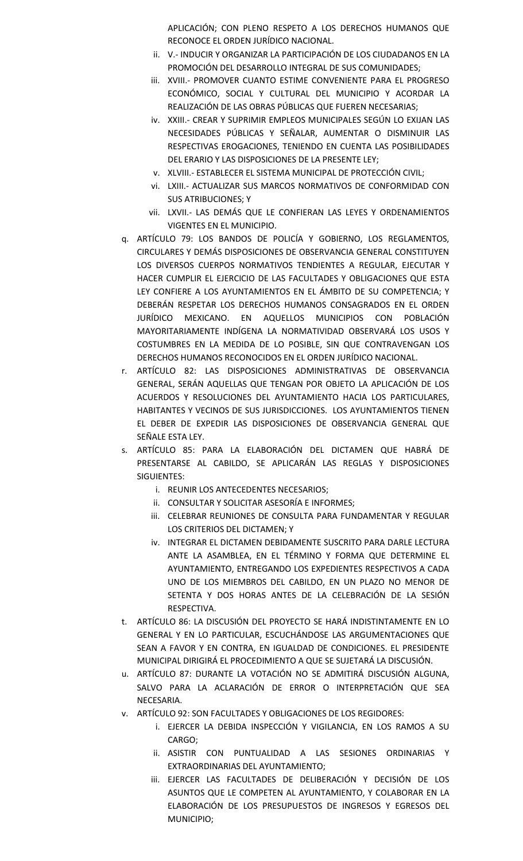APLICACIÓN; CON PLENO RESPETO A LOS DERECHOS HUMANOS QUE RECONOCE EL ORDEN JURÍDICO NACIONAL.

- ii. V.- INDUCIR Y ORGANIZAR LA PARTICIPACIÓN DE LOS CIUDADANOS EN LA PROMOCIÓN DEL DESARROLLO INTEGRAL DE SUS COMUNIDADES;
- iii. XVIII.- PROMOVER CUANTO ESTIME CONVENIENTE PARA EL PROGRESO ECONÓMICO, SOCIAL Y CULTURAL DEL MUNICIPIO Y ACORDAR LA REALIZACIÓN DE LAS OBRAS PÚBLICAS QUE FUEREN NECESARIAS;
- iv. XXIII.- CREAR Y SUPRIMIR EMPLEOS MUNICIPALES SEGÚN LO EXIJAN LAS NECESIDADES PÚBLICAS Y SEÑALAR, AUMENTAR O DISMINUIR LAS RESPECTIVAS EROGACIONES, TENIENDO EN CUENTA LAS POSIBILIDADES DEL ERARIO Y LAS DISPOSICIONES DE LA PRESENTE LEY;
- v. XLVIII.- ESTABLECER EL SISTEMA MUNICIPAL DE PROTECCIÓN CIVIL;
- vi. LXIII.- ACTUALIZAR SUS MARCOS NORMATIVOS DE CONFORMIDAD CON SUS ATRIBUCIONES; Y
- vii. LXVII.- LAS DEMÁS QUE LE CONFIERAN LAS LEYES Y ORDENAMIENTOS VIGENTES EN EL MUNICIPIO.
- q. ARTÍCULO 79: LOS BANDOS DE POLICÍA Y GOBIERNO, LOS REGLAMENTOS, CIRCULARES Y DEMÁS DISPOSICIONES DE OBSERVANCIA GENERAL CONSTITUYEN LOS DIVERSOS CUERPOS NORMATIVOS TENDIENTES A REGULAR, EJECUTAR Y HACER CUMPLIR EL EJERCICIO DE LAS FACULTADES Y OBLIGACIONES QUE ESTA LEY CONFIERE A LOS AYUNTAMIENTOS EN EL ÁMBITO DE SU COMPETENCIA; Y DEBERÁN RESPETAR LOS DERECHOS HUMANOS CONSAGRADOS EN EL ORDEN JURÍDICO MEXICANO. EN AQUELLOS MUNICIPIOS CON POBLACIÓN MAYORITARIAMENTE INDÍGENA LA NORMATIVIDAD OBSERVARÁ LOS USOS Y COSTUMBRES EN LA MEDIDA DE LO POSIBLE, SIN QUE CONTRAVENGAN LOS DERECHOS HUMANOS RECONOCIDOS EN EL ORDEN JURÍDICO NACIONAL.
- r. ARTÍCULO 82: LAS DISPOSICIONES ADMINISTRATIVAS DE OBSERVANCIA GENERAL, SERÁN AQUELLAS QUE TENGAN POR OBJETO LA APLICACIÓN DE LOS ACUERDOS Y RESOLUCIONES DEL AYUNTAMIENTO HACIA LOS PARTICULARES, HABITANTES Y VECINOS DE SUS JURISDICCIONES. LOS AYUNTAMIENTOS TIENEN EL DEBER DE EXPEDIR LAS DISPOSICIONES DE OBSERVANCIA GENERAL QUE SEÑALE ESTA LEY.
- s. ARTÍCULO 85: PARA LA ELABORACIÓN DEL DICTAMEN QUE HABRÁ DE PRESENTARSE AL CABILDO, SE APLICARÁN LAS REGLAS Y DISPOSICIONES SIGUIENTES:
	- i. REUNIR LOS ANTECEDENTES NECESARIOS;
	- ii. CONSULTAR Y SOLICITAR ASESORÍA E INFORMES;
	- iii. CELEBRAR REUNIONES DE CONSULTA PARA FUNDAMENTAR Y REGULAR LOS CRITERIOS DEL DICTAMEN; Y
	- iv. INTEGRAR EL DICTAMEN DEBIDAMENTE SUSCRITO PARA DARLE LECTURA ANTE LA ASAMBLEA, EN EL TÉRMINO Y FORMA QUE DETERMINE EL AYUNTAMIENTO, ENTREGANDO LOS EXPEDIENTES RESPECTIVOS A CADA UNO DE LOS MIEMBROS DEL CABILDO, EN UN PLAZO NO MENOR DE SETENTA Y DOS HORAS ANTES DE LA CELEBRACIÓN DE LA SESIÓN RESPECTIVA.
- t. ARTÍCULO 86: LA DISCUSIÓN DEL PROYECTO SE HARÁ INDISTINTAMENTE EN LO GENERAL Y EN LO PARTICULAR, ESCUCHÁNDOSE LAS ARGUMENTACIONES QUE SEAN A FAVOR Y EN CONTRA, EN IGUALDAD DE CONDICIONES. EL PRESIDENTE MUNICIPAL DIRIGIRÁ EL PROCEDIMIENTO A QUE SE SUJETARÁ LA DISCUSIÓN.
- u. ARTÍCULO 87: DURANTE LA VOTACIÓN NO SE ADMITIRÁ DISCUSIÓN ALGUNA, SALVO PARA LA ACLARACIÓN DE ERROR O INTERPRETACIÓN QUE SEA NECESARIA.
- v. ARTÍCULO 92: SON FACULTADES Y OBLIGACIONES DE LOS REGIDORES:
	- i. EJERCER LA DEBIDA INSPECCIÓN Y VIGILANCIA, EN LOS RAMOS A SU CARGO;
	- ii. ASISTIR CON PUNTUALIDAD A LAS SESIONES ORDINARIAS Y EXTRAORDINARIAS DEL AYUNTAMIENTO;
	- iii. EJERCER LAS FACULTADES DE DELIBERACIÓN Y DECISIÓN DE LOS ASUNTOS QUE LE COMPETEN AL AYUNTAMIENTO, Y COLABORAR EN LA ELABORACIÓN DE LOS PRESUPUESTOS DE INGRESOS Y EGRESOS DEL MUNICIPIO;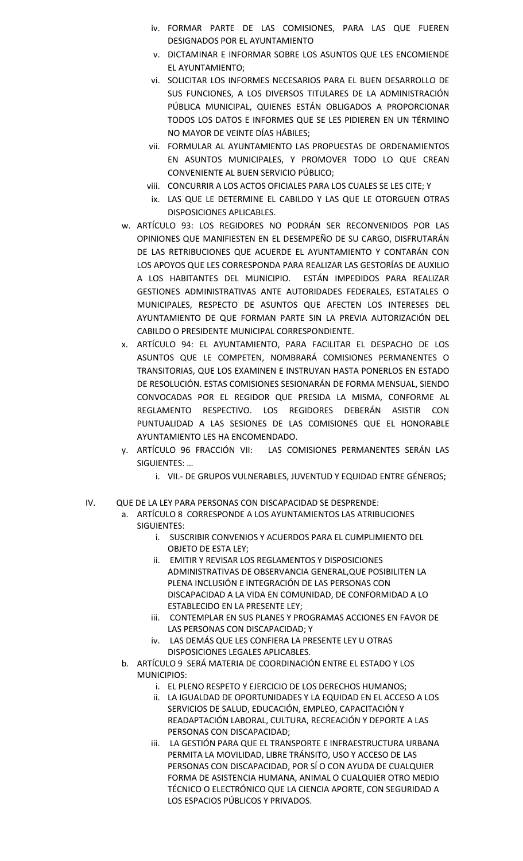- iv. FORMAR PARTE DE LAS COMISIONES, PARA LAS QUE FUEREN DESIGNADOS POR EL AYUNTAMIENTO
- v. DICTAMINAR E INFORMAR SOBRE LOS ASUNTOS QUE LES ENCOMIENDE EL AYUNTAMIENTO;
- vi. SOLICITAR LOS INFORMES NECESARIOS PARA EL BUEN DESARROLLO DE SUS FUNCIONES, A LOS DIVERSOS TITULARES DE LA ADMINISTRACIÓN PÚBLICA MUNICIPAL, QUIENES ESTÁN OBLIGADOS A PROPORCIONAR TODOS LOS DATOS E INFORMES QUE SE LES PIDIEREN EN UN TÉRMINO NO MAYOR DE VEINTE DÍAS HÁBILES;
- vii. FORMULAR AL AYUNTAMIENTO LAS PROPUESTAS DE ORDENAMIENTOS EN ASUNTOS MUNICIPALES, Y PROMOVER TODO LO QUE CREAN CONVENIENTE AL BUEN SERVICIO PÚBLICO;
- viii. CONCURRIR A LOS ACTOS OFICIALES PARA LOS CUALES SE LES CITE; Y
- ix. LAS QUE LE DETERMINE EL CABILDO Y LAS QUE LE OTORGUEN OTRAS DISPOSICIONES APLICABLES.
- w. ARTÍCULO 93: LOS REGIDORES NO PODRÁN SER RECONVENIDOS POR LAS OPINIONES QUE MANIFIESTEN EN EL DESEMPEÑO DE SU CARGO, DISFRUTARÁN DE LAS RETRIBUCIONES QUE ACUERDE EL AYUNTAMIENTO Y CONTARÁN CON LOS APOYOS QUE LES CORRESPONDA PARA REALIZAR LAS GESTORÍAS DE AUXILIO A LOS HABITANTES DEL MUNICIPIO. ESTÁN IMPEDIDOS PARA REALIZAR GESTIONES ADMINISTRATIVAS ANTE AUTORIDADES FEDERALES, ESTATALES O MUNICIPALES, RESPECTO DE ASUNTOS QUE AFECTEN LOS INTERESES DEL AYUNTAMIENTO DE QUE FORMAN PARTE SIN LA PREVIA AUTORIZACIÓN DEL CABILDO O PRESIDENTE MUNICIPAL CORRESPONDIENTE.
- x. ARTÍCULO 94: EL AYUNTAMIENTO, PARA FACILITAR EL DESPACHO DE LOS ASUNTOS QUE LE COMPETEN, NOMBRARÁ COMISIONES PERMANENTES O TRANSITORIAS, QUE LOS EXAMINEN E INSTRUYAN HASTA PONERLOS EN ESTADO DE RESOLUCIÓN. ESTAS COMISIONES SESIONARÁN DE FORMA MENSUAL, SIENDO CONVOCADAS POR EL REGIDOR QUE PRESIDA LA MISMA, CONFORME AL REGLAMENTO RESPECTIVO. LOS REGIDORES DEBERÁN ASISTIR CON PUNTUALIDAD A LAS SESIONES DE LAS COMISIONES QUE EL HONORABLE AYUNTAMIENTO LES HA ENCOMENDADO.
- y. ARTÍCULO 96 FRACCIÓN VII: LAS COMISIONES PERMANENTES SERÁN LAS SIGUIENTES: …
	- i. VII.- DE GRUPOS VULNERABLES, JUVENTUD Y EQUIDAD ENTRE GÉNEROS;

# IV. QUE DE LA LEY PARA PERSONAS CON DISCAPACIDAD SE DESPRENDE:

- a. ARTÍCULO 8 CORRESPONDE A LOS AYUNTAMIENTOS LAS ATRIBUCIONES SIGUIENTES:
	- i. SUSCRIBIR CONVENIOS Y ACUERDOS PARA EL CUMPLIMIENTO DEL OBJETO DE ESTA LEY;
	- ii. EMITIR Y REVISAR LOS REGLAMENTOS Y DISPOSICIONES ADMINISTRATIVAS DE OBSERVANCIA GENERAL,QUE POSIBILITEN LA PLENA INCLUSIÓN E INTEGRACIÓN DE LAS PERSONAS CON DISCAPACIDAD A LA VIDA EN COMUNIDAD, DE CONFORMIDAD A LO ESTABLECIDO EN LA PRESENTE LEY;
	- iii. CONTEMPLAR EN SUS PLANES Y PROGRAMAS ACCIONES EN FAVOR DE LAS PERSONAS CON DISCAPACIDAD; Y
	- iv. LAS DEMÁS QUE LES CONFIERA LA PRESENTE LEY U OTRAS DISPOSICIONES LEGALES APLICABLES.
- b. ARTÍCULO 9 SERÁ MATERIA DE COORDINACIÓN ENTRE EL ESTADO Y LOS MUNICIPIOS:
	- i. EL PLENO RESPETO Y EJERCICIO DE LOS DERECHOS HUMANOS;
	- ii. LA IGUALDAD DE OPORTUNIDADES Y LA EQUIDAD EN EL ACCESO A LOS SERVICIOS DE SALUD, EDUCACIÓN, EMPLEO, CAPACITACIÓN Y READAPTACIÓN LABORAL, CULTURA, RECREACIÓN Y DEPORTE A LAS PERSONAS CON DISCAPACIDAD;
	- iii. LA GESTIÓN PARA QUE EL TRANSPORTE E INFRAESTRUCTURA URBANA PERMITA LA MOVILIDAD, LIBRE TRÁNSITO, USO Y ACCESO DE LAS PERSONAS CON DISCAPACIDAD, POR SÍ O CON AYUDA DE CUALQUIER FORMA DE ASISTENCIA HUMANA, ANIMAL O CUALQUIER OTRO MEDIO TÉCNICO O ELECTRÓNICO QUE LA CIENCIA APORTE, CON SEGURIDAD A LOS ESPACIOS PÚBLICOS Y PRIVADOS.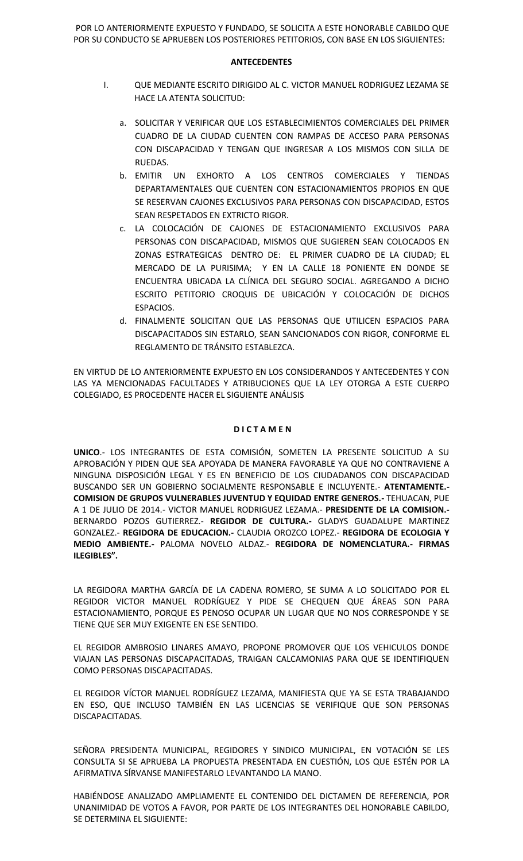POR LO ANTERIORMENTE EXPUESTO Y FUNDADO, SE SOLICITA A ESTE HONORABLE CABILDO QUE POR SU CONDUCTO SE APRUEBEN LOS POSTERIORES PETITORIOS, CON BASE EN LOS SIGUIENTES:

#### **ANTECEDENTES**

- I. QUE MEDIANTE ESCRITO DIRIGIDO AL C. VICTOR MANUEL RODRIGUEZ LEZAMA SE HACE LA ATENTA SOLICITUD:
	- a. SOLICITAR Y VERIFICAR QUE LOS ESTABLECIMIENTOS COMERCIALES DEL PRIMER CUADRO DE LA CIUDAD CUENTEN CON RAMPAS DE ACCESO PARA PERSONAS CON DISCAPACIDAD Y TENGAN QUE INGRESAR A LOS MISMOS CON SILLA DE RUEDAS.
	- b. EMITIR UN EXHORTO A LOS CENTROS COMERCIALES Y TIENDAS DEPARTAMENTALES QUE CUENTEN CON ESTACIONAMIENTOS PROPIOS EN QUE SE RESERVAN CAJONES EXCLUSIVOS PARA PERSONAS CON DISCAPACIDAD, ESTOS SEAN RESPETADOS EN EXTRICTO RIGOR.
	- c. LA COLOCACIÓN DE CAJONES DE ESTACIONAMIENTO EXCLUSIVOS PARA PERSONAS CON DISCAPACIDAD, MISMOS QUE SUGIEREN SEAN COLOCADOS EN ZONAS ESTRATEGICAS DENTRO DE: EL PRIMER CUADRO DE LA CIUDAD; EL MERCADO DE LA PURISIMA; Y EN LA CALLE 18 PONIENTE EN DONDE SE ENCUENTRA UBICADA LA CLÍNICA DEL SEGURO SOCIAL. AGREGANDO A DICHO ESCRITO PETITORIO CROQUIS DE UBICACIÓN Y COLOCACIÓN DE DICHOS ESPACIOS.
	- d. FINALMENTE SOLICITAN QUE LAS PERSONAS QUE UTILICEN ESPACIOS PARA DISCAPACITADOS SIN ESTARLO, SEAN SANCIONADOS CON RIGOR, CONFORME EL REGLAMENTO DE TRÁNSITO ESTABLEZCA.

EN VIRTUD DE LO ANTERIORMENTE EXPUESTO EN LOS CONSIDERANDOS Y ANTECEDENTES Y CON LAS YA MENCIONADAS FACULTADES Y ATRIBUCIONES QUE LA LEY OTORGA A ESTE CUERPO COLEGIADO, ES PROCEDENTE HACER EL SIGUIENTE ANÁLISIS

### **D I C T A M E N**

**UNICO**.- LOS INTEGRANTES DE ESTA COMISIÓN, SOMETEN LA PRESENTE SOLICITUD A SU APROBACIÓN Y PIDEN QUE SEA APOYADA DE MANERA FAVORABLE YA QUE NO CONTRAVIENE A NINGUNA DISPOSICIÓN LEGAL Y ES EN BENEFICIO DE LOS CIUDADANOS CON DISCAPACIDAD BUSCANDO SER UN GOBIERNO SOCIALMENTE RESPONSABLE E INCLUYENTE.- **ATENTAMENTE.- COMISION DE GRUPOS VULNERABLES JUVENTUD Y EQUIDAD ENTRE GENEROS.-** TEHUACAN, PUE A 1 DE JULIO DE 2014.- VICTOR MANUEL RODRIGUEZ LEZAMA.- **PRESIDENTE DE LA COMISION.-** BERNARDO POZOS GUTIERREZ.- **REGIDOR DE CULTURA.-** GLADYS GUADALUPE MARTINEZ GONZALEZ.- **REGIDORA DE EDUCACION.-** CLAUDIA OROZCO LOPEZ.- **REGIDORA DE ECOLOGIA Y MEDIO AMBIENTE.-** PALOMA NOVELO ALDAZ.- **REGIDORA DE NOMENCLATURA.- FIRMAS ILEGIBLES".**

LA REGIDORA MARTHA GARCÍA DE LA CADENA ROMERO, SE SUMA A LO SOLICITADO POR EL REGIDOR VICTOR MANUEL RODRÍGUEZ Y PIDE SE CHEQUEN QUE ÁREAS SON PARA ESTACIONAMIENTO, PORQUE ES PENOSO OCUPAR UN LUGAR QUE NO NOS CORRESPONDE Y SE TIENE QUE SER MUY EXIGENTE EN ESE SENTIDO.

EL REGIDOR AMBROSIO LINARES AMAYO, PROPONE PROMOVER QUE LOS VEHICULOS DONDE VIAJAN LAS PERSONAS DISCAPACITADAS, TRAIGAN CALCAMONIAS PARA QUE SE IDENTIFIQUEN COMO PERSONAS DISCAPACITADAS.

EL REGIDOR VÍCTOR MANUEL RODRÍGUEZ LEZAMA, MANIFIESTA QUE YA SE ESTA TRABAJANDO EN ESO, QUE INCLUSO TAMBIÉN EN LAS LICENCIAS SE VERIFIQUE QUE SON PERSONAS DISCAPACITADAS.

SEÑORA PRESIDENTA MUNICIPAL, REGIDORES Y SINDICO MUNICIPAL, EN VOTACIÓN SE LES CONSULTA SI SE APRUEBA LA PROPUESTA PRESENTADA EN CUESTIÓN, LOS QUE ESTÉN POR LA AFIRMATIVA SÍRVANSE MANIFESTARLO LEVANTANDO LA MANO.

HABIÉNDOSE ANALIZADO AMPLIAMENTE EL CONTENIDO DEL DICTAMEN DE REFERENCIA, POR UNANIMIDAD DE VOTOS A FAVOR, POR PARTE DE LOS INTEGRANTES DEL HONORABLE CABILDO, SE DETERMINA EL SIGUIENTE: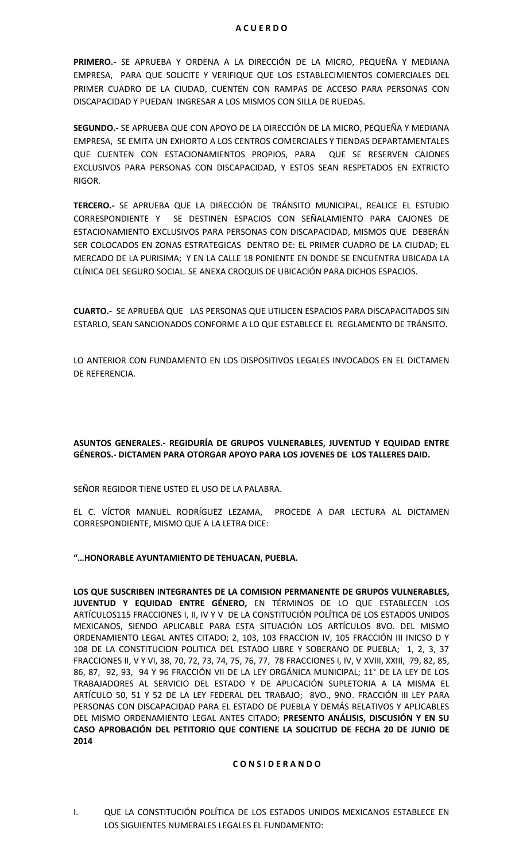**PRIMERO.-** SE APRUEBA Y ORDENA A LA DIRECCIÓN DE LA MICRO, PEQUEÑA Y MEDIANA EMPRESA, PARA QUE SOLICITE Y VERIFIQUE QUE LOS ESTABLECIMIENTOS COMERCIALES DEL PRIMER CUADRO DE LA CIUDAD, CUENTEN CON RAMPAS DE ACCESO PARA PERSONAS CON DISCAPACIDAD Y PUEDAN INGRESAR A LOS MISMOS CON SILLA DE RUEDAS.

**SEGUNDO.-** SE APRUEBA QUE CON APOYO DE LA DIRECCIÓN DE LA MICRO, PEQUEÑA Y MEDIANA EMPRESA, SE EMITA UN EXHORTO A LOS CENTROS COMERCIALES Y TIENDAS DEPARTAMENTALES QUE CUENTEN CON ESTACIONAMIENTOS PROPIOS, PARA QUE SE RESERVEN CAJONES EXCLUSIVOS PARA PERSONAS CON DISCAPACIDAD, Y ESTOS SEAN RESPETADOS EN EXTRICTO RIGOR.

**TERCERO.-** SE APRUEBA QUE LA DIRECCIÓN DE TRÁNSITO MUNICIPAL, REALICE EL ESTUDIO CORRESPONDIENTE Y SE DESTINEN ESPACIOS CON SEÑALAMIENTO PARA CAJONES DE ESTACIONAMIENTO EXCLUSIVOS PARA PERSONAS CON DISCAPACIDAD, MISMOS QUE DEBERÁN SER COLOCADOS EN ZONAS ESTRATEGICAS DENTRO DE: EL PRIMER CUADRO DE LA CIUDAD; EL MERCADO DE LA PURISIMA; Y EN LA CALLE 18 PONIENTE EN DONDE SE ENCUENTRA UBICADA LA CLÍNICA DEL SEGURO SOCIAL. SE ANEXA CROQUIS DE UBICACIÓN PARA DICHOS ESPACIOS.

**CUARTO.-** SE APRUEBA QUE LAS PERSONAS QUE UTILICEN ESPACIOS PARA DISCAPACITADOS SIN ESTARLO, SEAN SANCIONADOS CONFORME A LO QUE ESTABLECE EL REGLAMENTO DE TRÁNSITO.

LO ANTERIOR CON FUNDAMENTO EN LOS DISPOSITIVOS LEGALES INVOCADOS EN EL DICTAMEN DE REFERENCIA.

**ASUNTOS GENERALES.- REGIDURÍA DE GRUPOS VULNERABLES, JUVENTUD Y EQUIDAD ENTRE GÉNEROS.- DICTAMEN PARA OTORGAR APOYO PARA LOS JOVENES DE LOS TALLERES DAID.**

SEÑOR REGIDOR TIENE USTED EL USO DE LA PALABRA.

EL C. VÍCTOR MANUEL RODRÍGUEZ LEZAMA, PROCEDE A DAR LECTURA AL DICTAMEN CORRESPONDIENTE, MISMO QUE A LA LETRA DICE:

#### **"…HONORABLE AYUNTAMIENTO DE TEHUACAN, PUEBLA.**

**LOS QUE SUSCRIBEN INTEGRANTES DE LA COMISION PERMANENTE DE GRUPOS VULNERABLES, JUVENTUD Y EQUIDAD ENTRE GÉNERO,** EN TÉRMINOS DE LO QUE ESTABLECEN LOS ARTÍCULOS115 FRACCIONES I, II, IV Y V DE LA CONSTITUCIÓN POLÍTICA DE LOS ESTADOS UNIDOS MEXICANOS, SIENDO APLICABLE PARA ESTA SITUACIÓN LOS ARTÍCULOS 8VO. DEL MISMO ORDENAMIENTO LEGAL ANTES CITADO; 2, 103, 103 FRACCION IV, 105 FRACCIÓN III INICSO D Y 108 DE LA CONSTITUCION POLITICA DEL ESTADO LIBRE Y SOBERANO DE PUEBLA; 1, 2, 3, 37 FRACCIONES II, V Y VI, 38, 70, 72, 73, 74, 75, 76, 77, 78 FRACCIONES I, IV, V XVIII, XXIII, 79, 82, 85, 86, 87, 92, 93, 94 Y 96 FRACCIÓN VII DE LA LEY ORGÁNICA MUNICIPAL; 11° DE LA LEY DE LOS TRABAJADORES AL SERVICIO DEL ESTADO Y DE APLICACIÓN SUPLETORIA A LA MISMA EL ARTÍCULO 50, 51 Y 52 DE LA LEY FEDERAL DEL TRABAJO; 8VO., 9NO. FRACCIÓN III LEY PARA PERSONAS CON DISCAPACIDAD PARA EL ESTADO DE PUEBLA Y DEMÁS RELATIVOS Y APLICABLES DEL MISMO ORDENAMIENTO LEGAL ANTES CITADO; **PRESENTO ANÁLISIS, DISCUSIÓN Y EN SU CASO APROBACIÓN DEL PETITORIO QUE CONTIENE LA SOLICITUD DE FECHA 20 DE JUNIO DE 2014**

#### **C O N S I D E R A N D O**

I. QUE LA CONSTITUCIÓN POLÍTICA DE LOS ESTADOS UNIDOS MEXICANOS ESTABLECE EN LOS SIGUIENTES NUMERALES LEGALES EL FUNDAMENTO: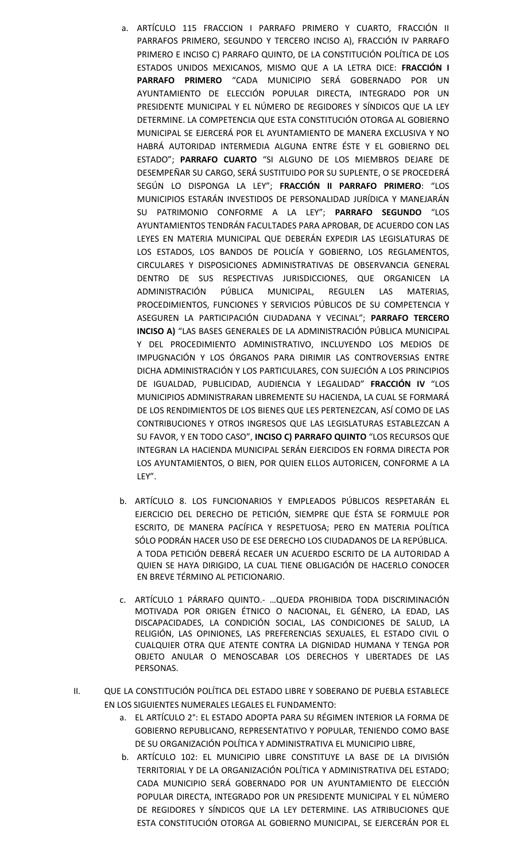- a. ARTÍCULO 115 FRACCION I PARRAFO PRIMERO Y CUARTO, FRACCIÓN II PARRAFOS PRIMERO, SEGUNDO Y TERCERO INCISO A), FRACCIÓN IV PARRAFO PRIMERO E INCISO C) PARRAFO QUINTO, DE LA CONSTITUCIÓN POLÍTICA DE LOS ESTADOS UNIDOS MEXICANOS, MISMO QUE A LA LETRA DICE: **FRACCIÓN I PARRAFO PRIMERO** "CADA MUNICIPIO SERÁ GOBERNADO POR UN AYUNTAMIENTO DE ELECCIÓN POPULAR DIRECTA, INTEGRADO POR UN PRESIDENTE MUNICIPAL Y EL NÚMERO DE REGIDORES Y SÍNDICOS QUE LA LEY DETERMINE. LA COMPETENCIA QUE ESTA CONSTITUCIÓN OTORGA AL GOBIERNO MUNICIPAL SE EJERCERÁ POR EL AYUNTAMIENTO DE MANERA EXCLUSIVA Y NO HABRÁ AUTORIDAD INTERMEDIA ALGUNA ENTRE ÉSTE Y EL GOBIERNO DEL ESTADO"; **PARRAFO CUARTO** "SI ALGUNO DE LOS MIEMBROS DEJARE DE DESEMPEÑAR SU CARGO, SERÁ SUSTITUIDO POR SU SUPLENTE, O SE PROCEDERÁ SEGÚN LO DISPONGA LA LEY"; **FRACCIÓN II PARRAFO PRIMERO**: "LOS MUNICIPIOS ESTARÁN INVESTIDOS DE PERSONALIDAD JURÍDICA Y MANEJARÁN SU PATRIMONIO CONFORME A LA LEY"; **PARRAFO SEGUNDO** "LOS AYUNTAMIENTOS TENDRÁN FACULTADES PARA APROBAR, DE ACUERDO CON LAS LEYES EN MATERIA MUNICIPAL QUE DEBERÁN EXPEDIR LAS LEGISLATURAS DE LOS ESTADOS, LOS BANDOS DE POLICÍA Y GOBIERNO, LOS REGLAMENTOS, CIRCULARES Y DISPOSICIONES ADMINISTRATIVAS DE OBSERVANCIA GENERAL DENTRO DE SUS RESPECTIVAS JURISDICCIONES, QUE ORGANICEN LA ADMINISTRACIÓN PÚBLICA MUNICIPAL, REGULEN LAS MATERIAS, PROCEDIMIENTOS, FUNCIONES Y SERVICIOS PÚBLICOS DE SU COMPETENCIA Y ASEGUREN LA PARTICIPACIÓN CIUDADANA Y VECINAL"; **PARRAFO TERCERO INCISO A)** "LAS BASES GENERALES DE LA ADMINISTRACIÓN PÚBLICA MUNICIPAL Y DEL PROCEDIMIENTO ADMINISTRATIVO, INCLUYENDO LOS MEDIOS DE IMPUGNACIÓN Y LOS ÓRGANOS PARA DIRIMIR LAS CONTROVERSIAS ENTRE DICHA ADMINISTRACIÓN Y LOS PARTICULARES, CON SUJECIÓN A LOS PRINCIPIOS DE IGUALDAD, PUBLICIDAD, AUDIENCIA Y LEGALIDAD" **FRACCIÓN IV** "LOS MUNICIPIOS ADMINISTRARAN LIBREMENTE SU HACIENDA, LA CUAL SE FORMARÁ DE LOS RENDIMIENTOS DE LOS BIENES QUE LES PERTENEZCAN, ASÍ COMO DE LAS CONTRIBUCIONES Y OTROS INGRESOS QUE LAS LEGISLATURAS ESTABLEZCAN A SU FAVOR, Y EN TODO CASO", **INCISO C) PARRAFO QUINTO** "LOS RECURSOS QUE INTEGRAN LA HACIENDA MUNICIPAL SERÁN EJERCIDOS EN FORMA DIRECTA POR LOS AYUNTAMIENTOS, O BIEN, POR QUIEN ELLOS AUTORICEN, CONFORME A LA LEY".
- b. ARTÍCULO 8. LOS FUNCIONARIOS Y EMPLEADOS PÚBLICOS RESPETARÁN EL EJERCICIO DEL DERECHO DE PETICIÓN, SIEMPRE QUE ÉSTA SE FORMULE POR ESCRITO, DE MANERA PACÍFICA Y RESPETUOSA; PERO EN MATERIA POLÍTICA SÓLO PODRÁN HACER USO DE ESE DERECHO LOS CIUDADANOS DE LA REPÚBLICA. A TODA PETICIÓN DEBERÁ RECAER UN ACUERDO ESCRITO DE LA AUTORIDAD A QUIEN SE HAYA DIRIGIDO, LA CUAL TIENE OBLIGACIÓN DE HACERLO CONOCER EN BREVE TÉRMINO AL PETICIONARIO.
- c. ARTÍCULO 1 PÁRRAFO QUINTO.- …QUEDA PROHIBIDA TODA DISCRIMINACIÓN MOTIVADA POR ORIGEN ÉTNICO O NACIONAL, EL GÉNERO, LA EDAD, LAS DISCAPACIDADES, LA CONDICIÓN SOCIAL, LAS CONDICIONES DE SALUD, LA RELIGIÓN, LAS OPINIONES, LAS PREFERENCIAS SEXUALES, EL ESTADO CIVIL O CUALQUIER OTRA QUE ATENTE CONTRA LA DIGNIDAD HUMANA Y TENGA POR OBJETO ANULAR O MENOSCABAR LOS DERECHOS Y LIBERTADES DE LAS PERSONAS.
- II. QUE LA CONSTITUCIÓN POLÍTICA DEL ESTADO LIBRE Y SOBERANO DE PUEBLA ESTABLECE EN LOS SIGUIENTES NUMERALES LEGALES EL FUNDAMENTO:
	- a. EL ARTÍCULO 2°: EL ESTADO ADOPTA PARA SU RÉGIMEN INTERIOR LA FORMA DE GOBIERNO REPUBLICANO, REPRESENTATIVO Y POPULAR, TENIENDO COMO BASE DE SU ORGANIZACIÓN POLÍTICA Y ADMINISTRATIVA EL MUNICIPIO LIBRE,
	- b. ARTÍCULO 102: EL MUNICIPIO LIBRE CONSTITUYE LA BASE DE LA DIVISIÓN TERRITORIAL Y DE LA ORGANIZACIÓN POLÍTICA Y ADMINISTRATIVA DEL ESTADO; CADA MUNICIPIO SERÁ GOBERNADO POR UN AYUNTAMIENTO DE ELECCIÓN POPULAR DIRECTA, INTEGRADO POR UN PRESIDENTE MUNICIPAL Y EL NÚMERO DE REGIDORES Y SÍNDICOS QUE LA LEY DETERMINE. LAS ATRIBUCIONES QUE ESTA CONSTITUCIÓN OTORGA AL GOBIERNO MUNICIPAL, SE EJERCERÁN POR EL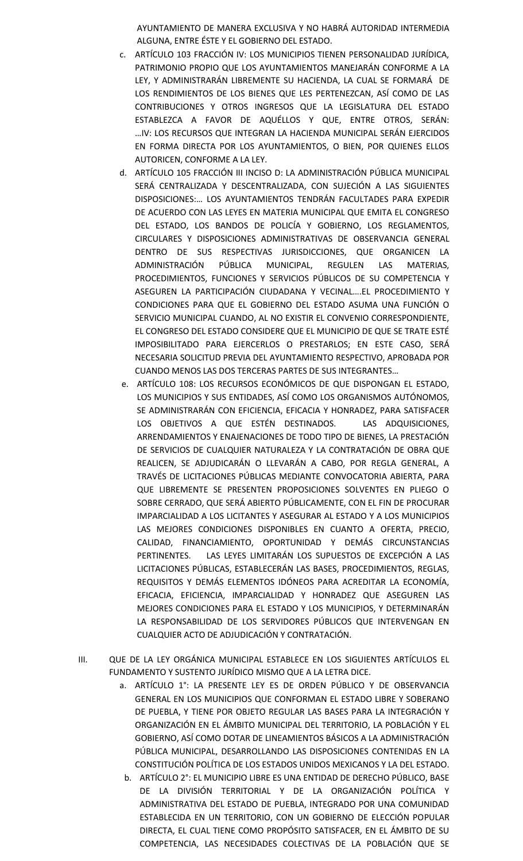AYUNTAMIENTO DE MANERA EXCLUSIVA Y NO HABRÁ AUTORIDAD INTERMEDIA ALGUNA, ENTRE ÉSTE Y EL GOBIERNO DEL ESTADO.

- c. ARTÍCULO 103 FRACCIÓN IV: LOS MUNICIPIOS TIENEN PERSONALIDAD JURÍDICA, PATRIMONIO PROPIO QUE LOS AYUNTAMIENTOS MANEJARÁN CONFORME A LA LEY, Y ADMINISTRARÁN LIBREMENTE SU HACIENDA, LA CUAL SE FORMARÁ DE LOS RENDIMIENTOS DE LOS BIENES QUE LES PERTENEZCAN, ASÍ COMO DE LAS CONTRIBUCIONES Y OTROS INGRESOS QUE LA LEGISLATURA DEL ESTADO ESTABLEZCA A FAVOR DE AQUÉLLOS Y QUE, ENTRE OTROS, SERÁN: …IV: LOS RECURSOS QUE INTEGRAN LA HACIENDA MUNICIPAL SERÁN EJERCIDOS EN FORMA DIRECTA POR LOS AYUNTAMIENTOS, O BIEN, POR QUIENES ELLOS AUTORICEN, CONFORME A LA LEY.
- d. ARTÍCULO 105 FRACCIÓN III INCISO D: LA ADMINISTRACIÓN PÚBLICA MUNICIPAL SERÁ CENTRALIZADA Y DESCENTRALIZADA, CON SUJECIÓN A LAS SIGUIENTES DISPOSICIONES:… LOS AYUNTAMIENTOS TENDRÁN FACULTADES PARA EXPEDIR DE ACUERDO CON LAS LEYES EN MATERIA MUNICIPAL QUE EMITA EL CONGRESO DEL ESTADO, LOS BANDOS DE POLICÍA Y GOBIERNO, LOS REGLAMENTOS, CIRCULARES Y DISPOSICIONES ADMINISTRATIVAS DE OBSERVANCIA GENERAL DENTRO DE SUS RESPECTIVAS JURISDICCIONES, QUE ORGANICEN LA ADMINISTRACIÓN PÚBLICA MUNICIPAL, REGULEN LAS MATERIAS, PROCEDIMIENTOS, FUNCIONES Y SERVICIOS PÚBLICOS DE SU COMPETENCIA Y ASEGUREN LA PARTICIPACIÓN CIUDADANA Y VECINAL….EL PROCEDIMIENTO Y CONDICIONES PARA QUE EL GOBIERNO DEL ESTADO ASUMA UNA FUNCIÓN O SERVICIO MUNICIPAL CUANDO, AL NO EXISTIR EL CONVENIO CORRESPONDIENTE, EL CONGRESO DEL ESTADO CONSIDERE QUE EL MUNICIPIO DE QUE SE TRATE ESTÉ IMPOSIBILITADO PARA EJERCERLOS O PRESTARLOS; EN ESTE CASO, SERÁ NECESARIA SOLICITUD PREVIA DEL AYUNTAMIENTO RESPECTIVO, APROBADA POR CUANDO MENOS LAS DOS TERCERAS PARTES DE SUS INTEGRANTES…
- e. ARTÍCULO 108: LOS RECURSOS ECONÓMICOS DE QUE DISPONGAN EL ESTADO, LOS MUNICIPIOS Y SUS ENTIDADES, ASÍ COMO LOS ORGANISMOS AUTÓNOMOS, SE ADMINISTRARÁN CON EFICIENCIA, EFICACIA Y HONRADEZ, PARA SATISFACER LOS OBJETIVOS A QUE ESTÉN DESTINADOS. LAS ADQUISICIONES, ARRENDAMIENTOS Y ENAJENACIONES DE TODO TIPO DE BIENES, LA PRESTACIÓN DE SERVICIOS DE CUALQUIER NATURALEZA Y LA CONTRATACIÓN DE OBRA QUE REALICEN, SE ADJUDICARÁN O LLEVARÁN A CABO, POR REGLA GENERAL, A TRAVÉS DE LICITACIONES PÚBLICAS MEDIANTE CONVOCATORIA ABIERTA, PARA QUE LIBREMENTE SE PRESENTEN PROPOSICIONES SOLVENTES EN PLIEGO O SOBRE CERRADO, QUE SERÁ ABIERTO PÚBLICAMENTE, CON EL FIN DE PROCURAR IMPARCIALIDAD A LOS LICITANTES Y ASEGURAR AL ESTADO Y A LOS MUNICIPIOS LAS MEJORES CONDICIONES DISPONIBLES EN CUANTO A OFERTA, PRECIO, CALIDAD, FINANCIAMIENTO, OPORTUNIDAD Y DEMÁS CIRCUNSTANCIAS PERTINENTES. LAS LEYES LIMITARÁN LOS SUPUESTOS DE EXCEPCIÓN A LAS LICITACIONES PÚBLICAS, ESTABLECERÁN LAS BASES, PROCEDIMIENTOS, REGLAS, REQUISITOS Y DEMÁS ELEMENTOS IDÓNEOS PARA ACREDITAR LA ECONOMÍA, EFICACIA, EFICIENCIA, IMPARCIALIDAD Y HONRADEZ QUE ASEGUREN LAS MEJORES CONDICIONES PARA EL ESTADO Y LOS MUNICIPIOS, Y DETERMINARÁN LA RESPONSABILIDAD DE LOS SERVIDORES PÚBLICOS QUE INTERVENGAN EN CUALQUIER ACTO DE ADJUDICACIÓN Y CONTRATACIÓN.
- III. QUE DE LA LEY ORGÁNICA MUNICIPAL ESTABLECE EN LOS SIGUIENTES ARTÍCULOS EL FUNDAMENTO Y SUSTENTO JURÍDICO MISMO QUE A LA LETRA DICE.
	- a. ARTÍCULO 1°: LA PRESENTE LEY ES DE ORDEN PÚBLICO Y DE OBSERVANCIA GENERAL EN LOS MUNICIPIOS QUE CONFORMAN EL ESTADO LIBRE Y SOBERANO DE PUEBLA, Y TIENE POR OBJETO REGULAR LAS BASES PARA LA INTEGRACIÓN Y ORGANIZACIÓN EN EL ÁMBITO MUNICIPAL DEL TERRITORIO, LA POBLACIÓN Y EL GOBIERNO, ASÍ COMO DOTAR DE LINEAMIENTOS BÁSICOS A LA ADMINISTRACIÓN PÚBLICA MUNICIPAL, DESARROLLANDO LAS DISPOSICIONES CONTENIDAS EN LA CONSTITUCIÓN POLÍTICA DE LOS ESTADOS UNIDOS MEXICANOS Y LA DEL ESTADO.
		- b. ARTÍCULO 2°: EL MUNICIPIO LIBRE ES UNA ENTIDAD DE DERECHO PÚBLICO, BASE DE LA DIVISIÓN TERRITORIAL Y DE LA ORGANIZACIÓN POLÍTICA Y ADMINISTRATIVA DEL ESTADO DE PUEBLA, INTEGRADO POR UNA COMUNIDAD ESTABLECIDA EN UN TERRITORIO, CON UN GOBIERNO DE ELECCIÓN POPULAR DIRECTA, EL CUAL TIENE COMO PROPÓSITO SATISFACER, EN EL ÁMBITO DE SU COMPETENCIA, LAS NECESIDADES COLECTIVAS DE LA POBLACIÓN QUE SE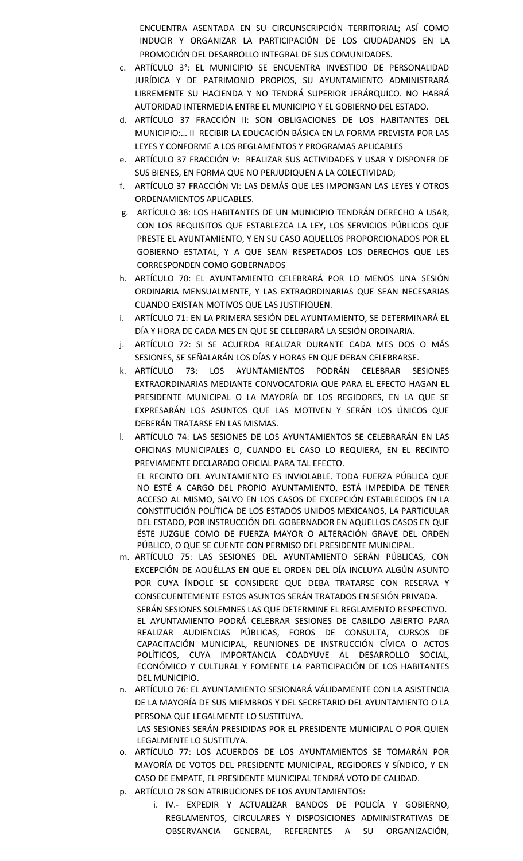ENCUENTRA ASENTADA EN SU CIRCUNSCRIPCIÓN TERRITORIAL; ASÍ COMO INDUCIR Y ORGANIZAR LA PARTICIPACIÓN DE LOS CIUDADANOS EN LA PROMOCIÓN DEL DESARROLLO INTEGRAL DE SUS COMUNIDADES.

- c. ARTÍCULO 3°: EL MUNICIPIO SE ENCUENTRA INVESTIDO DE PERSONALIDAD JURÍDICA Y DE PATRIMONIO PROPIOS, SU AYUNTAMIENTO ADMINISTRARÁ LIBREMENTE SU HACIENDA Y NO TENDRÁ SUPERIOR JERÁRQUICO. NO HABRÁ AUTORIDAD INTERMEDIA ENTRE EL MUNICIPIO Y EL GOBIERNO DEL ESTADO.
- d. ARTÍCULO 37 FRACCIÓN II: SON OBLIGACIONES DE LOS HABITANTES DEL MUNICIPIO:… II RECIBIR LA EDUCACIÓN BÁSICA EN LA FORMA PREVISTA POR LAS LEYES Y CONFORME A LOS REGLAMENTOS Y PROGRAMAS APLICABLES
- e. ARTÍCULO 37 FRACCIÓN V: REALIZAR SUS ACTIVIDADES Y USAR Y DISPONER DE SUS BIENES, EN FORMA QUE NO PERJUDIQUEN A LA COLECTIVIDAD;
- f. ARTÍCULO 37 FRACCIÓN VI: LAS DEMÁS QUE LES IMPONGAN LAS LEYES Y OTROS ORDENAMIENTOS APLICABLES.
- g. ARTÍCULO 38: LOS HABITANTES DE UN MUNICIPIO TENDRÁN DERECHO A USAR, CON LOS REQUISITOS QUE ESTABLEZCA LA LEY, LOS SERVICIOS PÚBLICOS QUE PRESTE EL AYUNTAMIENTO, Y EN SU CASO AQUELLOS PROPORCIONADOS POR EL GOBIERNO ESTATAL, Y A QUE SEAN RESPETADOS LOS DERECHOS QUE LES CORRESPONDEN COMO GOBERNADOS
- h. ARTÍCULO 70: EL AYUNTAMIENTO CELEBRARÁ POR LO MENOS UNA SESIÓN ORDINARIA MENSUALMENTE, Y LAS EXTRAORDINARIAS QUE SEAN NECESARIAS CUANDO EXISTAN MOTIVOS QUE LAS JUSTIFIQUEN.
- i. ARTÍCULO 71: EN LA PRIMERA SESIÓN DEL AYUNTAMIENTO, SE DETERMINARÁ EL DÍA Y HORA DE CADA MES EN QUE SE CELEBRARÁ LA SESIÓN ORDINARIA.
- j. ARTÍCULO 72: SI SE ACUERDA REALIZAR DURANTE CADA MES DOS O MÁS SESIONES, SE SEÑALARÁN LOS DÍAS Y HORAS EN QUE DEBAN CELEBRARSE.
- k. ARTÍCULO 73: LOS AYUNTAMIENTOS PODRÁN CELEBRAR SESIONES EXTRAORDINARIAS MEDIANTE CONVOCATORIA QUE PARA EL EFECTO HAGAN EL PRESIDENTE MUNICIPAL O LA MAYORÍA DE LOS REGIDORES, EN LA QUE SE EXPRESARÁN LOS ASUNTOS QUE LAS MOTIVEN Y SERÁN LOS ÚNICOS QUE DEBERÁN TRATARSE EN LAS MISMAS.
- l. ARTÍCULO 74: LAS SESIONES DE LOS AYUNTAMIENTOS SE CELEBRARÁN EN LAS OFICINAS MUNICIPALES O, CUANDO EL CASO LO REQUIERA, EN EL RECINTO PREVIAMENTE DECLARADO OFICIAL PARA TAL EFECTO. EL RECINTO DEL AYUNTAMIENTO ES INVIOLABLE. TODA FUERZA PÚBLICA QUE NO ESTÉ A CARGO DEL PROPIO AYUNTAMIENTO, ESTÁ IMPEDIDA DE TENER ACCESO AL MISMO, SALVO EN LOS CASOS DE EXCEPCIÓN ESTABLECIDOS EN LA CONSTITUCIÓN POLÍTICA DE LOS ESTADOS UNIDOS MEXICANOS, LA PARTICULAR DEL ESTADO, POR INSTRUCCIÓN DEL GOBERNADOR EN AQUELLOS CASOS EN QUE ÉSTE JUZGUE COMO DE FUERZA MAYOR O ALTERACIÓN GRAVE DEL ORDEN PÚBLICO, O QUE SE CUENTE CON PERMISO DEL PRESIDENTE MUNICIPAL.
- m. ARTÍCULO 75: LAS SESIONES DEL AYUNTAMIENTO SERÁN PÚBLICAS, CON EXCEPCIÓN DE AQUÉLLAS EN QUE EL ORDEN DEL DÍA INCLUYA ALGÚN ASUNTO POR CUYA ÍNDOLE SE CONSIDERE QUE DEBA TRATARSE CON RESERVA Y CONSECUENTEMENTE ESTOS ASUNTOS SERÁN TRATADOS EN SESIÓN PRIVADA. SERÁN SESIONES SOLEMNES LAS QUE DETERMINE EL REGLAMENTO RESPECTIVO. EL AYUNTAMIENTO PODRÁ CELEBRAR SESIONES DE CABILDO ABIERTO PARA REALIZAR AUDIENCIAS PÚBLICAS, FOROS DE CONSULTA, CURSOS DE CAPACITACIÓN MUNICIPAL, REUNIONES DE INSTRUCCIÓN CÍVICA O ACTOS POLÍTICOS, CUYA IMPORTANCIA COADYUVE AL DESARROLLO SOCIAL, ECONÓMICO Y CULTURAL Y FOMENTE LA PARTICIPACIÓN DE LOS HABITANTES DEL MUNICIPIO.
- n. ARTÍCULO 76: EL AYUNTAMIENTO SESIONARÁ VÁLIDAMENTE CON LA ASISTENCIA DE LA MAYORÍA DE SUS MIEMBROS Y DEL SECRETARIO DEL AYUNTAMIENTO O LA PERSONA QUE LEGALMENTE LO SUSTITUYA. LAS SESIONES SERÁN PRESIDIDAS POR EL PRESIDENTE MUNICIPAL O POR QUIEN LEGALMENTE LO SUSTITUYA.
- o. ARTÍCULO 77: LOS ACUERDOS DE LOS AYUNTAMIENTOS SE TOMARÁN POR MAYORÍA DE VOTOS DEL PRESIDENTE MUNICIPAL, REGIDORES Y SÍNDICO, Y EN CASO DE EMPATE, EL PRESIDENTE MUNICIPAL TENDRÁ VOTO DE CALIDAD.
- p. ARTÍCULO 78 SON ATRIBUCIONES DE LOS AYUNTAMIENTOS:
	- i. IV.- EXPEDIR Y ACTUALIZAR BANDOS DE POLICÍA Y GOBIERNO, REGLAMENTOS, CIRCULARES Y DISPOSICIONES ADMINISTRATIVAS DE OBSERVANCIA GENERAL, REFERENTES A SU ORGANIZACIÓN,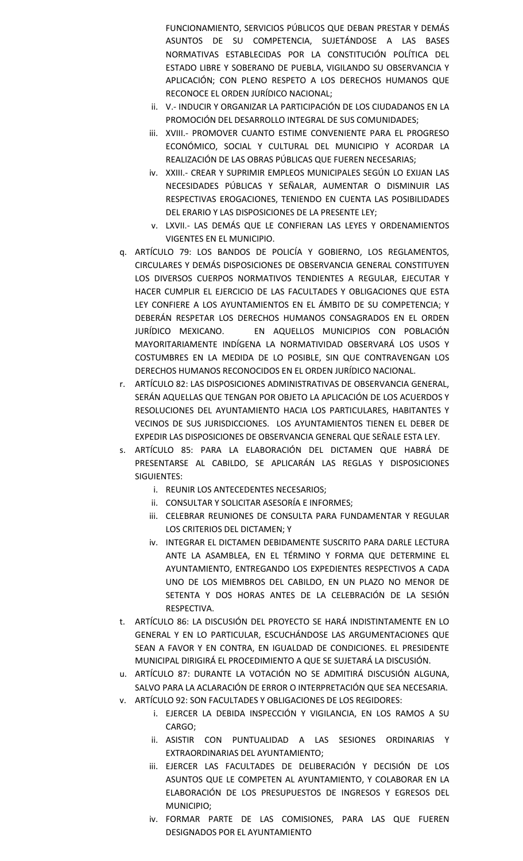FUNCIONAMIENTO, SERVICIOS PÚBLICOS QUE DEBAN PRESTAR Y DEMÁS ASUNTOS DE SU COMPETENCIA, SUJETÁNDOSE A LAS BASES NORMATIVAS ESTABLECIDAS POR LA CONSTITUCIÓN POLÍTICA DEL ESTADO LIBRE Y SOBERANO DE PUEBLA, VIGILANDO SU OBSERVANCIA Y APLICACIÓN; CON PLENO RESPETO A LOS DERECHOS HUMANOS QUE RECONOCE EL ORDEN JURÍDICO NACIONAL;

- ii. V.- INDUCIR Y ORGANIZAR LA PARTICIPACIÓN DE LOS CIUDADANOS EN LA PROMOCIÓN DEL DESARROLLO INTEGRAL DE SUS COMUNIDADES;
- iii. XVIII.- PROMOVER CUANTO ESTIME CONVENIENTE PARA EL PROGRESO ECONÓMICO, SOCIAL Y CULTURAL DEL MUNICIPIO Y ACORDAR LA REALIZACIÓN DE LAS OBRAS PÚBLICAS QUE FUEREN NECESARIAS;
- iv. XXIII.- CREAR Y SUPRIMIR EMPLEOS MUNICIPALES SEGÚN LO EXIJAN LAS NECESIDADES PÚBLICAS Y SEÑALAR, AUMENTAR O DISMINUIR LAS RESPECTIVAS EROGACIONES, TENIENDO EN CUENTA LAS POSIBILIDADES DEL ERARIO Y LAS DISPOSICIONES DE LA PRESENTE LEY;
- v. LXVII.- LAS DEMÁS QUE LE CONFIERAN LAS LEYES Y ORDENAMIENTOS VIGENTES EN EL MUNICIPIO.
- q. ARTÍCULO 79: LOS BANDOS DE POLICÍA Y GOBIERNO, LOS REGLAMENTOS, CIRCULARES Y DEMÁS DISPOSICIONES DE OBSERVANCIA GENERAL CONSTITUYEN LOS DIVERSOS CUERPOS NORMATIVOS TENDIENTES A REGULAR, EJECUTAR Y HACER CUMPLIR EL EJERCICIO DE LAS FACULTADES Y OBLIGACIONES QUE ESTA LEY CONFIERE A LOS AYUNTAMIENTOS EN EL ÁMBITO DE SU COMPETENCIA; Y DEBERÁN RESPETAR LOS DERECHOS HUMANOS CONSAGRADOS EN EL ORDEN JURÍDICO MEXICANO. EN AQUELLOS MUNICIPIOS CON POBLACIÓN MAYORITARIAMENTE INDÍGENA LA NORMATIVIDAD OBSERVARÁ LOS USOS Y COSTUMBRES EN LA MEDIDA DE LO POSIBLE, SIN QUE CONTRAVENGAN LOS DERECHOS HUMANOS RECONOCIDOS EN EL ORDEN JURÍDICO NACIONAL.
- r. ARTÍCULO 82: LAS DISPOSICIONES ADMINISTRATIVAS DE OBSERVANCIA GENERAL, SERÁN AQUELLAS QUE TENGAN POR OBJETO LA APLICACIÓN DE LOS ACUERDOS Y RESOLUCIONES DEL AYUNTAMIENTO HACIA LOS PARTICULARES, HABITANTES Y VECINOS DE SUS JURISDICCIONES. LOS AYUNTAMIENTOS TIENEN EL DEBER DE EXPEDIR LAS DISPOSICIONES DE OBSERVANCIA GENERAL QUE SEÑALE ESTA LEY.
- s. ARTÍCULO 85: PARA LA ELABORACIÓN DEL DICTAMEN QUE HABRÁ DE PRESENTARSE AL CABILDO, SE APLICARÁN LAS REGLAS Y DISPOSICIONES SIGUIENTES:
	- i. REUNIR LOS ANTECEDENTES NECESARIOS;
	- ii. CONSULTAR Y SOLICITAR ASESORÍA E INFORMES;
	- iii. CELEBRAR REUNIONES DE CONSULTA PARA FUNDAMENTAR Y REGULAR LOS CRITERIOS DEL DICTAMEN; Y
	- iv. INTEGRAR EL DICTAMEN DEBIDAMENTE SUSCRITO PARA DARLE LECTURA ANTE LA ASAMBLEA, EN EL TÉRMINO Y FORMA QUE DETERMINE EL AYUNTAMIENTO, ENTREGANDO LOS EXPEDIENTES RESPECTIVOS A CADA UNO DE LOS MIEMBROS DEL CABILDO, EN UN PLAZO NO MENOR DE SETENTA Y DOS HORAS ANTES DE LA CELEBRACIÓN DE LA SESIÓN RESPECTIVA.
- t. ARTÍCULO 86: LA DISCUSIÓN DEL PROYECTO SE HARÁ INDISTINTAMENTE EN LO GENERAL Y EN LO PARTICULAR, ESCUCHÁNDOSE LAS ARGUMENTACIONES QUE SEAN A FAVOR Y EN CONTRA, EN IGUALDAD DE CONDICIONES. EL PRESIDENTE MUNICIPAL DIRIGIRÁ EL PROCEDIMIENTO A QUE SE SUJETARÁ LA DISCUSIÓN.
- u. ARTÍCULO 87: DURANTE LA VOTACIÓN NO SE ADMITIRÁ DISCUSIÓN ALGUNA, SALVO PARA LA ACLARACIÓN DE ERROR O INTERPRETACIÓN QUE SEA NECESARIA. v. ARTÍCULO 92: SON FACULTADES Y OBLIGACIONES DE LOS REGIDORES:
	- i. EJERCER LA DEBIDA INSPECCIÓN Y VIGILANCIA, EN LOS RAMOS A SU CARGO;
		- ii. ASISTIR CON PUNTUALIDAD A LAS SESIONES ORDINARIAS Y EXTRAORDINARIAS DEL AYUNTAMIENTO;
		- iii. EJERCER LAS FACULTADES DE DELIBERACIÓN Y DECISIÓN DE LOS ASUNTOS QUE LE COMPETEN AL AYUNTAMIENTO, Y COLABORAR EN LA ELABORACIÓN DE LOS PRESUPUESTOS DE INGRESOS Y EGRESOS DEL MUNICIPIO;
		- iv. FORMAR PARTE DE LAS COMISIONES, PARA LAS QUE FUEREN DESIGNADOS POR EL AYUNTAMIENTO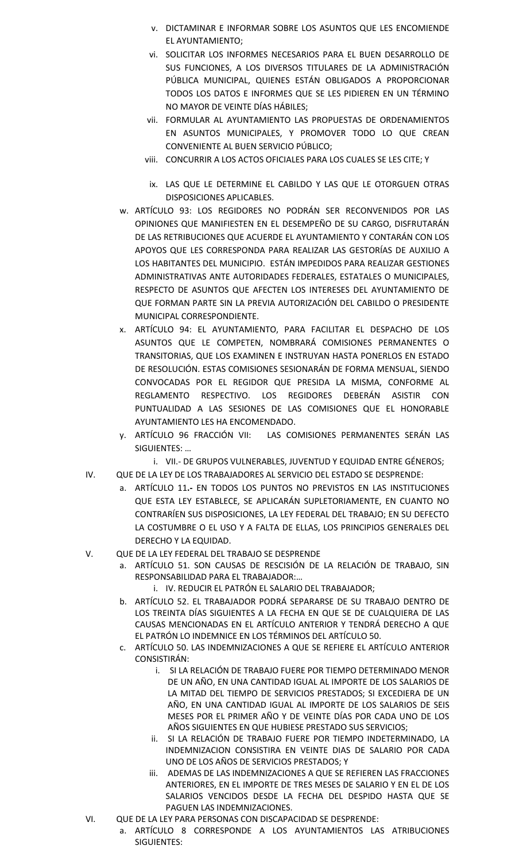- v. DICTAMINAR E INFORMAR SOBRE LOS ASUNTOS QUE LES ENCOMIENDE EL AYUNTAMIENTO;
- vi. SOLICITAR LOS INFORMES NECESARIOS PARA EL BUEN DESARROLLO DE SUS FUNCIONES, A LOS DIVERSOS TITULARES DE LA ADMINISTRACIÓN PÚBLICA MUNICIPAL, QUIENES ESTÁN OBLIGADOS A PROPORCIONAR TODOS LOS DATOS E INFORMES QUE SE LES PIDIEREN EN UN TÉRMINO NO MAYOR DE VEINTE DÍAS HÁBILES;
- vii. FORMULAR AL AYUNTAMIENTO LAS PROPUESTAS DE ORDENAMIENTOS EN ASUNTOS MUNICIPALES, Y PROMOVER TODO LO QUE CREAN CONVENIENTE AL BUEN SERVICIO PÚBLICO;
- viii. CONCURRIR A LOS ACTOS OFICIALES PARA LOS CUALES SE LES CITE; Y
- ix. LAS QUE LE DETERMINE EL CABILDO Y LAS QUE LE OTORGUEN OTRAS DISPOSICIONES APLICABLES.
- w. ARTÍCULO 93: LOS REGIDORES NO PODRÁN SER RECONVENIDOS POR LAS OPINIONES QUE MANIFIESTEN EN EL DESEMPEÑO DE SU CARGO, DISFRUTARÁN DE LAS RETRIBUCIONES QUE ACUERDE EL AYUNTAMIENTO Y CONTARÁN CON LOS APOYOS QUE LES CORRESPONDA PARA REALIZAR LAS GESTORÍAS DE AUXILIO A LOS HABITANTES DEL MUNICIPIO. ESTÁN IMPEDIDOS PARA REALIZAR GESTIONES ADMINISTRATIVAS ANTE AUTORIDADES FEDERALES, ESTATALES O MUNICIPALES, RESPECTO DE ASUNTOS QUE AFECTEN LOS INTERESES DEL AYUNTAMIENTO DE QUE FORMAN PARTE SIN LA PREVIA AUTORIZACIÓN DEL CABILDO O PRESIDENTE MUNICIPAL CORRESPONDIENTE.
- x. ARTÍCULO 94: EL AYUNTAMIENTO, PARA FACILITAR EL DESPACHO DE LOS ASUNTOS QUE LE COMPETEN, NOMBRARÁ COMISIONES PERMANENTES O TRANSITORIAS, QUE LOS EXAMINEN E INSTRUYAN HASTA PONERLOS EN ESTADO DE RESOLUCIÓN. ESTAS COMISIONES SESIONARÁN DE FORMA MENSUAL, SIENDO CONVOCADAS POR EL REGIDOR QUE PRESIDA LA MISMA, CONFORME AL REGLAMENTO RESPECTIVO. LOS REGIDORES DEBERÁN ASISTIR CON PUNTUALIDAD A LAS SESIONES DE LAS COMISIONES QUE EL HONORABLE AYUNTAMIENTO LES HA ENCOMENDADO.
- y. ARTÍCULO 96 FRACCIÓN VII: LAS COMISIONES PERMANENTES SERÁN LAS SIGUIENTES: …
	- i. VII.- DE GRUPOS VULNERABLES, JUVENTUD Y EQUIDAD ENTRE GÉNEROS;
- IV. QUE DE LA LEY DE LOS TRABAJADORES AL SERVICIO DEL ESTADO SE DESPRENDE:
	- a. ARTÍCULO 11**.-** EN TODOS LOS PUNTOS NO PREVISTOS EN LAS INSTITUCIONES QUE ESTA LEY ESTABLECE, SE APLICARÁN SUPLETORIAMENTE, EN CUANTO NO CONTRARÍEN SUS DISPOSICIONES, LA LEY FEDERAL DEL TRABAJO; EN SU DEFECTO LA COSTUMBRE O EL USO Y A FALTA DE ELLAS, LOS PRINCIPIOS GENERALES DEL DERECHO Y LA EQUIDAD.
- V. QUE DE LA LEY FEDERAL DEL TRABAJO SE DESPRENDE
	- a. ARTÍCULO 51. SON CAUSAS DE RESCISIÓN DE LA RELACIÓN DE TRABAJO, SIN RESPONSABILIDAD PARA EL TRABAJADOR:…
		- i. IV. REDUCIR EL PATRÓN EL SALARIO DEL TRABAJADOR;
	- b. ARTÍCULO 52. EL TRABAJADOR PODRÁ SEPARARSE DE SU TRABAJO DENTRO DE LOS TREINTA DÍAS SIGUIENTES A LA FECHA EN QUE SE DE CUALQUIERA DE LAS CAUSAS MENCIONADAS EN EL ARTÍCULO ANTERIOR Y TENDRÁ DERECHO A QUE EL PATRÓN LO INDEMNICE EN LOS TÉRMINOS DEL ARTÍCULO 50.
	- c. ARTÍCULO 50. LAS INDEMNIZACIONES A QUE SE REFIERE EL ARTÍCULO ANTERIOR CONSISTIRÁN:
		- i. SI LA RELACIÓN DE TRABAJO FUERE POR TIEMPO DETERMINADO MENOR DE UN AÑO, EN UNA CANTIDAD IGUAL AL IMPORTE DE LOS SALARIOS DE LA MITAD DEL TIEMPO DE SERVICIOS PRESTADOS; SI EXCEDIERA DE UN AÑO, EN UNA CANTIDAD IGUAL AL IMPORTE DE LOS SALARIOS DE SEIS MESES POR EL PRIMER AÑO Y DE VEINTE DÍAS POR CADA UNO DE LOS AÑOS SIGUIENTES EN QUE HUBIESE PRESTADO SUS SERVICIOS;
		- ii. SI LA RELACIÓN DE TRABAJO FUERE POR TIEMPO INDETERMINADO, LA INDEMNIZACION CONSISTIRA EN VEINTE DIAS DE SALARIO POR CADA UNO DE LOS AÑOS DE SERVICIOS PRESTADOS; Y
		- iii. ADEMAS DE LAS INDEMNIZACIONES A QUE SE REFIEREN LAS FRACCIONES ANTERIORES, EN EL IMPORTE DE TRES MESES DE SALARIO Y EN EL DE LOS SALARIOS VENCIDOS DESDE LA FECHA DEL DESPIDO HASTA QUE SE PAGUEN LAS INDEMNIZACIONES.
- VI. QUE DE LA LEY PARA PERSONAS CON DISCAPACIDAD SE DESPRENDE:
	- a. ARTÍCULO 8 CORRESPONDE A LOS AYUNTAMIENTOS LAS ATRIBUCIONES SIGUIENTES: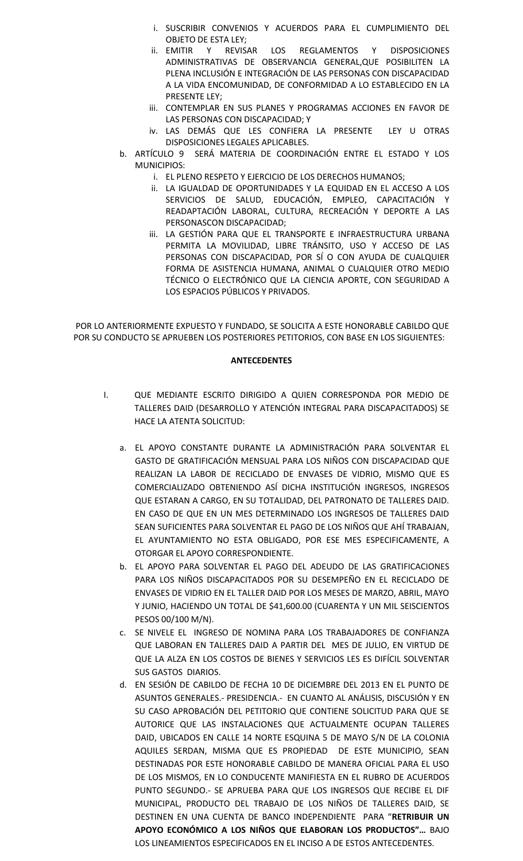- i. SUSCRIBIR CONVENIOS Y ACUERDOS PARA EL CUMPLIMIENTO DEL OBJETO DE ESTA LEY;
- ii. EMITIR Y REVISAR LOS REGLAMENTOS Y DISPOSICIONES ADMINISTRATIVAS DE OBSERVANCIA GENERAL,QUE POSIBILITEN LA PLENA INCLUSIÓN E INTEGRACIÓN DE LAS PERSONAS CON DISCAPACIDAD A LA VIDA ENCOMUNIDAD, DE CONFORMIDAD A LO ESTABLECIDO EN LA PRESENTE LEY;
- iii. CONTEMPLAR EN SUS PLANES Y PROGRAMAS ACCIONES EN FAVOR DE LAS PERSONAS CON DISCAPACIDAD; Y
- iv. LAS DEMÁS QUE LES CONFIERA LA PRESENTE LEY U OTRAS DISPOSICIONES LEGALES APLICABLES.
- b. ARTÍCULO 9 SERÁ MATERIA DE COORDINACIÓN ENTRE EL ESTADO Y LOS MUNICIPIOS:
	- i. EL PLENO RESPETO Y EJERCICIO DE LOS DERECHOS HUMANOS;
	- ii. LA IGUALDAD DE OPORTUNIDADES Y LA EQUIDAD EN EL ACCESO A LOS SERVICIOS DE SALUD, EDUCACIÓN, EMPLEO, CAPACITACIÓN Y READAPTACIÓN LABORAL, CULTURA, RECREACIÓN Y DEPORTE A LAS PERSONASCON DISCAPACIDAD;
	- iii. LA GESTIÓN PARA QUE EL TRANSPORTE E INFRAESTRUCTURA URBANA PERMITA LA MOVILIDAD, LIBRE TRÁNSITO, USO Y ACCESO DE LAS PERSONAS CON DISCAPACIDAD, POR SÍ O CON AYUDA DE CUALQUIER FORMA DE ASISTENCIA HUMANA, ANIMAL O CUALQUIER OTRO MEDIO TÉCNICO O ELECTRÓNICO QUE LA CIENCIA APORTE, CON SEGURIDAD A LOS ESPACIOS PÚBLICOS Y PRIVADOS.

POR LO ANTERIORMENTE EXPUESTO Y FUNDADO, SE SOLICITA A ESTE HONORABLE CABILDO QUE POR SU CONDUCTO SE APRUEBEN LOS POSTERIORES PETITORIOS, CON BASE EN LOS SIGUIENTES:

### **ANTECEDENTES**

- I. QUE MEDIANTE ESCRITO DIRIGIDO A QUIEN CORRESPONDA POR MEDIO DE TALLERES DAID (DESARROLLO Y ATENCIÓN INTEGRAL PARA DISCAPACITADOS) SE HACE LA ATENTA SOLICITUD:
	- a. EL APOYO CONSTANTE DURANTE LA ADMINISTRACIÓN PARA SOLVENTAR EL GASTO DE GRATIFICACIÓN MENSUAL PARA LOS NIÑOS CON DISCAPACIDAD QUE REALIZAN LA LABOR DE RECICLADO DE ENVASES DE VIDRIO, MISMO QUE ES COMERCIALIZADO OBTENIENDO ASÍ DICHA INSTITUCIÓN INGRESOS, INGRESOS QUE ESTARAN A CARGO, EN SU TOTALIDAD, DEL PATRONATO DE TALLERES DAID. EN CASO DE QUE EN UN MES DETERMINADO LOS INGRESOS DE TALLERES DAID SEAN SUFICIENTES PARA SOLVENTAR EL PAGO DE LOS NIÑOS QUE AHÍ TRABAJAN, EL AYUNTAMIENTO NO ESTA OBLIGADO, POR ESE MES ESPECIFICAMENTE, A OTORGAR EL APOYO CORRESPONDIENTE.
	- b. EL APOYO PARA SOLVENTAR EL PAGO DEL ADEUDO DE LAS GRATIFICACIONES PARA LOS NIÑOS DISCAPACITADOS POR SU DESEMPEÑO EN EL RECICLADO DE ENVASES DE VIDRIO EN EL TALLER DAID POR LOS MESES DE MARZO, ABRIL, MAYO Y JUNIO, HACIENDO UN TOTAL DE \$41,600.00 (CUARENTA Y UN MIL SEISCIENTOS PESOS 00/100 M/N).
	- c. SE NIVELE EL INGRESO DE NOMINA PARA LOS TRABAJADORES DE CONFIANZA QUE LABORAN EN TALLERES DAID A PARTIR DEL MES DE JULIO, EN VIRTUD DE QUE LA ALZA EN LOS COSTOS DE BIENES Y SERVICIOS LES ES DIFÍCIL SOLVENTAR SUS GASTOS DIARIOS.
	- d. EN SESIÓN DE CABILDO DE FECHA 10 DE DICIEMBRE DEL 2013 EN EL PUNTO DE ASUNTOS GENERALES.- PRESIDENCIA.- EN CUANTO AL ANÁLISIS, DISCUSIÓN Y EN SU CASO APROBACIÓN DEL PETITORIO QUE CONTIENE SOLICITUD PARA QUE SE AUTORICE QUE LAS INSTALACIONES QUE ACTUALMENTE OCUPAN TALLERES DAID, UBICADOS EN CALLE 14 NORTE ESQUINA 5 DE MAYO S/N DE LA COLONIA AQUILES SERDAN, MISMA QUE ES PROPIEDAD DE ESTE MUNICIPIO, SEAN DESTINADAS POR ESTE HONORABLE CABILDO DE MANERA OFICIAL PARA EL USO DE LOS MISMOS, EN LO CONDUCENTE MANIFIESTA EN EL RUBRO DE ACUERDOS PUNTO SEGUNDO.- SE APRUEBA PARA QUE LOS INGRESOS QUE RECIBE EL DIF MUNICIPAL, PRODUCTO DEL TRABAJO DE LOS NIÑOS DE TALLERES DAID, SE DESTINEN EN UNA CUENTA DE BANCO INDEPENDIENTE PARA "**RETRIBUIR UN APOYO ECONÓMICO A LOS NIÑOS QUE ELABORAN LOS PRODUCTOS"…** BAJO LOS LINEAMIENTOS ESPECIFICADOS EN EL INCISO A DE ESTOS ANTECEDENTES.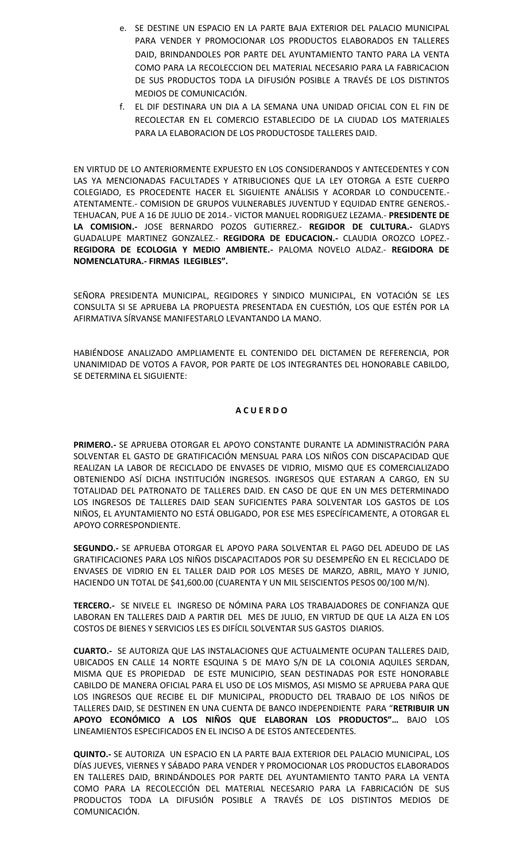- e. SE DESTINE UN ESPACIO EN LA PARTE BAJA EXTERIOR DEL PALACIO MUNICIPAL PARA VENDER Y PROMOCIONAR LOS PRODUCTOS ELABORADOS EN TALLERES DAID, BRINDANDOLES POR PARTE DEL AYUNTAMIENTO TANTO PARA LA VENTA COMO PARA LA RECOLECCION DEL MATERIAL NECESARIO PARA LA FABRICACION DE SUS PRODUCTOS TODA LA DIFUSIÓN POSIBLE A TRAVÉS DE LOS DISTINTOS MEDIOS DE COMUNICACIÓN.
- f. EL DIF DESTINARA UN DIA A LA SEMANA UNA UNIDAD OFICIAL CON EL FIN DE RECOLECTAR EN EL COMERCIO ESTABLECIDO DE LA CIUDAD LOS MATERIALES PARA LA ELABORACION DE LOS PRODUCTOSDE TALLERES DAID.

EN VIRTUD DE LO ANTERIORMENTE EXPUESTO EN LOS CONSIDERANDOS Y ANTECEDENTES Y CON LAS YA MENCIONADAS FACULTADES Y ATRIBUCIONES QUE LA LEY OTORGA A ESTE CUERPO COLEGIADO, ES PROCEDENTE HACER EL SIGUIENTE ANÁLISIS Y ACORDAR LO CONDUCENTE.- ATENTAMENTE.- COMISION DE GRUPOS VULNERABLES JUVENTUD Y EQUIDAD ENTRE GENEROS.- TEHUACAN, PUE A 16 DE JULIO DE 2014.- VICTOR MANUEL RODRIGUEZ LEZAMA.- **PRESIDENTE DE LA COMISION.-** JOSE BERNARDO POZOS GUTIERREZ.- **REGIDOR DE CULTURA.-** GLADYS GUADALUPE MARTINEZ GONZALEZ.- **REGIDORA DE EDUCACION.-** CLAUDIA OROZCO LOPEZ.- **REGIDORA DE ECOLOGIA Y MEDIO AMBIENTE.-** PALOMA NOVELO ALDAZ.- **REGIDORA DE NOMENCLATURA.- FIRMAS ILEGIBLES".**

SEÑORA PRESIDENTA MUNICIPAL, REGIDORES Y SINDICO MUNICIPAL, EN VOTACIÓN SE LES CONSULTA SI SE APRUEBA LA PROPUESTA PRESENTADA EN CUESTIÓN, LOS QUE ESTÉN POR LA AFIRMATIVA SÍRVANSE MANIFESTARLO LEVANTANDO LA MANO.

HABIÉNDOSE ANALIZADO AMPLIAMENTE EL CONTENIDO DEL DICTAMEN DE REFERENCIA, POR UNANIMIDAD DE VOTOS A FAVOR, POR PARTE DE LOS INTEGRANTES DEL HONORABLE CABILDO, SE DETERMINA EL SIGUIENTE:

#### **A C U E R D O**

**PRIMERO.-** SE APRUEBA OTORGAR EL APOYO CONSTANTE DURANTE LA ADMINISTRACIÓN PARA SOLVENTAR EL GASTO DE GRATIFICACIÓN MENSUAL PARA LOS NIÑOS CON DISCAPACIDAD QUE REALIZAN LA LABOR DE RECICLADO DE ENVASES DE VIDRIO, MISMO QUE ES COMERCIALIZADO OBTENIENDO ASÍ DICHA INSTITUCIÓN INGRESOS. INGRESOS QUE ESTARAN A CARGO, EN SU TOTALIDAD DEL PATRONATO DE TALLERES DAID. EN CASO DE QUE EN UN MES DETERMINADO LOS INGRESOS DE TALLERES DAID SEAN SUFICIENTES PARA SOLVENTAR LOS GASTOS DE LOS NIÑOS, EL AYUNTAMIENTO NO ESTÁ OBLIGADO, POR ESE MES ESPECÍFICAMENTE, A OTORGAR EL APOYO CORRESPONDIENTE.

**SEGUNDO.-** SE APRUEBA OTORGAR EL APOYO PARA SOLVENTAR EL PAGO DEL ADEUDO DE LAS GRATIFICACIONES PARA LOS NIÑOS DISCAPACITADOS POR SU DESEMPEÑO EN EL RECICLADO DE ENVASES DE VIDRIO EN EL TALLER DAID POR LOS MESES DE MARZO, ABRIL, MAYO Y JUNIO, HACIENDO UN TOTAL DE \$41,600.00 (CUARENTA Y UN MIL SEISCIENTOS PESOS 00/100 M/N).

**TERCERO.-** SE NIVELE EL INGRESO DE NÓMINA PARA LOS TRABAJADORES DE CONFIANZA QUE LABORAN EN TALLERES DAID A PARTIR DEL MES DE JULIO, EN VIRTUD DE QUE LA ALZA EN LOS COSTOS DE BIENES Y SERVICIOS LES ES DIFÍCIL SOLVENTAR SUS GASTOS DIARIOS.

**CUARTO.-** SE AUTORIZA QUE LAS INSTALACIONES QUE ACTUALMENTE OCUPAN TALLERES DAID, UBICADOS EN CALLE 14 NORTE ESQUINA 5 DE MAYO S/N DE LA COLONIA AQUILES SERDAN, MISMA QUE ES PROPIEDAD DE ESTE MUNICIPIO, SEAN DESTINADAS POR ESTE HONORABLE CABILDO DE MANERA OFICIAL PARA EL USO DE LOS MISMOS, ASI MISMO SE APRUEBA PARA QUE LOS INGRESOS QUE RECIBE EL DIF MUNICIPAL, PRODUCTO DEL TRABAJO DE LOS NIÑOS DE TALLERES DAID, SE DESTINEN EN UNA CUENTA DE BANCO INDEPENDIENTE PARA "**RETRIBUIR UN APOYO ECONÓMICO A LOS NIÑOS QUE ELABORAN LOS PRODUCTOS"…** BAJO LOS LINEAMIENTOS ESPECIFICADOS EN EL INCISO A DE ESTOS ANTECEDENTES.

**QUINTO.-** SE AUTORIZA UN ESPACIO EN LA PARTE BAJA EXTERIOR DEL PALACIO MUNICIPAL, LOS DÍAS JUEVES, VIERNES Y SÁBADO PARA VENDER Y PROMOCIONAR LOS PRODUCTOS ELABORADOS EN TALLERES DAID, BRINDÁNDOLES POR PARTE DEL AYUNTAMIENTO TANTO PARA LA VENTA COMO PARA LA RECOLECCIÓN DEL MATERIAL NECESARIO PARA LA FABRICACIÓN DE SUS PRODUCTOS TODA LA DIFUSIÓN POSIBLE A TRAVÉS DE LOS DISTINTOS MEDIOS DE COMUNICACIÓN.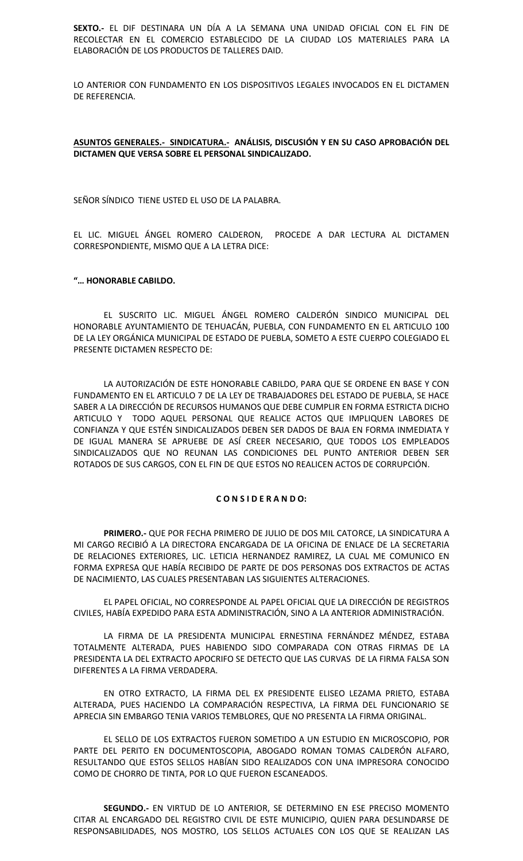**SEXTO.-** EL DIF DESTINARA UN DÍA A LA SEMANA UNA UNIDAD OFICIAL CON EL FIN DE RECOLECTAR EN EL COMERCIO ESTABLECIDO DE LA CIUDAD LOS MATERIALES PARA LA ELABORACIÓN DE LOS PRODUCTOS DE TALLERES DAID.

LO ANTERIOR CON FUNDAMENTO EN LOS DISPOSITIVOS LEGALES INVOCADOS EN EL DICTAMEN DE REFERENCIA.

#### **ASUNTOS GENERALES.- SINDICATURA.- ANÁLISIS, DISCUSIÓN Y EN SU CASO APROBACIÓN DEL DICTAMEN QUE VERSA SOBRE EL PERSONAL SINDICALIZADO.**

SEÑOR SÍNDICO TIENE USTED EL USO DE LA PALABRA.

EL LIC. MIGUEL ÁNGEL ROMERO CALDERON, PROCEDE A DAR LECTURA AL DICTAMEN CORRESPONDIENTE, MISMO QUE A LA LETRA DICE:

#### **"… HONORABLE CABILDO.**

EL SUSCRITO LIC. MIGUEL ÁNGEL ROMERO CALDERÓN SINDICO MUNICIPAL DEL HONORABLE AYUNTAMIENTO DE TEHUACÁN, PUEBLA, CON FUNDAMENTO EN EL ARTICULO 100 DE LA LEY ORGÁNICA MUNICIPAL DE ESTADO DE PUEBLA, SOMETO A ESTE CUERPO COLEGIADO EL PRESENTE DICTAMEN RESPECTO DE:

LA AUTORIZACIÓN DE ESTE HONORABLE CABILDO, PARA QUE SE ORDENE EN BASE Y CON FUNDAMENTO EN EL ARTICULO 7 DE LA LEY DE TRABAJADORES DEL ESTADO DE PUEBLA, SE HACE SABER A LA DIRECCIÓN DE RECURSOS HUMANOS QUE DEBE CUMPLIR EN FORMA ESTRICTA DICHO ARTICULO Y TODO AQUEL PERSONAL QUE REALICE ACTOS QUE IMPLIQUEN LABORES DE CONFIANZA Y QUE ESTÉN SINDICALIZADOS DEBEN SER DADOS DE BAJA EN FORMA INMEDIATA Y DE IGUAL MANERA SE APRUEBE DE ASÍ CREER NECESARIO, QUE TODOS LOS EMPLEADOS SINDICALIZADOS QUE NO REUNAN LAS CONDICIONES DEL PUNTO ANTERIOR DEBEN SER ROTADOS DE SUS CARGOS, CON EL FIN DE QUE ESTOS NO REALICEN ACTOS DE CORRUPCIÓN.

#### **C O N S I D E R A N D O:**

**PRIMERO.-** QUE POR FECHA PRIMERO DE JULIO DE DOS MIL CATORCE, LA SINDICATURA A MI CARGO RECIBIÓ A LA DIRECTORA ENCARGADA DE LA OFICINA DE ENLACE DE LA SECRETARIA DE RELACIONES EXTERIORES, LIC. LETICIA HERNANDEZ RAMIREZ, LA CUAL ME COMUNICO EN FORMA EXPRESA QUE HABÍA RECIBIDO DE PARTE DE DOS PERSONAS DOS EXTRACTOS DE ACTAS DE NACIMIENTO, LAS CUALES PRESENTABAN LAS SIGUIENTES ALTERACIONES.

EL PAPEL OFICIAL, NO CORRESPONDE AL PAPEL OFICIAL QUE LA DIRECCIÓN DE REGISTROS CIVILES, HABÍA EXPEDIDO PARA ESTA ADMINISTRACIÓN, SINO A LA ANTERIOR ADMINISTRACIÓN.

LA FIRMA DE LA PRESIDENTA MUNICIPAL ERNESTINA FERNÁNDEZ MÉNDEZ, ESTABA TOTALMENTE ALTERADA, PUES HABIENDO SIDO COMPARADA CON OTRAS FIRMAS DE LA PRESIDENTA LA DEL EXTRACTO APOCRIFO SE DETECTO QUE LAS CURVAS DE LA FIRMA FALSA SON DIFERENTES A LA FIRMA VERDADERA.

EN OTRO EXTRACTO, LA FIRMA DEL EX PRESIDENTE ELISEO LEZAMA PRIETO, ESTABA ALTERADA, PUES HACIENDO LA COMPARACIÓN RESPECTIVA, LA FIRMA DEL FUNCIONARIO SE APRECIA SIN EMBARGO TENIA VARIOS TEMBLORES, QUE NO PRESENTA LA FIRMA ORIGINAL.

EL SELLO DE LOS EXTRACTOS FUERON SOMETIDO A UN ESTUDIO EN MICROSCOPIO, POR PARTE DEL PERITO EN DOCUMENTOSCOPIA, ABOGADO ROMAN TOMAS CALDERÓN ALFARO, RESULTANDO QUE ESTOS SELLOS HABÍAN SIDO REALIZADOS CON UNA IMPRESORA CONOCIDO COMO DE CHORRO DE TINTA, POR LO QUE FUERON ESCANEADOS.

**SEGUNDO.-** EN VIRTUD DE LO ANTERIOR, SE DETERMINO EN ESE PRECISO MOMENTO CITAR AL ENCARGADO DEL REGISTRO CIVIL DE ESTE MUNICIPIO, QUIEN PARA DESLINDARSE DE RESPONSABILIDADES, NOS MOSTRO, LOS SELLOS ACTUALES CON LOS QUE SE REALIZAN LAS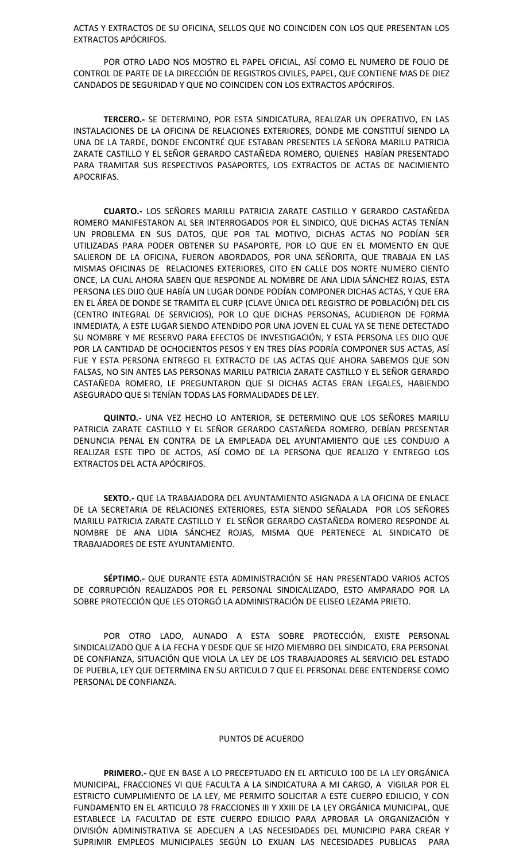ACTAS Y EXTRACTOS DE SU OFICINA, SELLOS QUE NO COINCIDEN CON LOS QUE PRESENTAN LOS EXTRACTOS APÓCRIFOS.

POR OTRO LADO NOS MOSTRO EL PAPEL OFICIAL, ASÍ COMO EL NUMERO DE FOLIO DE CONTROL DE PARTE DE LA DIRECCIÓN DE REGISTROS CIVILES, PAPEL, QUE CONTIENE MAS DE DIEZ CANDADOS DE SEGURIDAD Y QUE NO COINCIDEN CON LOS EXTRACTOS APÓCRIFOS.

**TERCERO.-** SE DETERMINO, POR ESTA SINDICATURA, REALIZAR UN OPERATIVO, EN LAS INSTALACIONES DE LA OFICINA DE RELACIONES EXTERIORES, DONDE ME CONSTITUÍ SIENDO LA UNA DE LA TARDE, DONDE ENCONTRÉ QUE ESTABAN PRESENTES LA SEÑORA MARILU PATRICIA ZARATE CASTILLO Y EL SEÑOR GERARDO CASTAÑEDA ROMERO, QUIENES HABÍAN PRESENTADO PARA TRAMITAR SUS RESPECTIVOS PASAPORTES, LOS EXTRACTOS DE ACTAS DE NACIMIENTO APOCRIFAS.

**CUARTO.-** LOS SEÑORES MARILU PATRICIA ZARATE CASTILLO Y GERARDO CASTAÑEDA ROMERO MANIFESTARON AL SER INTERROGADOS POR EL SINDICO, QUE DICHAS ACTAS TENÍAN UN PROBLEMA EN SUS DATOS, QUE POR TAL MOTIVO, DICHAS ACTAS NO PODÍAN SER UTILIZADAS PARA PODER OBTENER SU PASAPORTE, POR LO QUE EN EL MOMENTO EN QUE SALIERON DE LA OFICINA, FUERON ABORDADOS, POR UNA SEÑORITA, QUE TRABAJA EN LAS MISMAS OFICINAS DE RELACIONES EXTERIORES, CITO EN CALLE DOS NORTE NUMERO CIENTO ONCE, LA CUAL AHORA SABEN QUE RESPONDE AL NOMBRE DE ANA LIDIA SÁNCHEZ ROJAS, ESTA PERSONA LES DIJO QUE HABÍA UN LUGAR DONDE PODÍAN COMPONER DICHAS ACTAS, Y QUE ERA EN EL ÁREA DE DONDE SE TRAMITA EL CURP (CLAVE ÚNICA DEL REGISTRO DE POBLACIÓN) DEL CIS (CENTRO INTEGRAL DE SERVICIOS), POR LO QUE DICHAS PERSONAS, ACUDIERON DE FORMA INMEDIATA, A ESTE LUGAR SIENDO ATENDIDO POR UNA JOVEN EL CUAL YA SE TIENE DETECTADO SU NOMBRE Y ME RESERVO PARA EFECTOS DE INVESTIGACIÓN, Y ESTA PERSONA LES DIJO QUE POR LA CANTIDAD DE OCHOCIENTOS PESOS Y EN TRES DÍAS PODRÍA COMPONER SUS ACTAS, ASÍ FUE Y ESTA PERSONA ENTREGO EL EXTRACTO DE LAS ACTAS QUE AHORA SABEMOS QUE SON FALSAS, NO SIN ANTES LAS PERSONAS MARILU PATRICIA ZARATE CASTILLO Y EL SEÑOR GERARDO CASTAÑEDA ROMERO, LE PREGUNTARON QUE SI DICHAS ACTAS ERAN LEGALES, HABIENDO ASEGURADO QUE SI TENÍAN TODAS LAS FORMALIDADES DE LEY.

**QUINTO.-** UNA VEZ HECHO LO ANTERIOR, SE DETERMINO QUE LOS SEÑORES MARILU PATRICIA ZARATE CASTILLO Y EL SEÑOR GERARDO CASTAÑEDA ROMERO, DEBÍAN PRESENTAR DENUNCIA PENAL EN CONTRA DE LA EMPLEADA DEL AYUNTAMIENTO QUE LES CONDUJO A REALIZAR ESTE TIPO DE ACTOS, ASÍ COMO DE LA PERSONA QUE REALIZO Y ENTREGO LOS EXTRACTOS DEL ACTA APÓCRIFOS.

**SEXTO.-** QUE LA TRABAJADORA DEL AYUNTAMIENTO ASIGNADA A LA OFICINA DE ENLACE DE LA SECRETARIA DE RELACIONES EXTERIORES, ESTA SIENDO SEÑALADA POR LOS SEÑORES MARILU PATRICIA ZARATE CASTILLO Y EL SEÑOR GERARDO CASTAÑEDA ROMERO RESPONDE AL NOMBRE DE ANA LIDIA SÁNCHEZ ROJAS, MISMA QUE PERTENECE AL SINDICATO DE TRABAJADORES DE ESTE AYUNTAMIENTO.

**SÉPTIMO.-** QUE DURANTE ESTA ADMINISTRACIÓN SE HAN PRESENTADO VARIOS ACTOS DE CORRUPCIÓN REALIZADOS POR EL PERSONAL SINDICALIZADO, ESTO AMPARADO POR LA SOBRE PROTECCIÓN QUE LES OTORGÓ LA ADMINISTRACIÓN DE ELISEO LEZAMA PRIETO.

POR OTRO LADO, AUNADO A ESTA SOBRE PROTECCIÓN, EXISTE PERSONAL SINDICALIZADO QUE A LA FECHA Y DESDE QUE SE HIZO MIEMBRO DEL SINDICATO, ERA PERSONAL DE CONFIANZA, SITUACIÓN QUE VIOLA LA LEY DE LOS TRABAJADORES AL SERVICIO DEL ESTADO DE PUEBLA, LEY QUE DETERMINA EN SU ARTICULO 7 QUE EL PERSONAL DEBE ENTENDERSE COMO PERSONAL DE CONFIANZA.

#### PUNTOS DE ACUERDO

**PRIMERO.-** QUE EN BASE A LO PRECEPTUADO EN EL ARTICULO 100 DE LA LEY ORGÁNICA MUNICIPAL, FRACCIONES VI QUE FACULTA A LA SINDICATURA A MI CARGO, A VIGILAR POR EL ESTRICTO CUMPLIMIENTO DE LA LEY, ME PERMITO SOLICITAR A ESTE CUERPO EDILICIO, Y CON FUNDAMENTO EN EL ARTICULO 78 FRACCIONES III Y XXIII DE LA LEY ORGÁNICA MUNICIPAL, QUE ESTABLECE LA FACULTAD DE ESTE CUERPO EDILICIO PARA APROBAR LA ORGANIZACIÓN Y DIVISIÓN ADMINISTRATIVA SE ADECUEN A LAS NECESIDADES DEL MUNICIPIO PARA CREAR Y SUPRIMIR EMPLEOS MUNICIPALES SEGÚN LO EXIJAN LAS NECESIDADES PUBLICAS PARA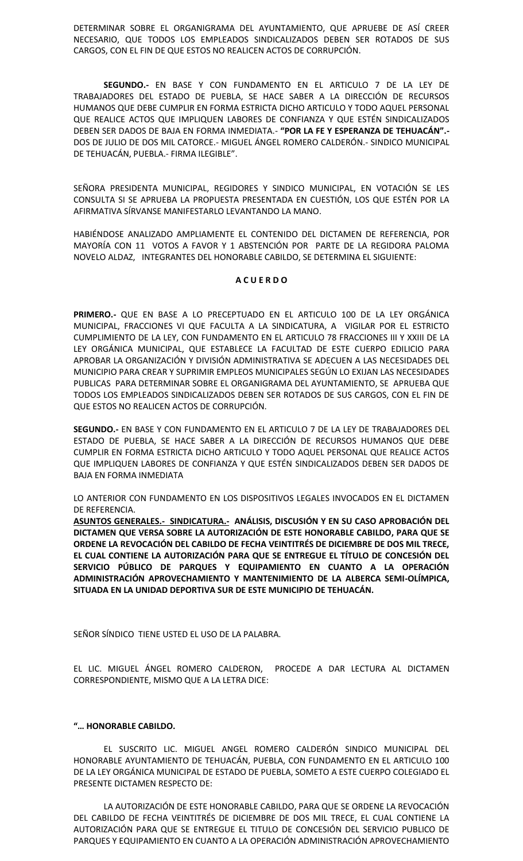DETERMINAR SOBRE EL ORGANIGRAMA DEL AYUNTAMIENTO, QUE APRUEBE DE ASÍ CREER NECESARIO, QUE TODOS LOS EMPLEADOS SINDICALIZADOS DEBEN SER ROTADOS DE SUS CARGOS, CON EL FIN DE QUE ESTOS NO REALICEN ACTOS DE CORRUPCIÓN.

**SEGUNDO.-** EN BASE Y CON FUNDAMENTO EN EL ARTICULO 7 DE LA LEY DE TRABAJADORES DEL ESTADO DE PUEBLA, SE HACE SABER A LA DIRECCIÓN DE RECURSOS HUMANOS QUE DEBE CUMPLIR EN FORMA ESTRICTA DICHO ARTICULO Y TODO AQUEL PERSONAL QUE REALICE ACTOS QUE IMPLIQUEN LABORES DE CONFIANZA Y QUE ESTÉN SINDICALIZADOS DEBEN SER DADOS DE BAJA EN FORMA INMEDIATA.- **"POR LA FE Y ESPERANZA DE TEHUACÁN".-** DOS DE JULIO DE DOS MIL CATORCE.- MIGUEL ÁNGEL ROMERO CALDERÓN.- SINDICO MUNICIPAL DE TEHUACÁN, PUEBLA.- FIRMA ILEGIBLE".

SEÑORA PRESIDENTA MUNICIPAL, REGIDORES Y SINDICO MUNICIPAL, EN VOTACIÓN SE LES CONSULTA SI SE APRUEBA LA PROPUESTA PRESENTADA EN CUESTIÓN, LOS QUE ESTÉN POR LA AFIRMATIVA SÍRVANSE MANIFESTARLO LEVANTANDO LA MANO.

HABIÉNDOSE ANALIZADO AMPLIAMENTE EL CONTENIDO DEL DICTAMEN DE REFERENCIA, POR MAYORÍA CON 11 VOTOS A FAVOR Y 1 ABSTENCIÓN POR PARTE DE LA REGIDORA PALOMA NOVELO ALDAZ, INTEGRANTES DEL HONORABLE CABILDO, SE DETERMINA EL SIGUIENTE:

#### **A C U E R D O**

**PRIMERO.-** QUE EN BASE A LO PRECEPTUADO EN EL ARTICULO 100 DE LA LEY ORGÁNICA MUNICIPAL, FRACCIONES VI QUE FACULTA A LA SINDICATURA, A VIGILAR POR EL ESTRICTO CUMPLIMIENTO DE LA LEY, CON FUNDAMENTO EN EL ARTICULO 78 FRACCIONES III Y XXIII DE LA LEY ORGÁNICA MUNICIPAL, QUE ESTABLECE LA FACULTAD DE ESTE CUERPO EDILICIO PARA APROBAR LA ORGANIZACIÓN Y DIVISIÓN ADMINISTRATIVA SE ADECUEN A LAS NECESIDADES DEL MUNICIPIO PARA CREAR Y SUPRIMIR EMPLEOS MUNICIPALES SEGÚN LO EXIJAN LAS NECESIDADES PUBLICAS PARA DETERMINAR SOBRE EL ORGANIGRAMA DEL AYUNTAMIENTO, SE APRUEBA QUE TODOS LOS EMPLEADOS SINDICALIZADOS DEBEN SER ROTADOS DE SUS CARGOS, CON EL FIN DE QUE ESTOS NO REALICEN ACTOS DE CORRUPCIÓN.

**SEGUNDO.-** EN BASE Y CON FUNDAMENTO EN EL ARTICULO 7 DE LA LEY DE TRABAJADORES DEL ESTADO DE PUEBLA, SE HACE SABER A LA DIRECCIÓN DE RECURSOS HUMANOS QUE DEBE CUMPLIR EN FORMA ESTRICTA DICHO ARTICULO Y TODO AQUEL PERSONAL QUE REALICE ACTOS QUE IMPLIQUEN LABORES DE CONFIANZA Y QUE ESTÉN SINDICALIZADOS DEBEN SER DADOS DE BAJA EN FORMA INMEDIATA

LO ANTERIOR CON FUNDAMENTO EN LOS DISPOSITIVOS LEGALES INVOCADOS EN EL DICTAMEN DE REFERENCIA.

**ASUNTOS GENERALES.- SINDICATURA.- ANÁLISIS, DISCUSIÓN Y EN SU CASO APROBACIÓN DEL DICTAMEN QUE VERSA SOBRE LA AUTORIZACIÓN DE ESTE HONORABLE CABILDO, PARA QUE SE ORDENE LA REVOCACIÓN DEL CABILDO DE FECHA VEINTITRÉS DE DICIEMBRE DE DOS MIL TRECE, EL CUAL CONTIENE LA AUTORIZACIÓN PARA QUE SE ENTREGUE EL TÍTULO DE CONCESIÓN DEL SERVICIO PÚBLICO DE PARQUES Y EQUIPAMIENTO EN CUANTO A LA OPERACIÓN ADMINISTRACIÓN APROVECHAMIENTO Y MANTENIMIENTO DE LA ALBERCA SEMI-OLÍMPICA, SITUADA EN LA UNIDAD DEPORTIVA SUR DE ESTE MUNICIPIO DE TEHUACÁN.**

SEÑOR SÍNDICO TIENE USTED EL USO DE LA PALABRA.

EL LIC. MIGUEL ÁNGEL ROMERO CALDERON, PROCEDE A DAR LECTURA AL DICTAMEN CORRESPONDIENTE, MISMO QUE A LA LETRA DICE:

#### **"… HONORABLE CABILDO.**

EL SUSCRITO LIC. MIGUEL ANGEL ROMERO CALDERÓN SINDICO MUNICIPAL DEL HONORABLE AYUNTAMIENTO DE TEHUACÁN, PUEBLA, CON FUNDAMENTO EN EL ARTICULO 100 DE LA LEY ORGÁNICA MUNICIPAL DE ESTADO DE PUEBLA, SOMETO A ESTE CUERPO COLEGIADO EL PRESENTE DICTAMEN RESPECTO DE:

LA AUTORIZACIÓN DE ESTE HONORABLE CABILDO, PARA QUE SE ORDENE LA REVOCACIÓN DEL CABILDO DE FECHA VEINTITRÉS DE DICIEMBRE DE DOS MIL TRECE, EL CUAL CONTIENE LA AUTORIZACIÓN PARA QUE SE ENTREGUE EL TITULO DE CONCESIÓN DEL SERVICIO PUBLICO DE PARQUES Y EQUIPAMIENTO EN CUANTO A LA OPERACIÓN ADMINISTRACIÓN APROVECHAMIENTO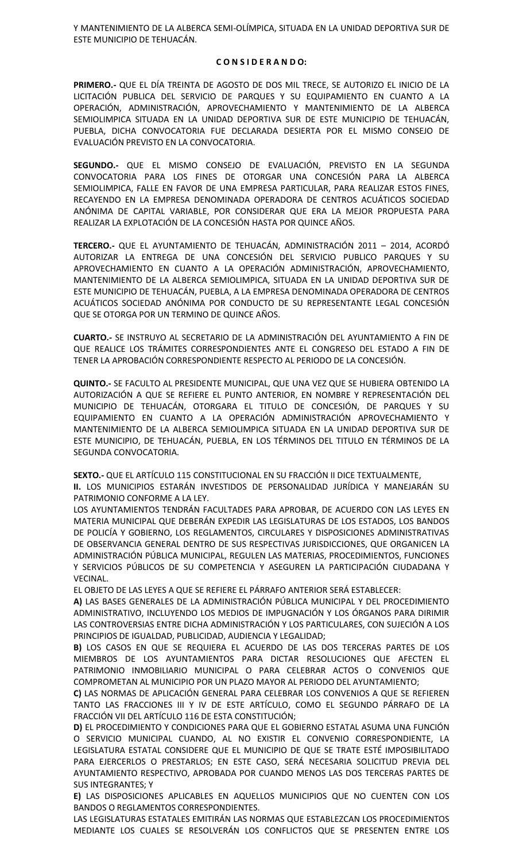Y MANTENIMIENTO DE LA ALBERCA SEMI-OLÍMPICA, SITUADA EN LA UNIDAD DEPORTIVA SUR DE ESTE MUNICIPIO DE TEHUACÁN.

#### **C O N S I D E R A N D O:**

**PRIMERO.-** QUE EL DÍA TREINTA DE AGOSTO DE DOS MIL TRECE, SE AUTORIZO EL INICIO DE LA LICITACIÓN PUBLICA DEL SERVICIO DE PARQUES Y SU EQUIPAMIENTO EN CUANTO A LA OPERACIÓN, ADMINISTRACIÓN, APROVECHAMIENTO Y MANTENIMIENTO DE LA ALBERCA SEMIOLIMPICA SITUADA EN LA UNIDAD DEPORTIVA SUR DE ESTE MUNICIPIO DE TEHUACÁN, PUEBLA, DICHA CONVOCATORIA FUE DECLARADA DESIERTA POR EL MISMO CONSEJO DE EVALUACIÓN PREVISTO EN LA CONVOCATORIA.

**SEGUNDO.-** QUE EL MISMO CONSEJO DE EVALUACIÓN, PREVISTO EN LA SEGUNDA CONVOCATORIA PARA LOS FINES DE OTORGAR UNA CONCESIÓN PARA LA ALBERCA SEMIOLIMPICA, FALLE EN FAVOR DE UNA EMPRESA PARTICULAR, PARA REALIZAR ESTOS FINES, RECAYENDO EN LA EMPRESA DENOMINADA OPERADORA DE CENTROS ACUÁTICOS SOCIEDAD ANÓNIMA DE CAPITAL VARIABLE, POR CONSIDERAR QUE ERA LA MEJOR PROPUESTA PARA REALIZAR LA EXPLOTACIÓN DE LA CONCESIÓN HASTA POR QUINCE AÑOS.

**TERCERO.-** QUE EL AYUNTAMIENTO DE TEHUACÁN, ADMINISTRACIÓN 2011 – 2014, ACORDÓ AUTORIZAR LA ENTREGA DE UNA CONCESIÓN DEL SERVICIO PUBLICO PARQUES Y SU APROVECHAMIENTO EN CUANTO A LA OPERACIÓN ADMINISTRACIÓN, APROVECHAMIENTO, MANTENIMIENTO DE LA ALBERCA SEMIOLIMPICA, SITUADA EN LA UNIDAD DEPORTIVA SUR DE ESTE MUNICIPIO DE TEHUACÁN, PUEBLA, A LA EMPRESA DENOMINADA OPERADORA DE CENTROS ACUÁTICOS SOCIEDAD ANÓNIMA POR CONDUCTO DE SU REPRESENTANTE LEGAL CONCESIÓN QUE SE OTORGA POR UN TERMINO DE QUINCE AÑOS.

**CUARTO.-** SE INSTRUYO AL SECRETARIO DE LA ADMINISTRACIÓN DEL AYUNTAMIENTO A FIN DE QUE REALICE LOS TRÁMITES CORRESPONDIENTES ANTE EL CONGRESO DEL ESTADO A FIN DE TENER LA APROBACIÓN CORRESPONDIENTE RESPECTO AL PERIODO DE LA CONCESIÓN.

**QUINTO.-** SE FACULTO AL PRESIDENTE MUNICIPAL, QUE UNA VEZ QUE SE HUBIERA OBTENIDO LA AUTORIZACIÓN A QUE SE REFIERE EL PUNTO ANTERIOR, EN NOMBRE Y REPRESENTACIÓN DEL MUNICIPIO DE TEHUACÁN, OTORGARA EL TITULO DE CONCESIÓN, DE PARQUES Y SU EQUIPAMIENTO EN CUANTO A LA OPERACIÓN ADMINISTRACIÓN APROVECHAMIENTO Y MANTENIMIENTO DE LA ALBERCA SEMIOLIMPICA SITUADA EN LA UNIDAD DEPORTIVA SUR DE ESTE MUNICIPIO, DE TEHUACÁN, PUEBLA, EN LOS TÉRMINOS DEL TITULO EN TÉRMINOS DE LA SEGUNDA CONVOCATORIA.

**SEXTO.-** QUE EL ARTÍCULO 115 CONSTITUCIONAL EN SU FRACCIÓN II DICE TEXTUALMENTE,

**II.** LOS MUNICIPIOS ESTARÁN INVESTIDOS DE PERSONALIDAD JURÍDICA Y MANEJARÁN SU PATRIMONIO CONFORME A LA LEY.

LOS AYUNTAMIENTOS TENDRÁN FACULTADES PARA APROBAR, DE ACUERDO CON LAS LEYES EN MATERIA MUNICIPAL QUE DEBERÁN EXPEDIR LAS LEGISLATURAS DE LOS ESTADOS, LOS BANDOS DE POLICÍA Y GOBIERNO, LOS REGLAMENTOS, CIRCULARES Y DISPOSICIONES ADMINISTRATIVAS DE OBSERVANCIA GENERAL DENTRO DE SUS RESPECTIVAS JURISDICCIONES, QUE ORGANICEN LA ADMINISTRACIÓN PÚBLICA MUNICIPAL, REGULEN LAS MATERIAS, PROCEDIMIENTOS, FUNCIONES Y SERVICIOS PÚBLICOS DE SU COMPETENCIA Y ASEGUREN LA PARTICIPACIÓN CIUDADANA Y VECINAL.

EL OBJETO DE LAS LEYES A QUE SE REFIERE EL PÁRRAFO ANTERIOR SERÁ ESTABLECER:

**A)** LAS BASES GENERALES DE LA ADMINISTRACIÓN PÚBLICA MUNICIPAL Y DEL PROCEDIMIENTO ADMINISTRATIVO, INCLUYENDO LOS MEDIOS DE IMPUGNACIÓN Y LOS ÓRGANOS PARA DIRIMIR LAS CONTROVERSIAS ENTRE DICHA ADMINISTRACIÓN Y LOS PARTICULARES, CON SUJECIÓN A LOS PRINCIPIOS DE IGUALDAD, PUBLICIDAD, AUDIENCIA Y LEGALIDAD;

**B)** LOS CASOS EN QUE SE REQUIERA EL ACUERDO DE LAS DOS TERCERAS PARTES DE LOS MIEMBROS DE LOS AYUNTAMIENTOS PARA DICTAR RESOLUCIONES QUE AFECTEN EL PATRIMONIO INMOBILIARIO MUNICIPAL O PARA CELEBRAR ACTOS O CONVENIOS QUE COMPROMETAN AL MUNICIPIO POR UN PLAZO MAYOR AL PERIODO DEL AYUNTAMIENTO;

**C)** LAS NORMAS DE APLICACIÓN GENERAL PARA CELEBRAR LOS CONVENIOS A QUE SE REFIEREN TANTO LAS FRACCIONES III Y IV DE ESTE ARTÍCULO, COMO EL SEGUNDO PÁRRAFO DE LA FRACCIÓN VII DEL ARTÍCULO 116 DE ESTA CONSTITUCIÓN;

**D)** EL PROCEDIMIENTO Y CONDICIONES PARA QUE EL GOBIERNO ESTATAL ASUMA UNA FUNCIÓN O SERVICIO MUNICIPAL CUANDO, AL NO EXISTIR EL CONVENIO CORRESPONDIENTE, LA LEGISLATURA ESTATAL CONSIDERE QUE EL MUNICIPIO DE QUE SE TRATE ESTÉ IMPOSIBILITADO PARA EJERCERLOS O PRESTARLOS; EN ESTE CASO, SERÁ NECESARIA SOLICITUD PREVIA DEL AYUNTAMIENTO RESPECTIVO, APROBADA POR CUANDO MENOS LAS DOS TERCERAS PARTES DE SUS INTEGRANTES; Y

**E)** LAS DISPOSICIONES APLICABLES EN AQUELLOS MUNICIPIOS QUE NO CUENTEN CON LOS BANDOS O REGLAMENTOS CORRESPONDIENTES.

LAS LEGISLATURAS ESTATALES EMITIRÁN LAS NORMAS QUE ESTABLEZCAN LOS PROCEDIMIENTOS MEDIANTE LOS CUALES SE RESOLVERÁN LOS CONFLICTOS QUE SE PRESENTEN ENTRE LOS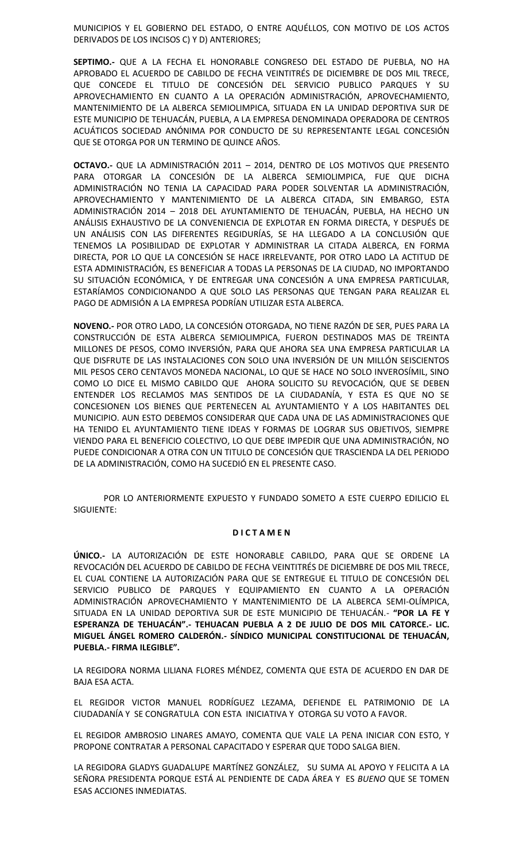MUNICIPIOS Y EL GOBIERNO DEL ESTADO, O ENTRE AQUÉLLOS, CON MOTIVO DE LOS ACTOS DERIVADOS DE LOS INCISOS C) Y D) ANTERIORES;

**SEPTIMO.-** QUE A LA FECHA EL HONORABLE CONGRESO DEL ESTADO DE PUEBLA, NO HA APROBADO EL ACUERDO DE CABILDO DE FECHA VEINTITRÉS DE DICIEMBRE DE DOS MIL TRECE, QUE CONCEDE EL TITULO DE CONCESIÓN DEL SERVICIO PUBLICO PARQUES Y SU APROVECHAMIENTO EN CUANTO A LA OPERACIÓN ADMINISTRACIÓN, APROVECHAMIENTO, MANTENIMIENTO DE LA ALBERCA SEMIOLIMPICA, SITUADA EN LA UNIDAD DEPORTIVA SUR DE ESTE MUNICIPIO DE TEHUACÁN, PUEBLA, A LA EMPRESA DENOMINADA OPERADORA DE CENTROS ACUÁTICOS SOCIEDAD ANÓNIMA POR CONDUCTO DE SU REPRESENTANTE LEGAL CONCESIÓN QUE SE OTORGA POR UN TERMINO DE QUINCE AÑOS.

**OCTAVO.-** QUE LA ADMINISTRACIÓN 2011 – 2014, DENTRO DE LOS MOTIVOS QUE PRESENTO PARA OTORGAR LA CONCESIÓN DE LA ALBERCA SEMIOLIMPICA, FUE QUE DICHA ADMINISTRACIÓN NO TENIA LA CAPACIDAD PARA PODER SOLVENTAR LA ADMINISTRACIÓN, APROVECHAMIENTO Y MANTENIMIENTO DE LA ALBERCA CITADA, SIN EMBARGO, ESTA ADMINISTRACIÓN 2014 – 2018 DEL AYUNTAMIENTO DE TEHUACÁN, PUEBLA, HA HECHO UN ANÁLISIS EXHAUSTIVO DE LA CONVENIENCIA DE EXPLOTAR EN FORMA DIRECTA, Y DESPUÉS DE UN ANÁLISIS CON LAS DIFERENTES REGIDURÍAS, SE HA LLEGADO A LA CONCLUSIÓN QUE TENEMOS LA POSIBILIDAD DE EXPLOTAR Y ADMINISTRAR LA CITADA ALBERCA, EN FORMA DIRECTA, POR LO QUE LA CONCESIÓN SE HACE IRRELEVANTE, POR OTRO LADO LA ACTITUD DE ESTA ADMINISTRACIÓN, ES BENEFICIAR A TODAS LA PERSONAS DE LA CIUDAD, NO IMPORTANDO SU SITUACIÓN ECONÓMICA, Y DE ENTREGAR UNA CONCESIÓN A UNA EMPRESA PARTICULAR, ESTARÍAMOS CONDICIONANDO A QUE SOLO LAS PERSONAS QUE TENGAN PARA REALIZAR EL PAGO DE ADMISIÓN A LA EMPRESA PODRÍAN UTILIZAR ESTA ALBERCA.

**NOVENO.-** POR OTRO LADO, LA CONCESIÓN OTORGADA, NO TIENE RAZÓN DE SER, PUES PARA LA CONSTRUCCIÓN DE ESTA ALBERCA SEMIOLIMPICA, FUERON DESTINADOS MAS DE TREINTA MILLONES DE PESOS, COMO INVERSIÓN, PARA QUE AHORA SEA UNA EMPRESA PARTICULAR LA QUE DISFRUTE DE LAS INSTALACIONES CON SOLO UNA INVERSIÓN DE UN MILLÓN SEISCIENTOS MIL PESOS CERO CENTAVOS MONEDA NACIONAL, LO QUE SE HACE NO SOLO INVEROSÍMIL, SINO COMO LO DICE EL MISMO CABILDO QUE AHORA SOLICITO SU REVOCACIÓN, QUE SE DEBEN ENTENDER LOS RECLAMOS MAS SENTIDOS DE LA CIUDADANÍA, Y ESTA ES QUE NO SE CONCESIONEN LOS BIENES QUE PERTENECEN AL AYUNTAMIENTO Y A LOS HABITANTES DEL MUNICIPIO. AUN ESTO DEBEMOS CONSIDERAR QUE CADA UNA DE LAS ADMINISTRACIONES QUE HA TENIDO EL AYUNTAMIENTO TIENE IDEAS Y FORMAS DE LOGRAR SUS OBJETIVOS, SIEMPRE VIENDO PARA EL BENEFICIO COLECTIVO, LO QUE DEBE IMPEDIR QUE UNA ADMINISTRACIÓN, NO PUEDE CONDICIONAR A OTRA CON UN TITULO DE CONCESIÓN QUE TRASCIENDA LA DEL PERIODO DE LA ADMINISTRACIÓN, COMO HA SUCEDIÓ EN EL PRESENTE CASO.

POR LO ANTERIORMENTE EXPUESTO Y FUNDADO SOMETO A ESTE CUERPO EDILICIO EL SIGUIENTE:

#### **D I C T A M E N**

**ÚNICO.-** LA AUTORIZACIÓN DE ESTE HONORABLE CABILDO, PARA QUE SE ORDENE LA REVOCACIÓN DEL ACUERDO DE CABILDO DE FECHA VEINTITRÉS DE DICIEMBRE DE DOS MIL TRECE, EL CUAL CONTIENE LA AUTORIZACIÓN PARA QUE SE ENTREGUE EL TITULO DE CONCESIÓN DEL SERVICIO PUBLICO DE PARQUES Y EQUIPAMIENTO EN CUANTO A LA OPERACIÓN ADMINISTRACIÓN APROVECHAMIENTO Y MANTENIMIENTO DE LA ALBERCA SEMI-OLÍMPICA, SITUADA EN LA UNIDAD DEPORTIVA SUR DE ESTE MUNICIPIO DE TEHUACÁN.- **"POR LA FE Y ESPERANZA DE TEHUACÁN".- TEHUACAN PUEBLA A 2 DE JULIO DE DOS MIL CATORCE.- LIC. MIGUEL ÁNGEL ROMERO CALDERÓN.- SÍNDICO MUNICIPAL CONSTITUCIONAL DE TEHUACÁN, PUEBLA.- FIRMA ILEGIBLE".**

LA REGIDORA NORMA LILIANA FLORES MÉNDEZ, COMENTA QUE ESTA DE ACUERDO EN DAR DE BAJA ESA ACTA.

EL REGIDOR VICTOR MANUEL RODRÍGUEZ LEZAMA, DEFIENDE EL PATRIMONIO DE LA CIUDADANÍA Y SE CONGRATULA CON ESTA INICIATIVA Y OTORGA SU VOTO A FAVOR.

EL REGIDOR AMBROSIO LINARES AMAYO, COMENTA QUE VALE LA PENA INICIAR CON ESTO, Y PROPONE CONTRATAR A PERSONAL CAPACITADO Y ESPERAR QUE TODO SALGA BIEN.

LA REGIDORA GLADYS GUADALUPE MARTÍNEZ GONZÁLEZ, SU SUMA AL APOYO Y FELICITA A LA SEÑORA PRESIDENTA PORQUE ESTÁ AL PENDIENTE DE CADA ÁREA Y ES *BUENO* QUE SE TOMEN ESAS ACCIONES INMEDIATAS.